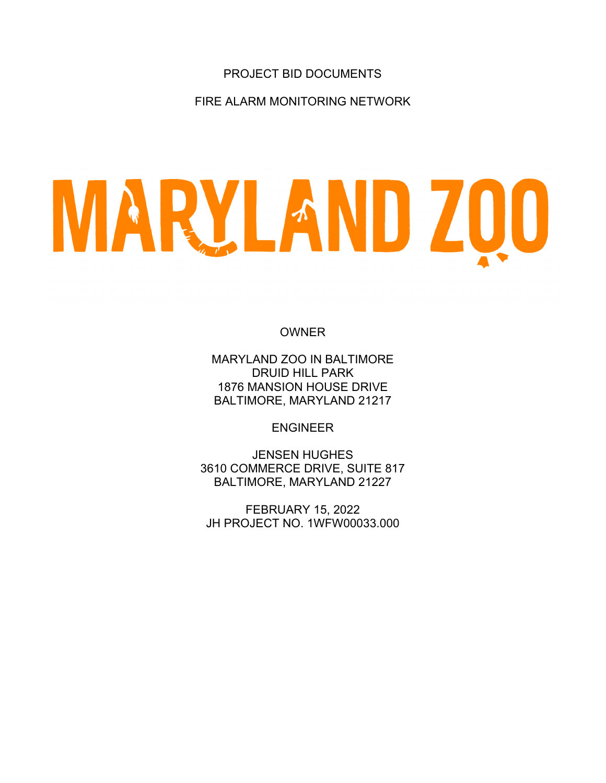# PROJECT BID DOCUMENTS

FIRE ALARM MONITORING NETWORK

# MARYLAND ZOO

**OWNER** 

MARYLAND ZOO IN BALTIMORE DRUID HILL PARK 1876 MANSION HOUSE DRIVE BALTIMORE, MARYLAND 21217

ENGINEER

JENSEN HUGHES 3610 COMMERCE DRIVE, SUITE 817 BALTIMORE, MARYLAND 21227

FEBRUARY 15, 2022 JH PROJECT NO. 1WFW00033.000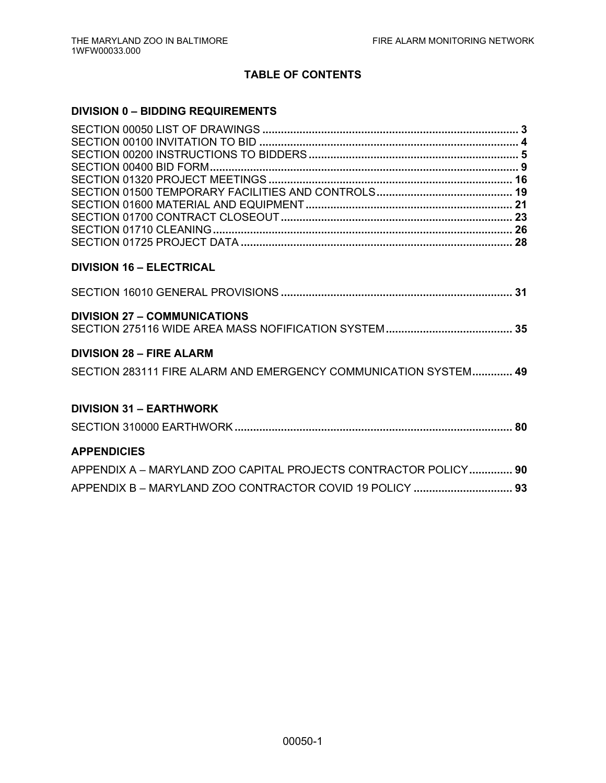# **TABLE OF CONTENTS**

# **DIVISION 0 – BIDDING REQUIREMENTS**

| <b>DIVISION 16 - ELECTRICAL</b>                                 |  |
|-----------------------------------------------------------------|--|
|                                                                 |  |
| <b>DIVISION 27 - COMMUNICATIONS</b>                             |  |
| <b>DIVISION 28 - FIRE ALARM</b>                                 |  |
| SECTION 283111 FIRE ALARM AND EMERGENCY COMMUNICATION SYSTEM 49 |  |
| <b>DIVISION 31 - EARTHWORK</b>                                  |  |
|                                                                 |  |
| <b>APPENDICIES</b>                                              |  |
| APPENDIX A - MARYLAND ZOO CAPITAL PROJECTS CONTRACTOR POLICY 90 |  |
|                                                                 |  |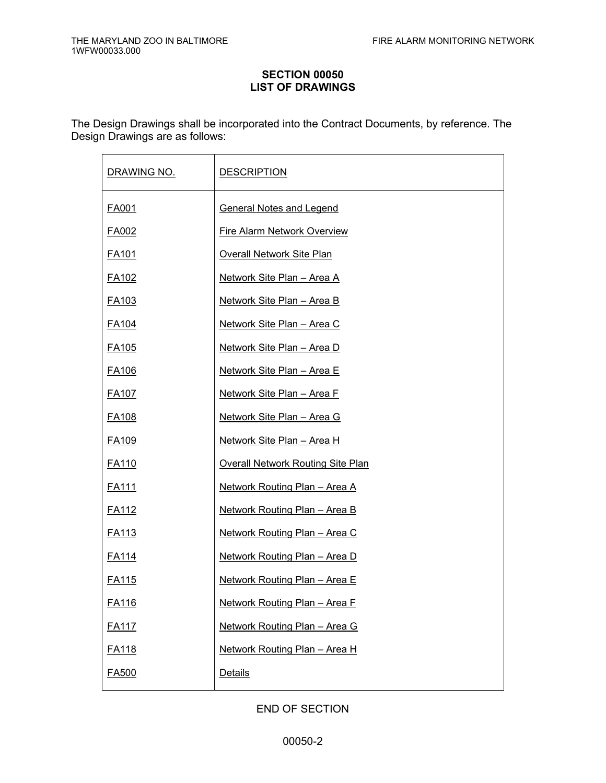## **SECTION 00050 LIST OF DRAWINGS**

The Design Drawings shall be incorporated into the Contract Documents, by reference. The Design Drawings are as follows:

| DRAWING NO.       | <b>DESCRIPTION</b>                       |
|-------------------|------------------------------------------|
| <b>FA001</b>      | <b>General Notes and Legend</b>          |
| FA002             | <b>Fire Alarm Network Overview</b>       |
| <u>FA101</u>      | <b>Overall Network Site Plan</b>         |
| FA <sub>102</sub> | Network Site Plan - Area A               |
| FA103             | Network Site Plan - Area B               |
| <u>FA104</u>      | Network Site Plan - Area C               |
| <b>FA105</b>      | Network Site Plan - Area D               |
| FA <sub>106</sub> | <u> Network Site Plan – Area E</u>       |
| <b>FA107</b>      | Network Site Plan - Area F               |
| <b>FA108</b>      | <u> Network Site Plan – Area G</u>       |
| FA <sub>109</sub> | <b>Network Site Plan - Area H</b>        |
| FA110             | <b>Overall Network Routing Site Plan</b> |
| <u>FA111</u>      | Network Routing Plan - Area A            |
| <u>FA112</u>      | Network Routing Plan - Area B            |
| <u>FA113</u>      | Network Routing Plan - Area C            |
| <u>FA114</u>      | Network Routing Plan - Area D            |
| FA115             | <b>Network Routing Plan - Area E</b>     |
| <b>FA116</b>      | Network Routing Plan - Area F            |
| <b>FA117</b>      | Network Routing Plan - Area G            |
| <b>FA118</b>      | Network Routing Plan - Area H            |
| <b>FA500</b>      | Details                                  |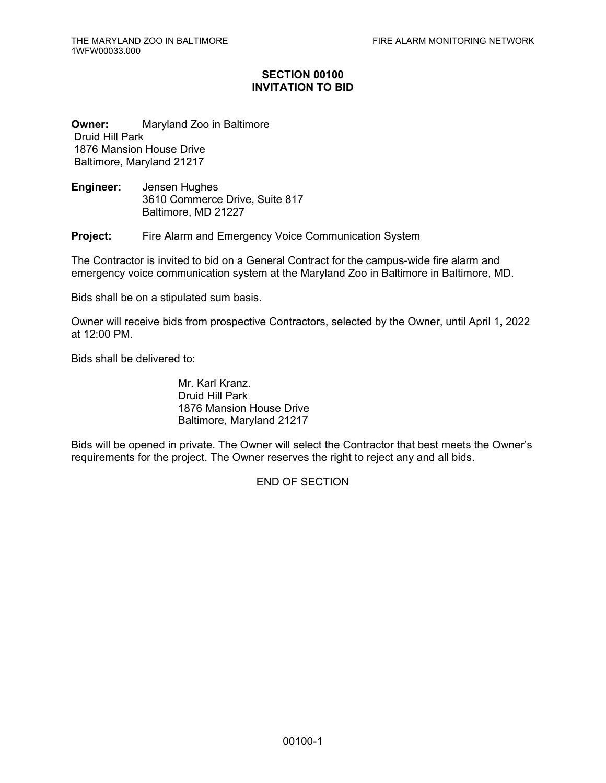## **SECTION 00100 INVITATION TO BID**

**Owner:** Maryland Zoo in Baltimore Druid Hill Park 1876 Mansion House Drive Baltimore, Maryland 21217

**Engineer:** Jensen Hughes 3610 Commerce Drive, Suite 817 Baltimore, MD 21227

**Project:** Fire Alarm and Emergency Voice Communication System

The Contractor is invited to bid on a General Contract for the campus-wide fire alarm and emergency voice communication system at the Maryland Zoo in Baltimore in Baltimore, MD.

Bids shall be on a stipulated sum basis.

Owner will receive bids from prospective Contractors, selected by the Owner, until April 1, 2022 at 12:00 PM.

Bids shall be delivered to:

Mr. Karl Kranz. Druid Hill Park 1876 Mansion House Drive Baltimore, Maryland 21217

Bids will be opened in private. The Owner will select the Contractor that best meets the Owner's requirements for the project. The Owner reserves the right to reject any and all bids.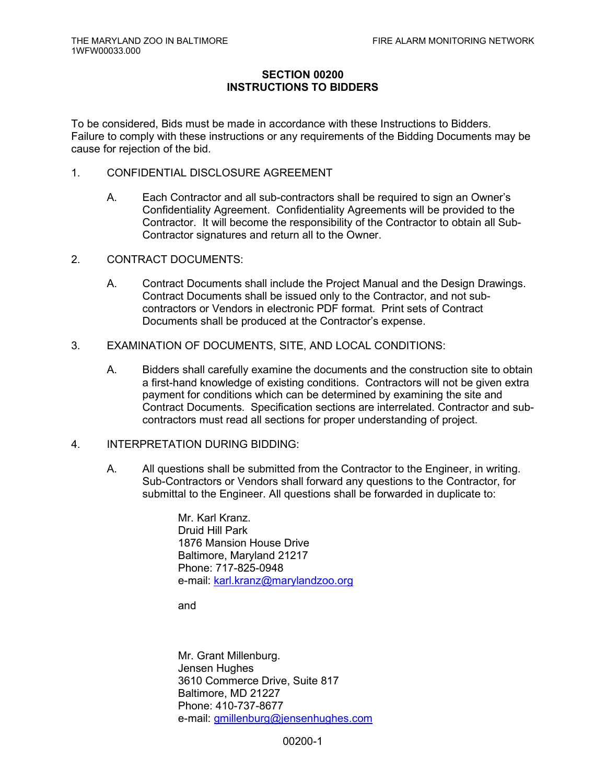## **SECTION 00200 INSTRUCTIONS TO BIDDERS**

To be considered, Bids must be made in accordance with these Instructions to Bidders. Failure to comply with these instructions or any requirements of the Bidding Documents may be cause for rejection of the bid.

- 1. CONFIDENTIAL DISCLOSURE AGREEMENT
	- A. Each Contractor and all sub-contractors shall be required to sign an Owner's Confidentiality Agreement. Confidentiality Agreements will be provided to the Contractor. It will become the responsibility of the Contractor to obtain all Sub-Contractor signatures and return all to the Owner.
- 2. CONTRACT DOCUMENTS:
	- A. Contract Documents shall include the Project Manual and the Design Drawings. Contract Documents shall be issued only to the Contractor, and not subcontractors or Vendors in electronic PDF format. Print sets of Contract Documents shall be produced at the Contractor's expense.
- 3. EXAMINATION OF DOCUMENTS, SITE, AND LOCAL CONDITIONS:
	- A. Bidders shall carefully examine the documents and the construction site to obtain a first-hand knowledge of existing conditions. Contractors will not be given extra payment for conditions which can be determined by examining the site and Contract Documents. Specification sections are interrelated. Contractor and subcontractors must read all sections for proper understanding of project.
- 4. INTERPRETATION DURING BIDDING:
	- A. All questions shall be submitted from the Contractor to the Engineer, in writing. Sub-Contractors or Vendors shall forward any questions to the Contractor, for submittal to the Engineer. All questions shall be forwarded in duplicate to:

Mr. Karl Kranz. Druid Hill Park 1876 Mansion House Drive Baltimore, Maryland 21217 Phone: 717-825-0948 e-mail: karl.kranz@marylandzoo.org

and

Mr. Grant Millenburg. Jensen Hughes 3610 Commerce Drive, Suite 817 Baltimore, MD 21227 Phone: 410-737-8677 e-mail: gmillenburg@jensenhughes.com

00200-1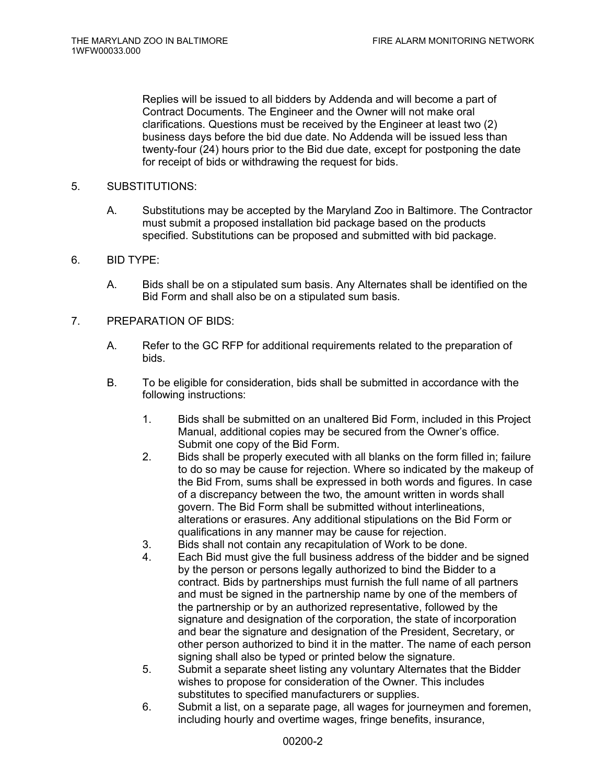Replies will be issued to all bidders by Addenda and will become a part of Contract Documents. The Engineer and the Owner will not make oral clarifications. Questions must be received by the Engineer at least two (2) business days before the bid due date. No Addenda will be issued less than twenty-four (24) hours prior to the Bid due date, except for postponing the date for receipt of bids or withdrawing the request for bids.

## 5. SUBSTITUTIONS:

A. Substitutions may be accepted by the Maryland Zoo in Baltimore. The Contractor must submit a proposed installation bid package based on the products specified. Substitutions can be proposed and submitted with bid package.

## 6. BID TYPE:

- A. Bids shall be on a stipulated sum basis. Any Alternates shall be identified on the Bid Form and shall also be on a stipulated sum basis.
- 7. PREPARATION OF BIDS:
	- A. Refer to the GC RFP for additional requirements related to the preparation of bids.
	- B. To be eligible for consideration, bids shall be submitted in accordance with the following instructions:
		- 1. Bids shall be submitted on an unaltered Bid Form, included in this Project Manual, additional copies may be secured from the Owner's office. Submit one copy of the Bid Form.
		- 2. Bids shall be properly executed with all blanks on the form filled in; failure to do so may be cause for rejection. Where so indicated by the makeup of the Bid From, sums shall be expressed in both words and figures. In case of a discrepancy between the two, the amount written in words shall govern. The Bid Form shall be submitted without interlineations, alterations or erasures. Any additional stipulations on the Bid Form or qualifications in any manner may be cause for rejection.
		- 3. Bids shall not contain any recapitulation of Work to be done.
		- 4. Each Bid must give the full business address of the bidder and be signed by the person or persons legally authorized to bind the Bidder to a contract. Bids by partnerships must furnish the full name of all partners and must be signed in the partnership name by one of the members of the partnership or by an authorized representative, followed by the signature and designation of the corporation, the state of incorporation and bear the signature and designation of the President, Secretary, or other person authorized to bind it in the matter. The name of each person signing shall also be typed or printed below the signature.
		- 5. Submit a separate sheet listing any voluntary Alternates that the Bidder wishes to propose for consideration of the Owner. This includes substitutes to specified manufacturers or supplies.
		- 6. Submit a list, on a separate page, all wages for journeymen and foremen, including hourly and overtime wages, fringe benefits, insurance,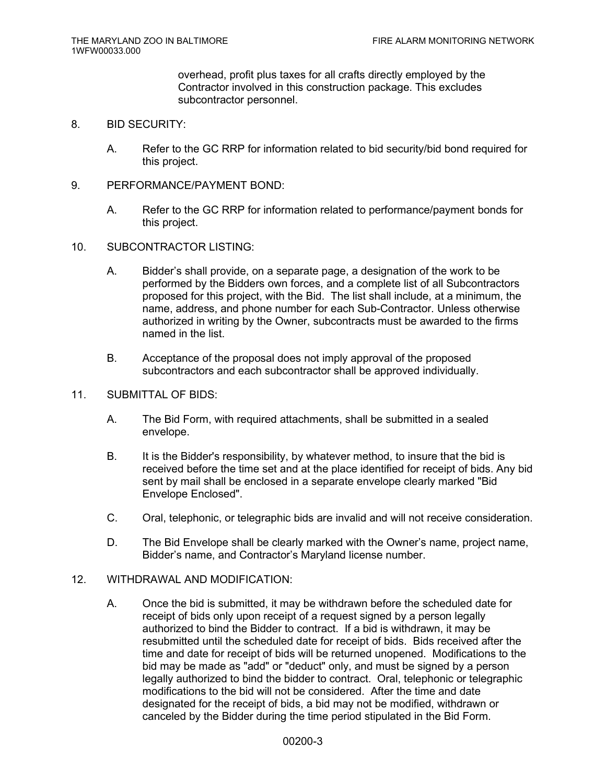overhead, profit plus taxes for all crafts directly employed by the Contractor involved in this construction package. This excludes subcontractor personnel.

#### 8. BID SECURITY:

- A. Refer to the GC RRP for information related to bid security/bid bond required for this project.
- 9. PERFORMANCE/PAYMENT BOND:
	- A. Refer to the GC RRP for information related to performance/payment bonds for this project.
- 10. SUBCONTRACTOR LISTING:
	- A. Bidder's shall provide, on a separate page, a designation of the work to be performed by the Bidders own forces, and a complete list of all Subcontractors proposed for this project, with the Bid. The list shall include, at a minimum, the name, address, and phone number for each Sub-Contractor. Unless otherwise authorized in writing by the Owner, subcontracts must be awarded to the firms named in the list.
	- B. Acceptance of the proposal does not imply approval of the proposed subcontractors and each subcontractor shall be approved individually.

#### 11. SUBMITTAL OF BIDS:

- A. The Bid Form, with required attachments, shall be submitted in a sealed envelope.
- B. It is the Bidder's responsibility, by whatever method, to insure that the bid is received before the time set and at the place identified for receipt of bids. Any bid sent by mail shall be enclosed in a separate envelope clearly marked "Bid Envelope Enclosed".
- C. Oral, telephonic, or telegraphic bids are invalid and will not receive consideration.
- D. The Bid Envelope shall be clearly marked with the Owner's name, project name, Bidder's name, and Contractor's Maryland license number.

#### 12. WITHDRAWAL AND MODIFICATION:

A. Once the bid is submitted, it may be withdrawn before the scheduled date for receipt of bids only upon receipt of a request signed by a person legally authorized to bind the Bidder to contract. If a bid is withdrawn, it may be resubmitted until the scheduled date for receipt of bids. Bids received after the time and date for receipt of bids will be returned unopened. Modifications to the bid may be made as "add" or "deduct" only, and must be signed by a person legally authorized to bind the bidder to contract. Oral, telephonic or telegraphic modifications to the bid will not be considered. After the time and date designated for the receipt of bids, a bid may not be modified, withdrawn or canceled by the Bidder during the time period stipulated in the Bid Form.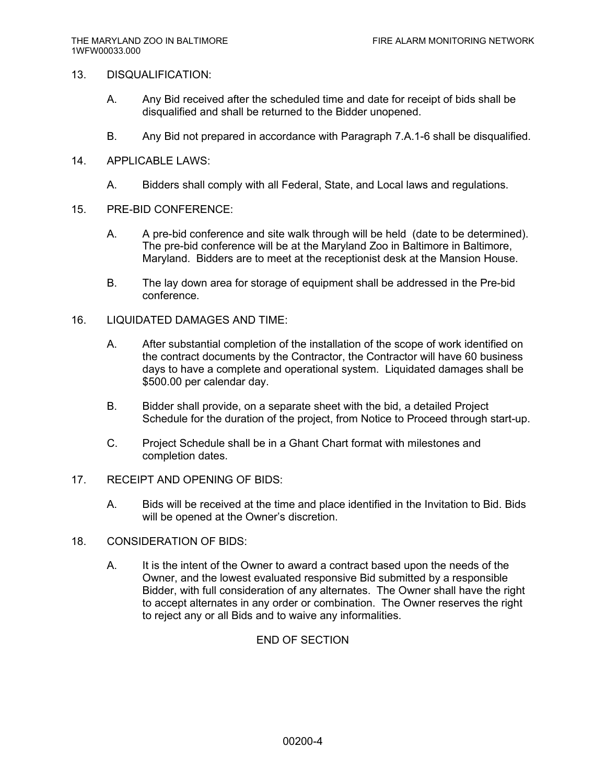#### 13. DISQUALIFICATION:

- A. Any Bid received after the scheduled time and date for receipt of bids shall be disqualified and shall be returned to the Bidder unopened.
- B. Any Bid not prepared in accordance with Paragraph 7.A.1-6 shall be disqualified.
- 14. APPLICABLE LAWS:
	- A. Bidders shall comply with all Federal, State, and Local laws and regulations.
- 15. PRE-BID CONFERENCE:
	- A. A pre-bid conference and site walk through will be held (date to be determined). The pre-bid conference will be at the Maryland Zoo in Baltimore in Baltimore, Maryland. Bidders are to meet at the receptionist desk at the Mansion House.
	- B. The lay down area for storage of equipment shall be addressed in the Pre-bid conference.
- 16. LIQUIDATED DAMAGES AND TIME:
	- A. After substantial completion of the installation of the scope of work identified on the contract documents by the Contractor, the Contractor will have 60 business days to have a complete and operational system. Liquidated damages shall be \$500.00 per calendar day.
	- B. Bidder shall provide, on a separate sheet with the bid, a detailed Project Schedule for the duration of the project, from Notice to Proceed through start-up.
	- C. Project Schedule shall be in a Ghant Chart format with milestones and completion dates.
- 17. RECEIPT AND OPENING OF BIDS:
	- A. Bids will be received at the time and place identified in the Invitation to Bid. Bids will be opened at the Owner's discretion.
- 18. CONSIDERATION OF BIDS:
	- A. It is the intent of the Owner to award a contract based upon the needs of the Owner, and the lowest evaluated responsive Bid submitted by a responsible Bidder, with full consideration of any alternates. The Owner shall have the right to accept alternates in any order or combination. The Owner reserves the right to reject any or all Bids and to waive any informalities.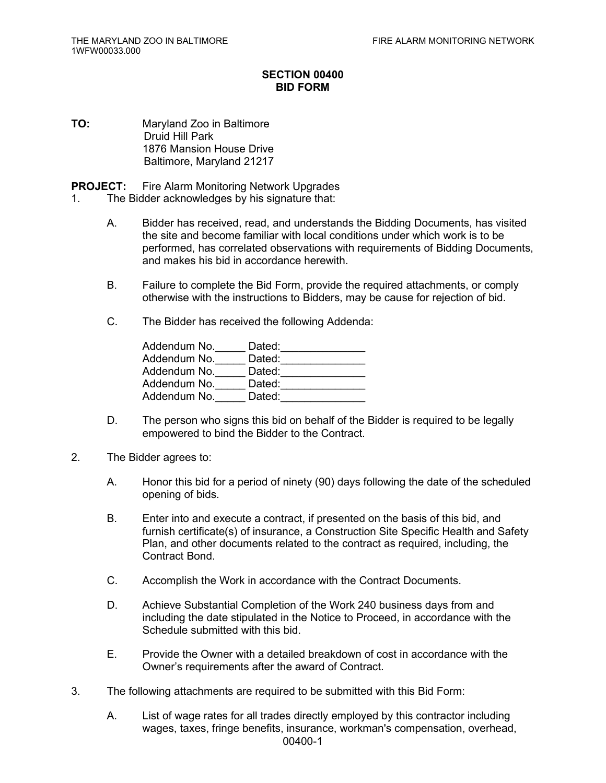## **SECTION 00400 BID FORM**

**TO:** Maryland Zoo in Baltimore Druid Hill Park 1876 Mansion House Drive Baltimore, Maryland 21217

**PROJECT:** Fire Alarm Monitoring Network Upgrades

- 1. The Bidder acknowledges by his signature that:
	- A. Bidder has received, read, and understands the Bidding Documents, has visited the site and become familiar with local conditions under which work is to be performed, has correlated observations with requirements of Bidding Documents, and makes his bid in accordance herewith.
	- B. Failure to complete the Bid Form, provide the required attachments, or comply otherwise with the instructions to Bidders, may be cause for rejection of bid.
	- C. The Bidder has received the following Addenda:

| Addendum No. | Dated: |
|--------------|--------|
| Addendum No. | Dated: |
| Addendum No. | Dated: |
| Addendum No. | Dated: |
| Addendum No. | Dated: |

- D. The person who signs this bid on behalf of the Bidder is required to be legally empowered to bind the Bidder to the Contract.
- 2. The Bidder agrees to:
	- A. Honor this bid for a period of ninety (90) days following the date of the scheduled opening of bids.
	- B. Enter into and execute a contract, if presented on the basis of this bid, and furnish certificate(s) of insurance, a Construction Site Specific Health and Safety Plan, and other documents related to the contract as required, including, the Contract Bond.
	- C. Accomplish the Work in accordance with the Contract Documents.
	- D. Achieve Substantial Completion of the Work 240 business days from and including the date stipulated in the Notice to Proceed, in accordance with the Schedule submitted with this bid.
	- E. Provide the Owner with a detailed breakdown of cost in accordance with the Owner's requirements after the award of Contract.
- 3. The following attachments are required to be submitted with this Bid Form:
	- 00400-1 A. List of wage rates for all trades directly employed by this contractor including wages, taxes, fringe benefits, insurance, workman's compensation, overhead,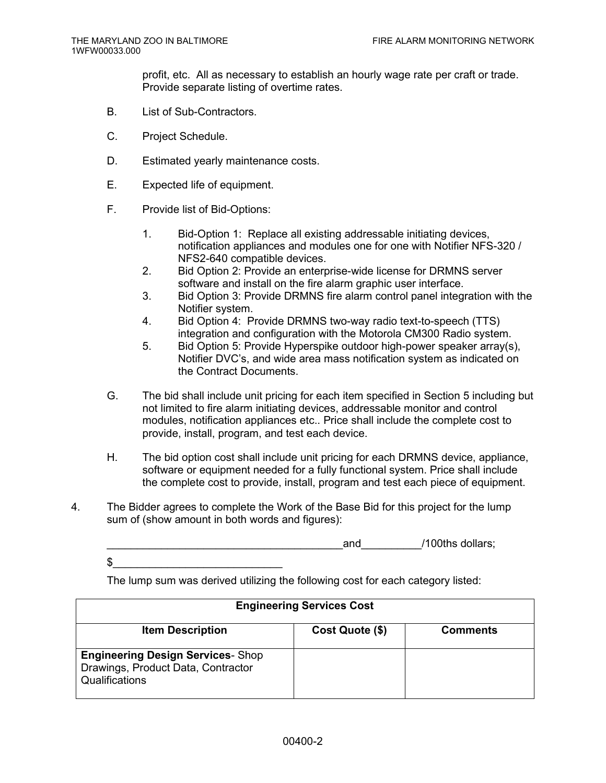profit, etc. All as necessary to establish an hourly wage rate per craft or trade. Provide separate listing of overtime rates.

- B. List of Sub-Contractors.
- C. Project Schedule.

 $\frac{1}{2}$ 

- D. Estimated yearly maintenance costs.
- E. Expected life of equipment.
- F. Provide list of Bid-Options:
	- 1. Bid-Option 1: Replace all existing addressable initiating devices, notification appliances and modules one for one with Notifier NFS-320 / NFS2-640 compatible devices.
	- 2. Bid Option 2: Provide an enterprise-wide license for DRMNS server software and install on the fire alarm graphic user interface.
	- 3. Bid Option 3: Provide DRMNS fire alarm control panel integration with the Notifier system.
	- 4. Bid Option 4: Provide DRMNS two-way radio text-to-speech (TTS) integration and configuration with the Motorola CM300 Radio system.
	- 5. Bid Option 5: Provide Hyperspike outdoor high-power speaker array(s), Notifier DVC's, and wide area mass notification system as indicated on the Contract Documents.
- G. The bid shall include unit pricing for each item specified in Section 5 including but not limited to fire alarm initiating devices, addressable monitor and control modules, notification appliances etc.. Price shall include the complete cost to provide, install, program, and test each device.
- H. The bid option cost shall include unit pricing for each DRMNS device, appliance, software or equipment needed for a fully functional system. Price shall include the complete cost to provide, install, program and test each piece of equipment.
- 4. The Bidder agrees to complete the Work of the Base Bid for this project for the lump sum of (show amount in both words and figures):

and  $/100$ ths dollars;

The lump sum was derived utilizing the following cost for each category listed:

| <b>Engineering Services Cost</b>                                                                 |                 |                 |
|--------------------------------------------------------------------------------------------------|-----------------|-----------------|
| <b>Item Description</b>                                                                          | Cost Quote (\$) | <b>Comments</b> |
| <b>Engineering Design Services- Shop</b><br>Drawings, Product Data, Contractor<br>Qualifications |                 |                 |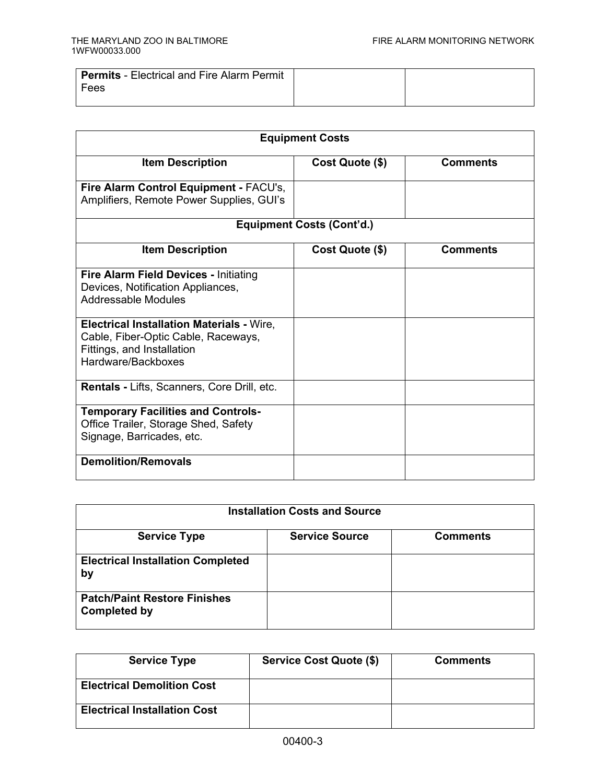| <b>Permits</b> - Electrical and Fire Alarm Permit |  |
|---------------------------------------------------|--|
| Fees                                              |  |
|                                                   |  |

| <b>Equipment Costs</b>                                                                                                                      |                                  |                 |
|---------------------------------------------------------------------------------------------------------------------------------------------|----------------------------------|-----------------|
| <b>Item Description</b>                                                                                                                     | Cost Quote (\$)                  | <b>Comments</b> |
| Fire Alarm Control Equipment - FACU's,<br>Amplifiers, Remote Power Supplies, GUI's                                                          |                                  |                 |
|                                                                                                                                             | <b>Equipment Costs (Cont'd.)</b> |                 |
| <b>Item Description</b>                                                                                                                     | Cost Quote (\$)                  | <b>Comments</b> |
| Fire Alarm Field Devices - Initiating<br>Devices, Notification Appliances,<br>Addressable Modules                                           |                                  |                 |
| <b>Electrical Installation Materials - Wire,</b><br>Cable, Fiber-Optic Cable, Raceways,<br>Fittings, and Installation<br>Hardware/Backboxes |                                  |                 |
| Rentals - Lifts, Scanners, Core Drill, etc.                                                                                                 |                                  |                 |
| <b>Temporary Facilities and Controls-</b><br>Office Trailer, Storage Shed, Safety<br>Signage, Barricades, etc.                              |                                  |                 |
| <b>Demolition/Removals</b>                                                                                                                  |                                  |                 |

| <b>Installation Costs and Source</b>                       |                       |                 |
|------------------------------------------------------------|-----------------------|-----------------|
| <b>Service Type</b>                                        | <b>Service Source</b> | <b>Comments</b> |
| <b>Electrical Installation Completed</b><br>by             |                       |                 |
| <b>Patch/Paint Restore Finishes</b><br><b>Completed by</b> |                       |                 |

| <b>Service Type</b>                 | Service Cost Quote (\$) | <b>Comments</b> |
|-------------------------------------|-------------------------|-----------------|
| <b>Electrical Demolition Cost</b>   |                         |                 |
| <b>Electrical Installation Cost</b> |                         |                 |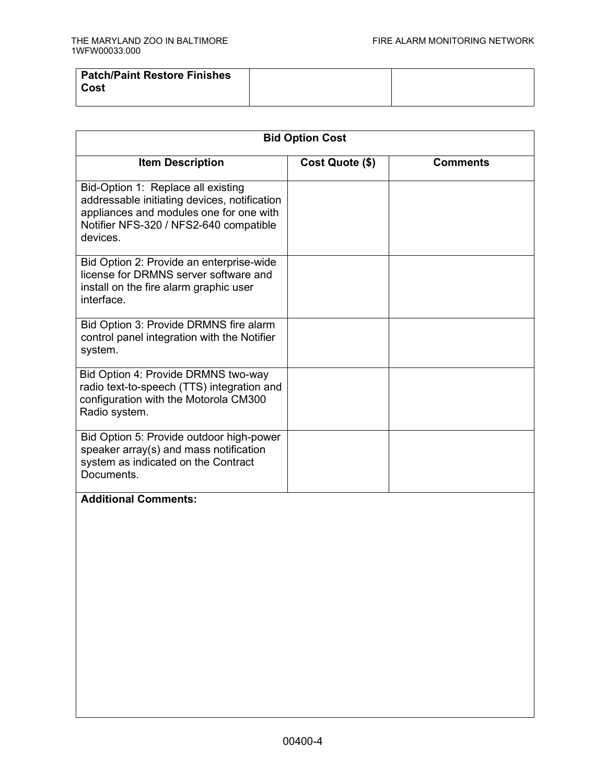| Patch/Paint Restore Finishes<br>Cost |  |
|--------------------------------------|--|
|                                      |  |

| <b>Bid Option Cost</b>                                                                                                                                                              |                 |                 |
|-------------------------------------------------------------------------------------------------------------------------------------------------------------------------------------|-----------------|-----------------|
| <b>Item Description</b>                                                                                                                                                             | Cost Quote (\$) | <b>Comments</b> |
| Bid-Option 1: Replace all existing<br>addressable initiating devices, notification<br>appliances and modules one for one with<br>Notifier NFS-320 / NFS2-640 compatible<br>devices. |                 |                 |
| Bid Option 2: Provide an enterprise-wide<br>license for DRMNS server software and<br>install on the fire alarm graphic user<br>interface.                                           |                 |                 |
| Bid Option 3: Provide DRMNS fire alarm<br>control panel integration with the Notifier<br>system.                                                                                    |                 |                 |
| Bid Option 4: Provide DRMNS two-way<br>radio text-to-speech (TTS) integration and<br>configuration with the Motorola CM300<br>Radio system.                                         |                 |                 |
| Bid Option 5: Provide outdoor high-power<br>speaker array(s) and mass notification<br>system as indicated on the Contract<br>Documents.                                             |                 |                 |
| <b>Additional Comments:</b>                                                                                                                                                         |                 |                 |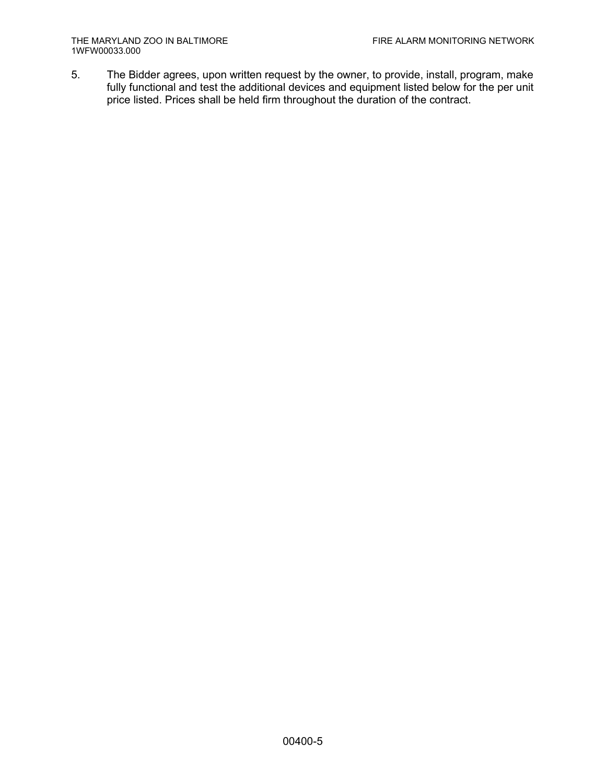5. The Bidder agrees, upon written request by the owner, to provide, install, program, make fully functional and test the additional devices and equipment listed below for the per unit price listed. Prices shall be held firm throughout the duration of the contract.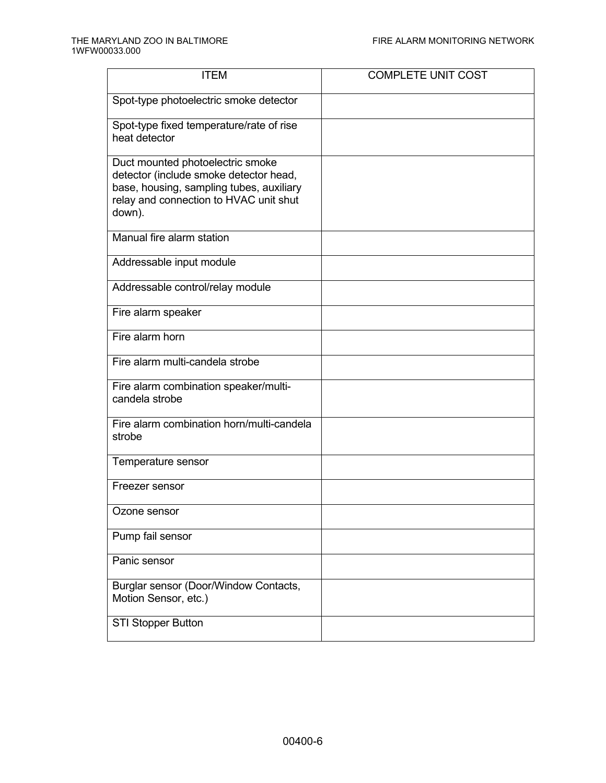| <b>ITEM</b>                                                                                                                                                                | <b>COMPLETE UNIT COST</b> |
|----------------------------------------------------------------------------------------------------------------------------------------------------------------------------|---------------------------|
| Spot-type photoelectric smoke detector                                                                                                                                     |                           |
| Spot-type fixed temperature/rate of rise<br>heat detector                                                                                                                  |                           |
| Duct mounted photoelectric smoke<br>detector (include smoke detector head,<br>base, housing, sampling tubes, auxiliary<br>relay and connection to HVAC unit shut<br>down). |                           |
| Manual fire alarm station                                                                                                                                                  |                           |
| Addressable input module                                                                                                                                                   |                           |
| Addressable control/relay module                                                                                                                                           |                           |
| Fire alarm speaker                                                                                                                                                         |                           |
| Fire alarm horn                                                                                                                                                            |                           |
| Fire alarm multi-candela strobe                                                                                                                                            |                           |
| Fire alarm combination speaker/multi-<br>candela strobe                                                                                                                    |                           |
| Fire alarm combination horn/multi-candela<br>strobe                                                                                                                        |                           |
| Temperature sensor                                                                                                                                                         |                           |
| Freezer sensor                                                                                                                                                             |                           |
| Ozone sensor                                                                                                                                                               |                           |
| Pump fail sensor                                                                                                                                                           |                           |
| Panic sensor                                                                                                                                                               |                           |
| Burglar sensor (Door/Window Contacts,<br>Motion Sensor, etc.)                                                                                                              |                           |
| <b>STI Stopper Button</b>                                                                                                                                                  |                           |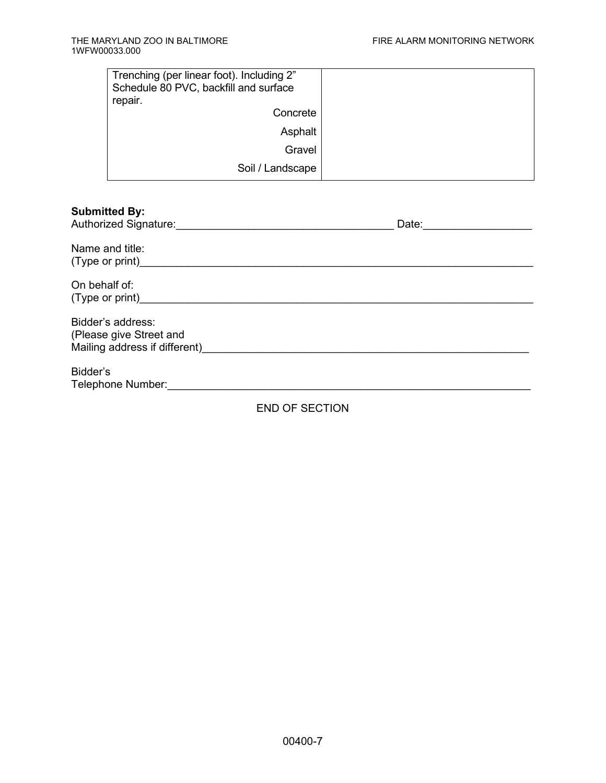| Trenching (per linear foot). Including 2"<br>Schedule 80 PVC, backfill and surface |  |
|------------------------------------------------------------------------------------|--|
| repair.                                                                            |  |
| Concrete                                                                           |  |
| Asphalt                                                                            |  |
| Gravel                                                                             |  |
| Soil / Landscape                                                                   |  |

| <b>Submitted By:</b><br>Authorized Signature:                                                                                                                                                                                                     | Date:                 |
|---------------------------------------------------------------------------------------------------------------------------------------------------------------------------------------------------------------------------------------------------|-----------------------|
| Name and title:<br>(Type or print) and the contract of the contract of the contract of the contract of the contract of the contract of the contract of the contract of the contract of the contract of the contract of the contract of the contra |                       |
| On behalf of:<br>(Type or print) and the contract of the contract of the contract of the contract of the contract of the contract of the contract of the contract of the contract of the contract of the contract of the contract of the contra   |                       |
| Bidder's address:<br>(Please give Street and<br>Mailing address if different)                                                                                                                                                                     |                       |
| Bidder's<br>Telephone Number:                                                                                                                                                                                                                     |                       |
|                                                                                                                                                                                                                                                   | <b>END OF SECTION</b> |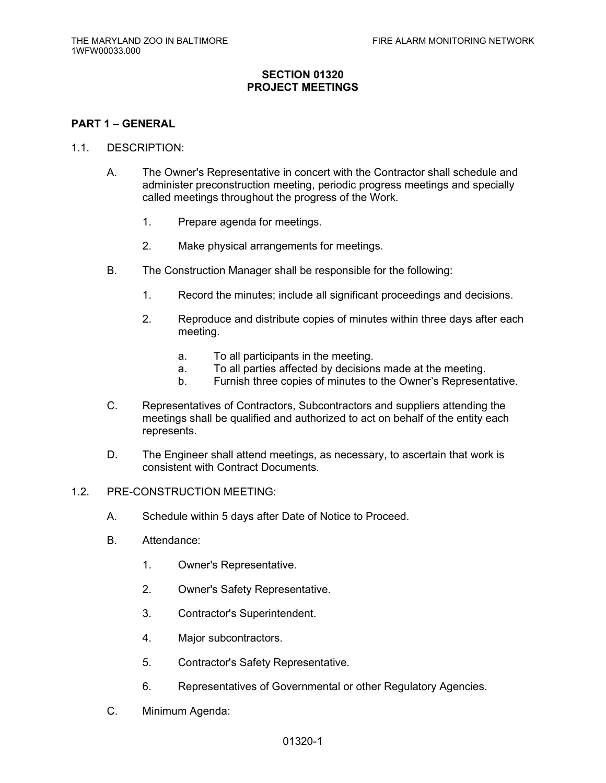## **SECTION 01320 PROJECT MEETINGS**

#### **PART 1 – GENERAL**

#### 1.1. DESCRIPTION:

- A. The Owner's Representative in concert with the Contractor shall schedule and administer preconstruction meeting, periodic progress meetings and specially called meetings throughout the progress of the Work.
	- 1. Prepare agenda for meetings.
	- 2. Make physical arrangements for meetings.
- B. The Construction Manager shall be responsible for the following:
	- 1. Record the minutes; include all significant proceedings and decisions.
	- 2. Reproduce and distribute copies of minutes within three days after each meeting.
		- a. To all participants in the meeting.
		- a. To all parties affected by decisions made at the meeting.
		- b. Furnish three copies of minutes to the Owner's Representative.
- C. Representatives of Contractors, Subcontractors and suppliers attending the meetings shall be qualified and authorized to act on behalf of the entity each represents.
- D. The Engineer shall attend meetings, as necessary, to ascertain that work is consistent with Contract Documents.
- 1.2. PRE-CONSTRUCTION MEETING:
	- A. Schedule within 5 days after Date of Notice to Proceed.
	- B. Attendance:
		- 1. Owner's Representative.
		- 2. Owner's Safety Representative.
		- 3. Contractor's Superintendent.
		- 4. Major subcontractors.
		- 5. Contractor's Safety Representative.
		- 6. Representatives of Governmental or other Regulatory Agencies.
	- C. Minimum Agenda: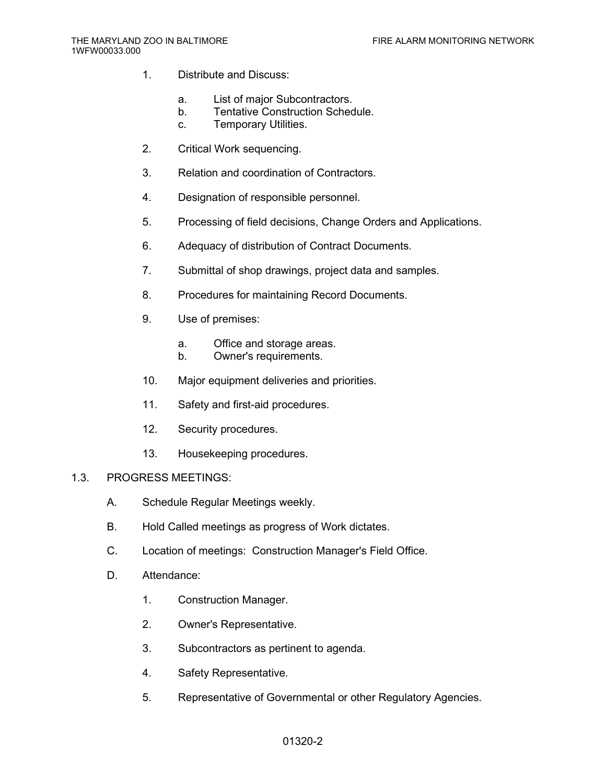- 1. Distribute and Discuss:
	- a. List of major Subcontractors.
	- b. Tentative Construction Schedule.
	- c. Temporary Utilities.
- 2. Critical Work sequencing.
- 3. Relation and coordination of Contractors.
- 4. Designation of responsible personnel.
- 5. Processing of field decisions, Change Orders and Applications.
- 6. Adequacy of distribution of Contract Documents.
- 7. Submittal of shop drawings, project data and samples.
- 8. Procedures for maintaining Record Documents.
- 9. Use of premises:
	- a. Office and storage areas.
	- b. Owner's requirements.
- 10. Major equipment deliveries and priorities.
- 11. Safety and first-aid procedures.
- 12. Security procedures.
- 13. Housekeeping procedures.

## 1.3. PROGRESS MEETINGS:

- A. Schedule Regular Meetings weekly.
- B. Hold Called meetings as progress of Work dictates.
- C. Location of meetings: Construction Manager's Field Office.
- D. Attendance:
	- 1. Construction Manager.
	- 2. Owner's Representative.
	- 3. Subcontractors as pertinent to agenda.
	- 4. Safety Representative.
	- 5. Representative of Governmental or other Regulatory Agencies.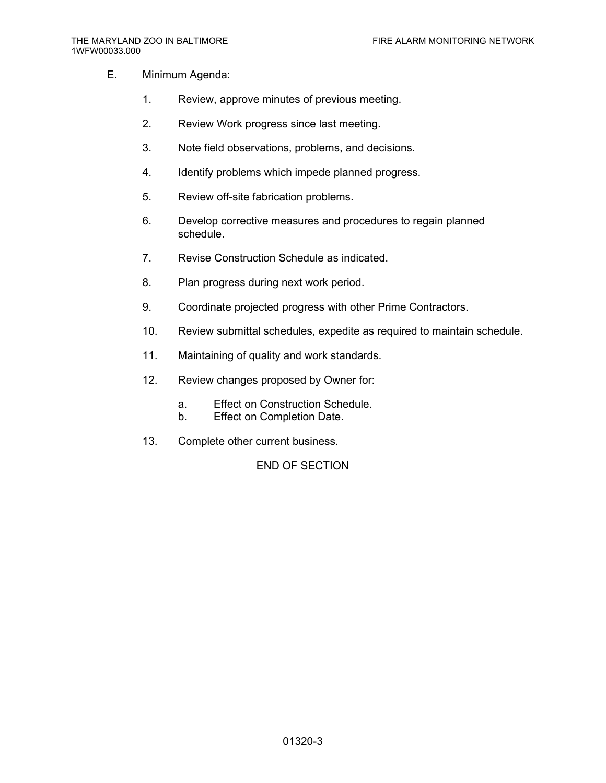- E. Minimum Agenda:
	- 1. Review, approve minutes of previous meeting.
	- 2. Review Work progress since last meeting.
	- 3. Note field observations, problems, and decisions.
	- 4. Identify problems which impede planned progress.
	- 5. Review off-site fabrication problems.
	- 6. Develop corrective measures and procedures to regain planned schedule.
	- 7. Revise Construction Schedule as indicated.
	- 8. Plan progress during next work period.
	- 9. Coordinate projected progress with other Prime Contractors.
	- 10. Review submittal schedules, expedite as required to maintain schedule.
	- 11. Maintaining of quality and work standards.
	- 12. Review changes proposed by Owner for:
		- a. Effect on Construction Schedule.
		- b. Effect on Completion Date.
	- 13. Complete other current business.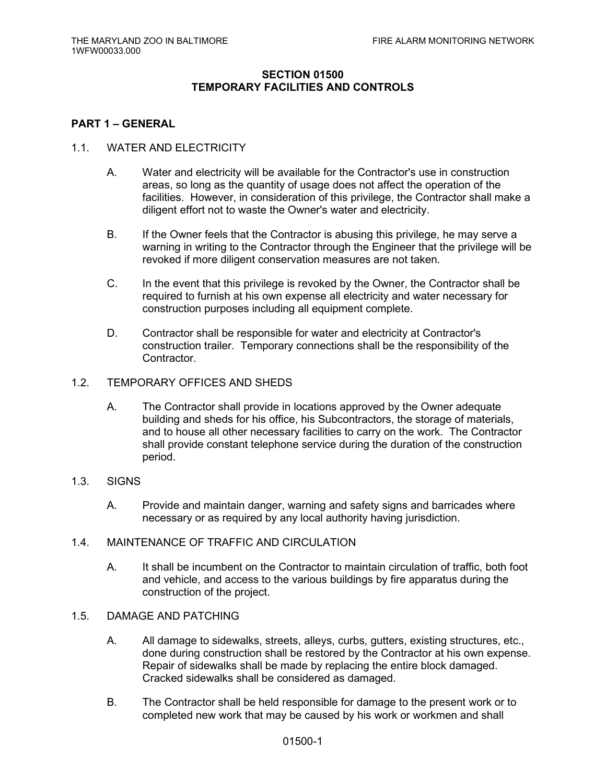## **SECTION 01500 TEMPORARY FACILITIES AND CONTROLS**

#### **PART 1 – GENERAL**

#### 1.1. WATER AND ELECTRICITY

- A. Water and electricity will be available for the Contractor's use in construction areas, so long as the quantity of usage does not affect the operation of the facilities. However, in consideration of this privilege, the Contractor shall make a diligent effort not to waste the Owner's water and electricity.
- B. If the Owner feels that the Contractor is abusing this privilege, he may serve a warning in writing to the Contractor through the Engineer that the privilege will be revoked if more diligent conservation measures are not taken.
- C. In the event that this privilege is revoked by the Owner, the Contractor shall be required to furnish at his own expense all electricity and water necessary for construction purposes including all equipment complete.
- D. Contractor shall be responsible for water and electricity at Contractor's construction trailer. Temporary connections shall be the responsibility of the Contractor.
- 1.2. TEMPORARY OFFICES AND SHEDS
	- A. The Contractor shall provide in locations approved by the Owner adequate building and sheds for his office, his Subcontractors, the storage of materials, and to house all other necessary facilities to carry on the work. The Contractor shall provide constant telephone service during the duration of the construction period.
- 1.3. SIGNS
	- A. Provide and maintain danger, warning and safety signs and barricades where necessary or as required by any local authority having jurisdiction.
- 1.4. MAINTENANCE OF TRAFFIC AND CIRCULATION
	- A. It shall be incumbent on the Contractor to maintain circulation of traffic, both foot and vehicle, and access to the various buildings by fire apparatus during the construction of the project.
- 1.5. DAMAGE AND PATCHING
	- A. All damage to sidewalks, streets, alleys, curbs, gutters, existing structures, etc., done during construction shall be restored by the Contractor at his own expense. Repair of sidewalks shall be made by replacing the entire block damaged. Cracked sidewalks shall be considered as damaged.
	- B. The Contractor shall be held responsible for damage to the present work or to completed new work that may be caused by his work or workmen and shall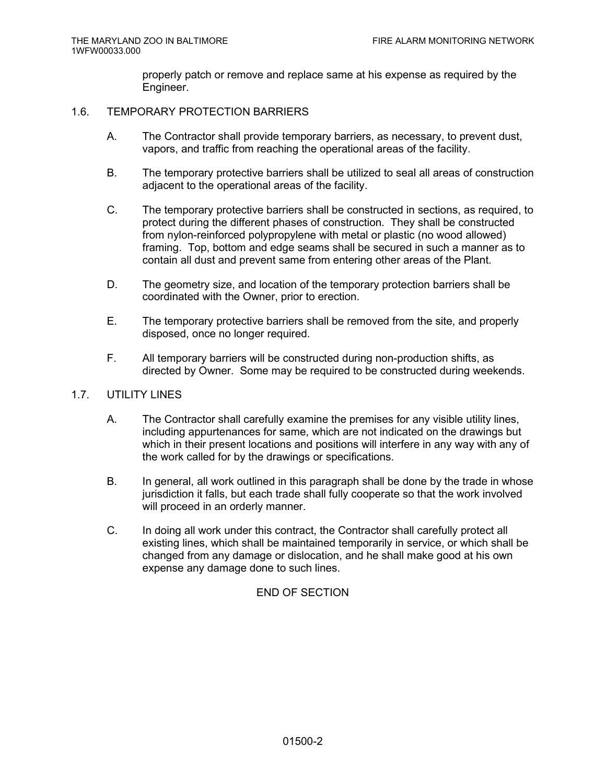properly patch or remove and replace same at his expense as required by the Engineer.

#### 1.6. TEMPORARY PROTECTION BARRIERS

- A. The Contractor shall provide temporary barriers, as necessary, to prevent dust, vapors, and traffic from reaching the operational areas of the facility.
- B. The temporary protective barriers shall be utilized to seal all areas of construction adjacent to the operational areas of the facility.
- C. The temporary protective barriers shall be constructed in sections, as required, to protect during the different phases of construction. They shall be constructed from nylon-reinforced polypropylene with metal or plastic (no wood allowed) framing. Top, bottom and edge seams shall be secured in such a manner as to contain all dust and prevent same from entering other areas of the Plant.
- D. The geometry size, and location of the temporary protection barriers shall be coordinated with the Owner, prior to erection.
- E. The temporary protective barriers shall be removed from the site, and properly disposed, once no longer required.
- F. All temporary barriers will be constructed during non-production shifts, as directed by Owner. Some may be required to be constructed during weekends.

#### 1.7. UTILITY LINES

- A. The Contractor shall carefully examine the premises for any visible utility lines, including appurtenances for same, which are not indicated on the drawings but which in their present locations and positions will interfere in any way with any of the work called for by the drawings or specifications.
- B. In general, all work outlined in this paragraph shall be done by the trade in whose jurisdiction it falls, but each trade shall fully cooperate so that the work involved will proceed in an orderly manner.
- C. In doing all work under this contract, the Contractor shall carefully protect all existing lines, which shall be maintained temporarily in service, or which shall be changed from any damage or dislocation, and he shall make good at his own expense any damage done to such lines.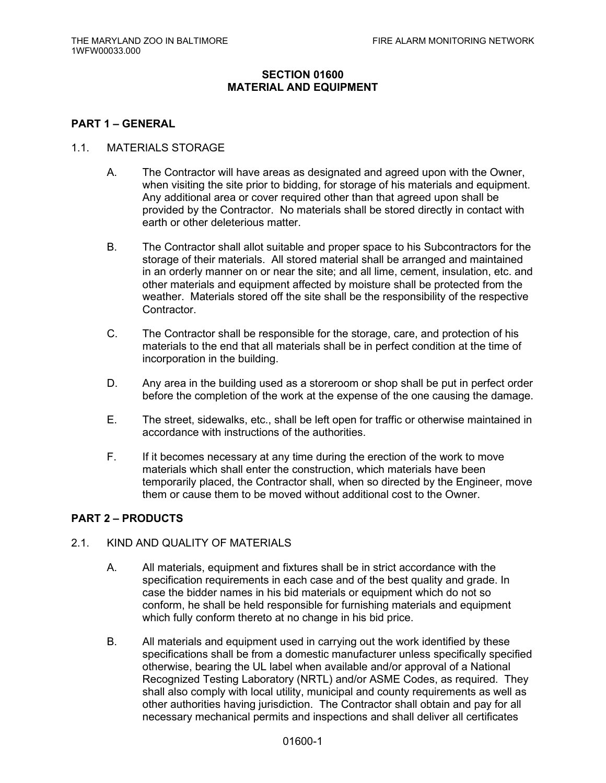## **SECTION 01600 MATERIAL AND EQUIPMENT**

#### **PART 1 – GENERAL**

#### 1.1. MATERIALS STORAGE

- A. The Contractor will have areas as designated and agreed upon with the Owner, when visiting the site prior to bidding, for storage of his materials and equipment. Any additional area or cover required other than that agreed upon shall be provided by the Contractor. No materials shall be stored directly in contact with earth or other deleterious matter.
- B. The Contractor shall allot suitable and proper space to his Subcontractors for the storage of their materials. All stored material shall be arranged and maintained in an orderly manner on or near the site; and all lime, cement, insulation, etc. and other materials and equipment affected by moisture shall be protected from the weather. Materials stored off the site shall be the responsibility of the respective **Contractor**
- C. The Contractor shall be responsible for the storage, care, and protection of his materials to the end that all materials shall be in perfect condition at the time of incorporation in the building.
- D. Any area in the building used as a storeroom or shop shall be put in perfect order before the completion of the work at the expense of the one causing the damage.
- E. The street, sidewalks, etc., shall be left open for traffic or otherwise maintained in accordance with instructions of the authorities.
- F. If it becomes necessary at any time during the erection of the work to move materials which shall enter the construction, which materials have been temporarily placed, the Contractor shall, when so directed by the Engineer, move them or cause them to be moved without additional cost to the Owner.

#### **PART 2 – PRODUCTS**

#### 2.1. KIND AND QUALITY OF MATERIALS

- A. All materials, equipment and fixtures shall be in strict accordance with the specification requirements in each case and of the best quality and grade. In case the bidder names in his bid materials or equipment which do not so conform, he shall be held responsible for furnishing materials and equipment which fully conform thereto at no change in his bid price.
- B. All materials and equipment used in carrying out the work identified by these specifications shall be from a domestic manufacturer unless specifically specified otherwise, bearing the UL label when available and/or approval of a National Recognized Testing Laboratory (NRTL) and/or ASME Codes, as required. They shall also comply with local utility, municipal and county requirements as well as other authorities having jurisdiction. The Contractor shall obtain and pay for all necessary mechanical permits and inspections and shall deliver all certificates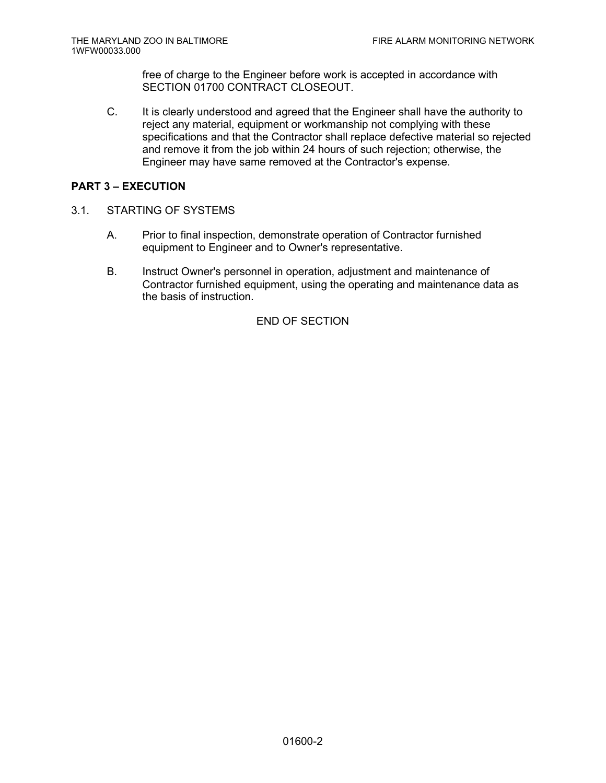free of charge to the Engineer before work is accepted in accordance with SECTION 01700 CONTRACT CLOSEOUT.

C. It is clearly understood and agreed that the Engineer shall have the authority to reject any material, equipment or workmanship not complying with these specifications and that the Contractor shall replace defective material so rejected and remove it from the job within 24 hours of such rejection; otherwise, the Engineer may have same removed at the Contractor's expense.

## **PART 3 – EXECUTION**

- 3.1. STARTING OF SYSTEMS
	- A. Prior to final inspection, demonstrate operation of Contractor furnished equipment to Engineer and to Owner's representative.
	- B. Instruct Owner's personnel in operation, adjustment and maintenance of Contractor furnished equipment, using the operating and maintenance data as the basis of instruction.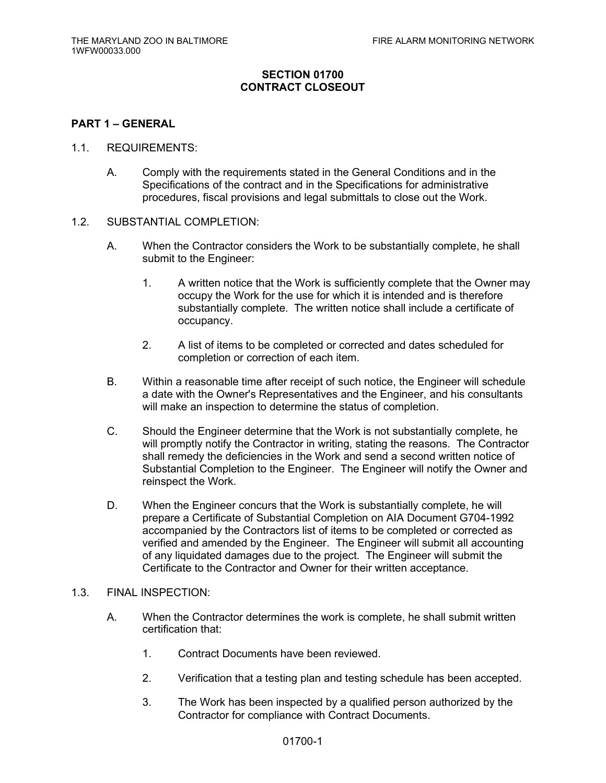## **SECTION 01700 CONTRACT CLOSEOUT**

#### **PART 1 – GENERAL**

#### 1.1. REQUIREMENTS:

- A. Comply with the requirements stated in the General Conditions and in the Specifications of the contract and in the Specifications for administrative procedures, fiscal provisions and legal submittals to close out the Work.
- 1.2. SUBSTANTIAL COMPLETION:
	- A. When the Contractor considers the Work to be substantially complete, he shall submit to the Engineer:
		- 1. A written notice that the Work is sufficiently complete that the Owner may occupy the Work for the use for which it is intended and is therefore substantially complete. The written notice shall include a certificate of occupancy.
		- 2. A list of items to be completed or corrected and dates scheduled for completion or correction of each item.
	- B. Within a reasonable time after receipt of such notice, the Engineer will schedule a date with the Owner's Representatives and the Engineer, and his consultants will make an inspection to determine the status of completion.
	- C. Should the Engineer determine that the Work is not substantially complete, he will promptly notify the Contractor in writing, stating the reasons. The Contractor shall remedy the deficiencies in the Work and send a second written notice of Substantial Completion to the Engineer. The Engineer will notify the Owner and reinspect the Work.
	- D. When the Engineer concurs that the Work is substantially complete, he will prepare a Certificate of Substantial Completion on AIA Document G704-1992 accompanied by the Contractors list of items to be completed or corrected as verified and amended by the Engineer. The Engineer will submit all accounting of any liquidated damages due to the project. The Engineer will submit the Certificate to the Contractor and Owner for their written acceptance.

#### 1.3. FINAL INSPECTION:

- A. When the Contractor determines the work is complete, he shall submit written certification that:
	- 1. Contract Documents have been reviewed.
	- 2. Verification that a testing plan and testing schedule has been accepted.
	- 3. The Work has been inspected by a qualified person authorized by the Contractor for compliance with Contract Documents.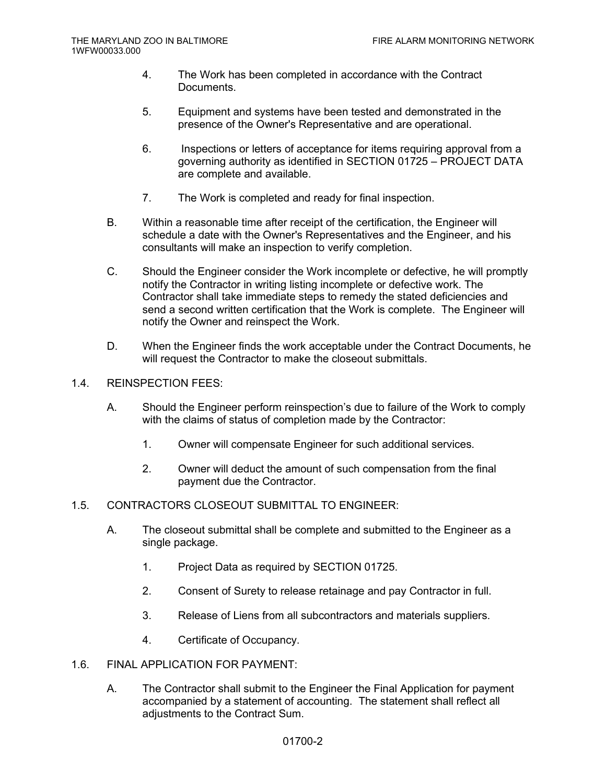- 4. The Work has been completed in accordance with the Contract Documents.
- 5. Equipment and systems have been tested and demonstrated in the presence of the Owner's Representative and are operational.
- 6. Inspections or letters of acceptance for items requiring approval from a governing authority as identified in SECTION 01725 – PROJECT DATA are complete and available.
- 7. The Work is completed and ready for final inspection.
- B. Within a reasonable time after receipt of the certification, the Engineer will schedule a date with the Owner's Representatives and the Engineer, and his consultants will make an inspection to verify completion.
- C. Should the Engineer consider the Work incomplete or defective, he will promptly notify the Contractor in writing listing incomplete or defective work. The Contractor shall take immediate steps to remedy the stated deficiencies and send a second written certification that the Work is complete. The Engineer will notify the Owner and reinspect the Work.
- D. When the Engineer finds the work acceptable under the Contract Documents, he will request the Contractor to make the closeout submittals.

#### 1.4. REINSPECTION FEES:

- A. Should the Engineer perform reinspection's due to failure of the Work to comply with the claims of status of completion made by the Contractor:
	- 1. Owner will compensate Engineer for such additional services.
	- 2. Owner will deduct the amount of such compensation from the final payment due the Contractor.
- 1.5. CONTRACTORS CLOSEOUT SUBMITTAL TO ENGINEER:
	- A. The closeout submittal shall be complete and submitted to the Engineer as a single package.
		- 1. Project Data as required by SECTION 01725.
		- 2. Consent of Surety to release retainage and pay Contractor in full.
		- 3. Release of Liens from all subcontractors and materials suppliers.
		- 4. Certificate of Occupancy.
- 1.6. FINAL APPLICATION FOR PAYMENT:
	- A. The Contractor shall submit to the Engineer the Final Application for payment accompanied by a statement of accounting. The statement shall reflect all adjustments to the Contract Sum.

#### 01700-2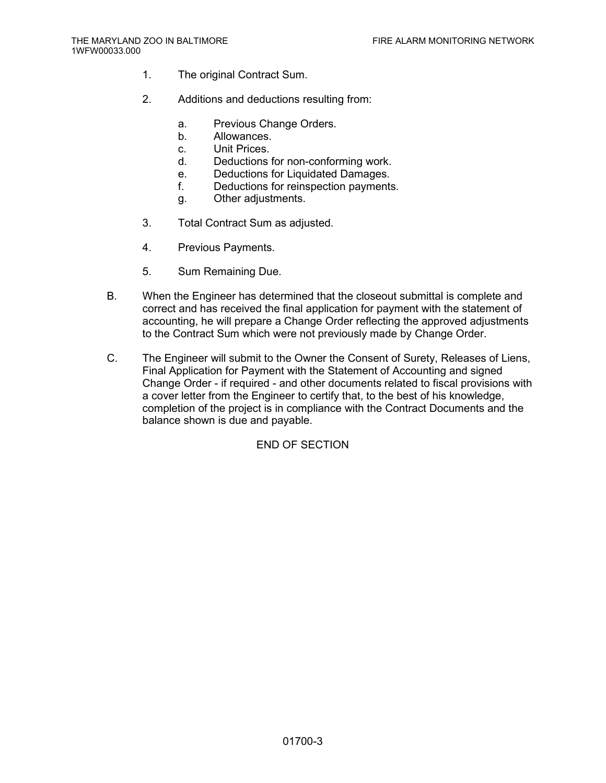- 1. The original Contract Sum.
- 2. Additions and deductions resulting from:
	- a. Previous Change Orders.
	- b. Allowances.
	- c. Unit Prices.
	- d. Deductions for non-conforming work.
	- e. Deductions for Liquidated Damages.
	- f. Deductions for reinspection payments.
	- g. Other adjustments.
- 3. Total Contract Sum as adjusted.
- 4. Previous Payments.
- 5. Sum Remaining Due.
- B. When the Engineer has determined that the closeout submittal is complete and correct and has received the final application for payment with the statement of accounting, he will prepare a Change Order reflecting the approved adjustments to the Contract Sum which were not previously made by Change Order.
- C. The Engineer will submit to the Owner the Consent of Surety, Releases of Liens, Final Application for Payment with the Statement of Accounting and signed Change Order - if required - and other documents related to fiscal provisions with a cover letter from the Engineer to certify that, to the best of his knowledge, completion of the project is in compliance with the Contract Documents and the balance shown is due and payable.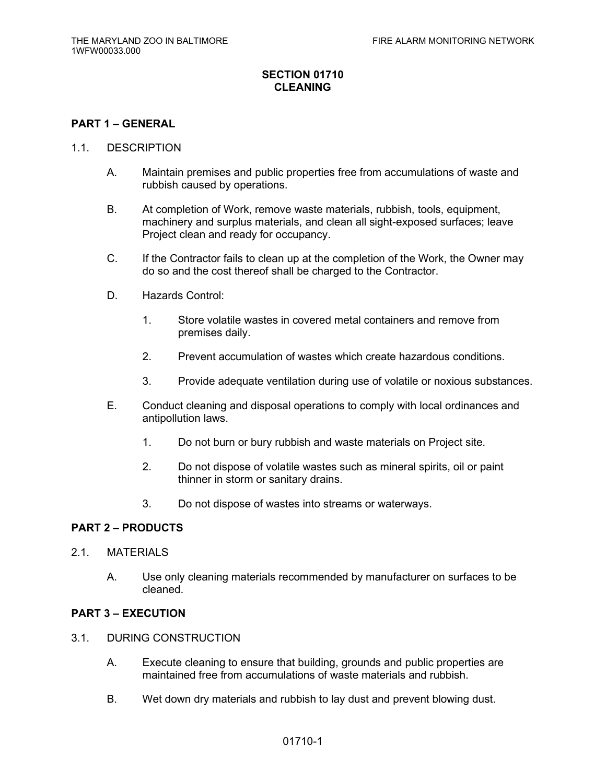## **SECTION 01710 CLEANING**

#### **PART 1 – GENERAL**

#### 1.1. DESCRIPTION

- A. Maintain premises and public properties free from accumulations of waste and rubbish caused by operations.
- B. At completion of Work, remove waste materials, rubbish, tools, equipment, machinery and surplus materials, and clean all sight-exposed surfaces; leave Project clean and ready for occupancy.
- C. If the Contractor fails to clean up at the completion of the Work, the Owner may do so and the cost thereof shall be charged to the Contractor.
- D. Hazards Control:
	- 1. Store volatile wastes in covered metal containers and remove from premises daily.
	- 2. Prevent accumulation of wastes which create hazardous conditions.
	- 3. Provide adequate ventilation during use of volatile or noxious substances.
- E. Conduct cleaning and disposal operations to comply with local ordinances and antipollution laws.
	- 1. Do not burn or bury rubbish and waste materials on Project site.
	- 2. Do not dispose of volatile wastes such as mineral spirits, oil or paint thinner in storm or sanitary drains.
	- 3. Do not dispose of wastes into streams or waterways.

## **PART 2 – PRODUCTS**

- 2.1. MATERIALS
	- A. Use only cleaning materials recommended by manufacturer on surfaces to be cleaned.

#### **PART 3 – EXECUTION**

- 3.1. DURING CONSTRUCTION
	- A. Execute cleaning to ensure that building, grounds and public properties are maintained free from accumulations of waste materials and rubbish.
	- B. Wet down dry materials and rubbish to lay dust and prevent blowing dust.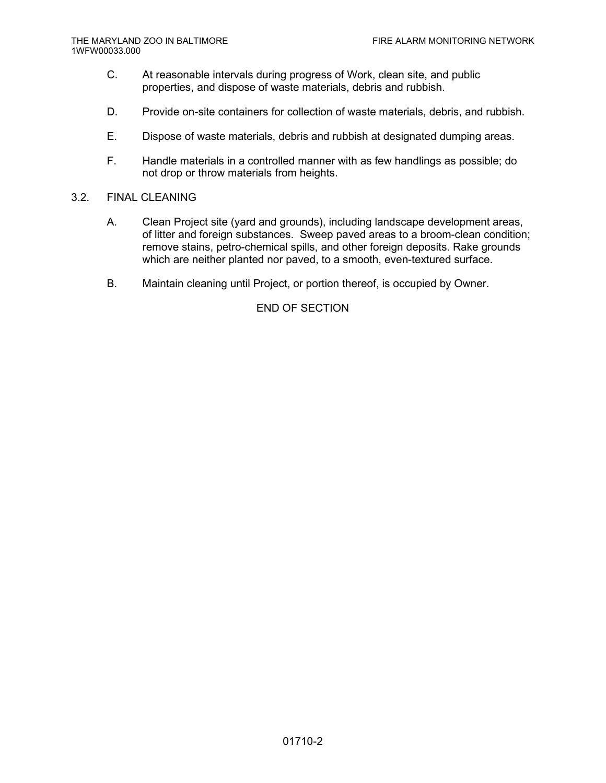- C. At reasonable intervals during progress of Work, clean site, and public properties, and dispose of waste materials, debris and rubbish.
- D. Provide on-site containers for collection of waste materials, debris, and rubbish.
- E. Dispose of waste materials, debris and rubbish at designated dumping areas.
- F. Handle materials in a controlled manner with as few handlings as possible; do not drop or throw materials from heights.
- 3.2. FINAL CLEANING
	- A. Clean Project site (yard and grounds), including landscape development areas, of litter and foreign substances. Sweep paved areas to a broom-clean condition; remove stains, petro-chemical spills, and other foreign deposits. Rake grounds which are neither planted nor paved, to a smooth, even-textured surface.
	- B. Maintain cleaning until Project, or portion thereof, is occupied by Owner.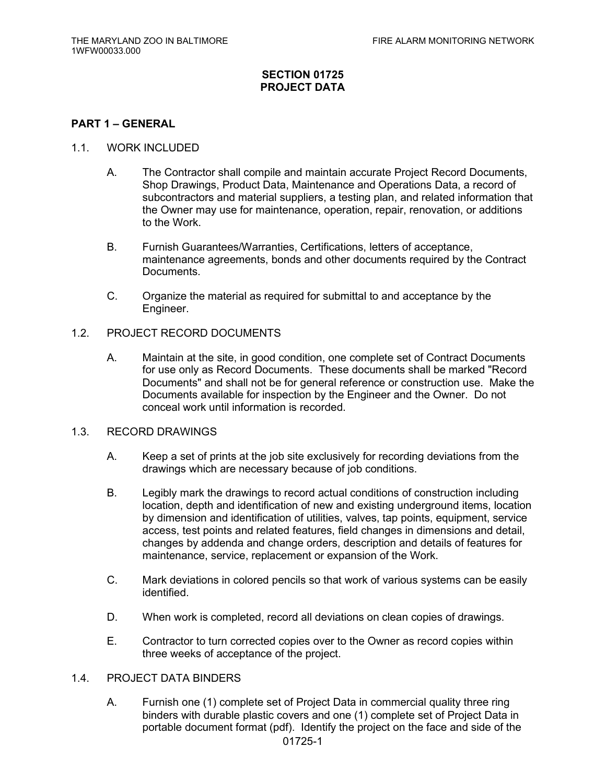## **SECTION 01725 PROJECT DATA**

#### **PART 1 – GENERAL**

#### 1.1. WORK INCLUDED

- A. The Contractor shall compile and maintain accurate Project Record Documents, Shop Drawings, Product Data, Maintenance and Operations Data, a record of subcontractors and material suppliers, a testing plan, and related information that the Owner may use for maintenance, operation, repair, renovation, or additions to the Work.
- B. Furnish Guarantees/Warranties, Certifications, letters of acceptance, maintenance agreements, bonds and other documents required by the Contract Documents.
- C. Organize the material as required for submittal to and acceptance by the Engineer.

## 1.2. PROJECT RECORD DOCUMENTS

A. Maintain at the site, in good condition, one complete set of Contract Documents for use only as Record Documents. These documents shall be marked "Record Documents" and shall not be for general reference or construction use. Make the Documents available for inspection by the Engineer and the Owner. Do not conceal work until information is recorded.

#### 1.3. RECORD DRAWINGS

- A. Keep a set of prints at the job site exclusively for recording deviations from the drawings which are necessary because of job conditions.
- B. Legibly mark the drawings to record actual conditions of construction including location, depth and identification of new and existing underground items, location by dimension and identification of utilities, valves, tap points, equipment, service access, test points and related features, field changes in dimensions and detail, changes by addenda and change orders, description and details of features for maintenance, service, replacement or expansion of the Work.
- C. Mark deviations in colored pencils so that work of various systems can be easily identified.
- D. When work is completed, record all deviations on clean copies of drawings.
- E. Contractor to turn corrected copies over to the Owner as record copies within three weeks of acceptance of the project.

#### 1.4. PROJECT DATA BINDERS

A. Furnish one (1) complete set of Project Data in commercial quality three ring binders with durable plastic covers and one (1) complete set of Project Data in portable document format (pdf). Identify the project on the face and side of the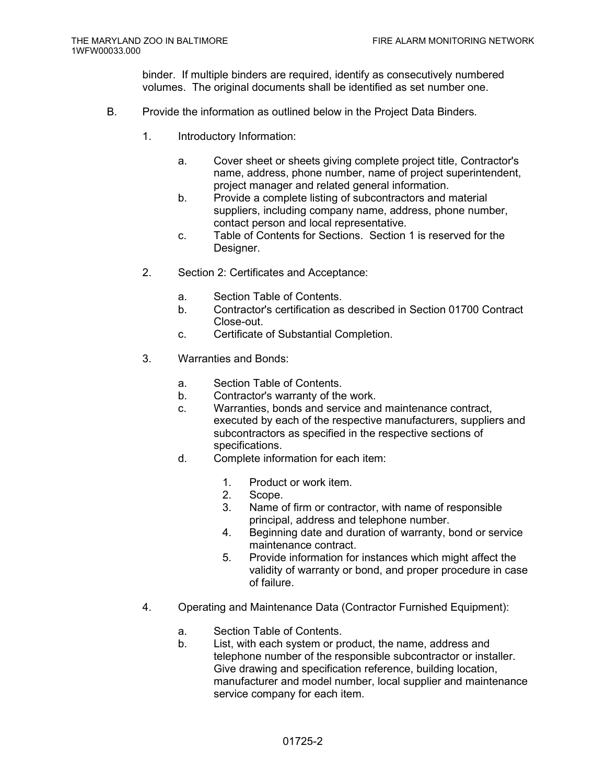binder. If multiple binders are required, identify as consecutively numbered volumes. The original documents shall be identified as set number one.

- B. Provide the information as outlined below in the Project Data Binders.
	- 1. Introductory Information:
		- a. Cover sheet or sheets giving complete project title, Contractor's name, address, phone number, name of project superintendent, project manager and related general information.
		- b. Provide a complete listing of subcontractors and material suppliers, including company name, address, phone number, contact person and local representative.
		- c. Table of Contents for Sections. Section 1 is reserved for the Designer.
	- 2. Section 2: Certificates and Acceptance:
		- a. Section Table of Contents.
		- b. Contractor's certification as described in Section 01700 Contract Close-out.
		- c. Certificate of Substantial Completion.
	- 3. Warranties and Bonds:
		- a. Section Table of Contents.
		- b. Contractor's warranty of the work.
		- c. Warranties, bonds and service and maintenance contract, executed by each of the respective manufacturers, suppliers and subcontractors as specified in the respective sections of specifications.
		- d. Complete information for each item:
			- 1. Product or work item.
			- 2. Scope.
			- 3. Name of firm or contractor, with name of responsible principal, address and telephone number.
			- 4. Beginning date and duration of warranty, bond or service maintenance contract.
			- 5. Provide information for instances which might affect the validity of warranty or bond, and proper procedure in case of failure.
	- 4. Operating and Maintenance Data (Contractor Furnished Equipment):
		- a. Section Table of Contents.
		- b. List, with each system or product, the name, address and telephone number of the responsible subcontractor or installer. Give drawing and specification reference, building location, manufacturer and model number, local supplier and maintenance service company for each item.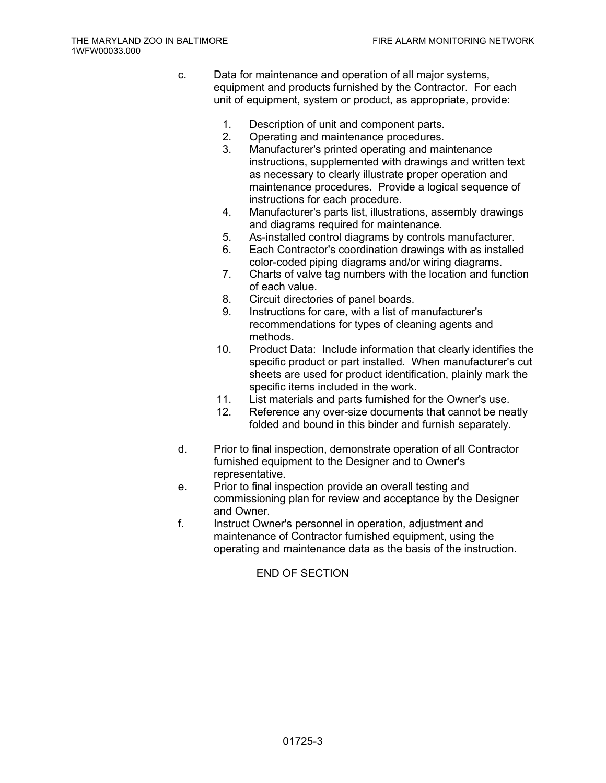- c. Data for maintenance and operation of all major systems, equipment and products furnished by the Contractor. For each unit of equipment, system or product, as appropriate, provide:
	- 1. Description of unit and component parts.
	- 2. Operating and maintenance procedures.
	- 3. Manufacturer's printed operating and maintenance instructions, supplemented with drawings and written text as necessary to clearly illustrate proper operation and maintenance procedures. Provide a logical sequence of instructions for each procedure.
	- 4. Manufacturer's parts list, illustrations, assembly drawings and diagrams required for maintenance.
	- 5. As-installed control diagrams by controls manufacturer.
	- 6. Each Contractor's coordination drawings with as installed color-coded piping diagrams and/or wiring diagrams.
	- 7. Charts of valve tag numbers with the location and function of each value.
	- 8. Circuit directories of panel boards.
	- 9. Instructions for care, with a list of manufacturer's recommendations for types of cleaning agents and methods.
	- 10. Product Data: Include information that clearly identifies the specific product or part installed. When manufacturer's cut sheets are used for product identification, plainly mark the specific items included in the work.
	- 11. List materials and parts furnished for the Owner's use.
	- 12. Reference any over-size documents that cannot be neatly folded and bound in this binder and furnish separately.
- d. Prior to final inspection, demonstrate operation of all Contractor furnished equipment to the Designer and to Owner's representative.
- e. Prior to final inspection provide an overall testing and commissioning plan for review and acceptance by the Designer and Owner.
- f. Instruct Owner's personnel in operation, adjustment and maintenance of Contractor furnished equipment, using the operating and maintenance data as the basis of the instruction.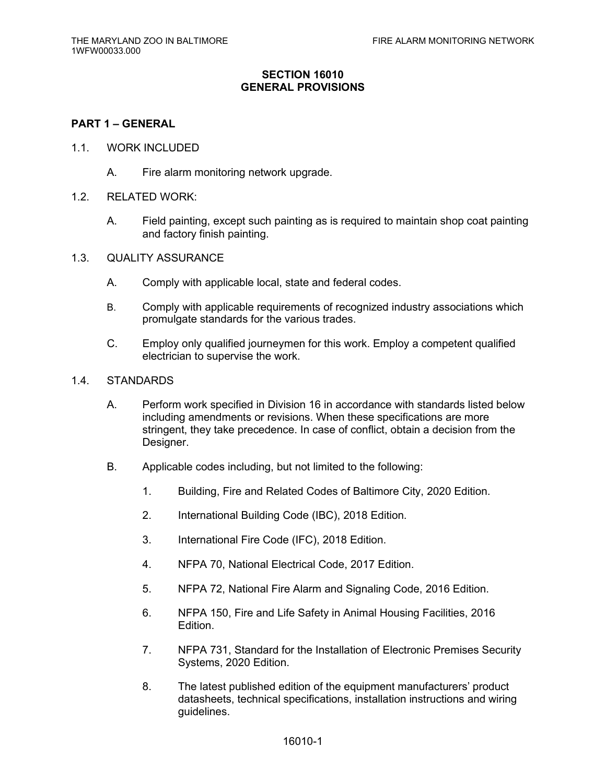## **SECTION 16010 GENERAL PROVISIONS**

#### **PART 1 – GENERAL**

- 1.1. WORK INCLUDED
	- A. Fire alarm monitoring network upgrade.
- 1.2. RELATED WORK:
	- A. Field painting, except such painting as is required to maintain shop coat painting and factory finish painting.
- 1.3. QUALITY ASSURANCE
	- A. Comply with applicable local, state and federal codes.
	- B. Comply with applicable requirements of recognized industry associations which promulgate standards for the various trades.
	- C. Employ only qualified journeymen for this work. Employ a competent qualified electrician to supervise the work.
- 1.4. STANDARDS
	- A. Perform work specified in Division 16 in accordance with standards listed below including amendments or revisions. When these specifications are more stringent, they take precedence. In case of conflict, obtain a decision from the Designer.
	- B. Applicable codes including, but not limited to the following:
		- 1. Building, Fire and Related Codes of Baltimore City, 2020 Edition.
		- 2. International Building Code (IBC), 2018 Edition.
		- 3. International Fire Code (IFC), 2018 Edition.
		- 4. NFPA 70, National Electrical Code, 2017 Edition.
		- 5. NFPA 72, National Fire Alarm and Signaling Code, 2016 Edition.
		- 6. NFPA 150, Fire and Life Safety in Animal Housing Facilities, 2016 Edition.
		- 7. NFPA 731, Standard for the Installation of Electronic Premises Security Systems, 2020 Edition.
		- 8. The latest published edition of the equipment manufacturers' product datasheets, technical specifications, installation instructions and wiring guidelines.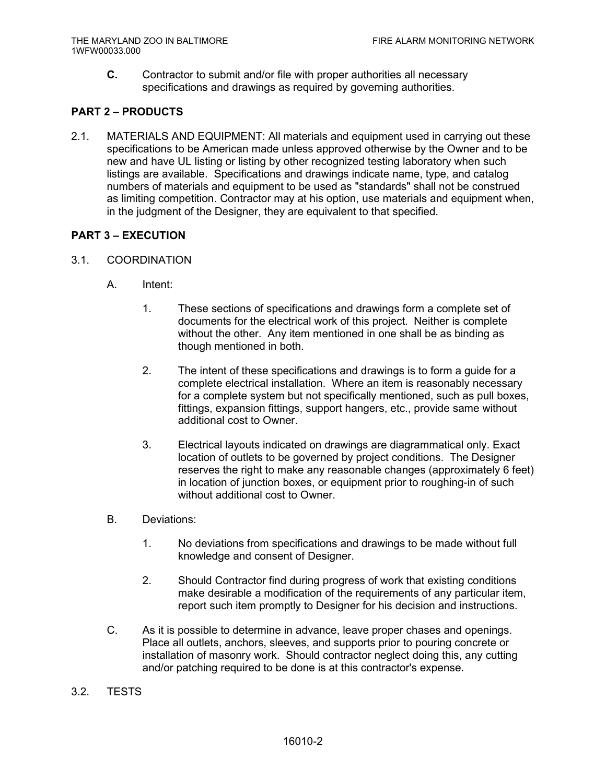**C.** Contractor to submit and/or file with proper authorities all necessary specifications and drawings as required by governing authorities.

## **PART 2 – PRODUCTS**

2.1. MATERIALS AND EQUIPMENT: All materials and equipment used in carrying out these specifications to be American made unless approved otherwise by the Owner and to be new and have UL listing or listing by other recognized testing laboratory when such listings are available. Specifications and drawings indicate name, type, and catalog numbers of materials and equipment to be used as "standards" shall not be construed as limiting competition. Contractor may at his option, use materials and equipment when, in the judgment of the Designer, they are equivalent to that specified.

## **PART 3 – EXECUTION**

- 3.1. COORDINATION
	- A. Intent:
		- 1. These sections of specifications and drawings form a complete set of documents for the electrical work of this project. Neither is complete without the other. Any item mentioned in one shall be as binding as though mentioned in both.
		- 2. The intent of these specifications and drawings is to form a guide for a complete electrical installation. Where an item is reasonably necessary for a complete system but not specifically mentioned, such as pull boxes, fittings, expansion fittings, support hangers, etc., provide same without additional cost to Owner.
		- 3. Electrical layouts indicated on drawings are diagrammatical only. Exact location of outlets to be governed by project conditions. The Designer reserves the right to make any reasonable changes (approximately 6 feet) in location of junction boxes, or equipment prior to roughing-in of such without additional cost to Owner.
	- B. Deviations:
		- 1. No deviations from specifications and drawings to be made without full knowledge and consent of Designer.
		- 2. Should Contractor find during progress of work that existing conditions make desirable a modification of the requirements of any particular item, report such item promptly to Designer for his decision and instructions.
	- C. As it is possible to determine in advance, leave proper chases and openings. Place all outlets, anchors, sleeves, and supports prior to pouring concrete or installation of masonry work. Should contractor neglect doing this, any cutting and/or patching required to be done is at this contractor's expense.
- 3.2. TESTS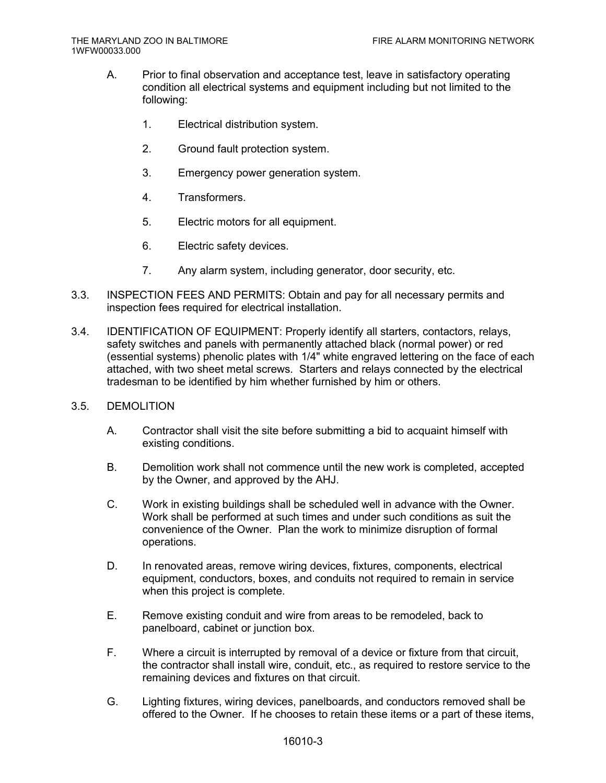- A. Prior to final observation and acceptance test, leave in satisfactory operating condition all electrical systems and equipment including but not limited to the following:
	- 1. Electrical distribution system.
	- 2. Ground fault protection system.
	- 3. Emergency power generation system.
	- 4. Transformers.
	- 5. Electric motors for all equipment.
	- 6. Electric safety devices.
	- 7. Any alarm system, including generator, door security, etc.
- 3.3. INSPECTION FEES AND PERMITS: Obtain and pay for all necessary permits and inspection fees required for electrical installation.
- 3.4. IDENTIFICATION OF EQUIPMENT: Properly identify all starters, contactors, relays, safety switches and panels with permanently attached black (normal power) or red (essential systems) phenolic plates with 1/4" white engraved lettering on the face of each attached, with two sheet metal screws. Starters and relays connected by the electrical tradesman to be identified by him whether furnished by him or others.

#### 3.5. DEMOLITION

- A. Contractor shall visit the site before submitting a bid to acquaint himself with existing conditions.
- B. Demolition work shall not commence until the new work is completed, accepted by the Owner, and approved by the AHJ.
- C. Work in existing buildings shall be scheduled well in advance with the Owner. Work shall be performed at such times and under such conditions as suit the convenience of the Owner. Plan the work to minimize disruption of formal operations.
- D. In renovated areas, remove wiring devices, fixtures, components, electrical equipment, conductors, boxes, and conduits not required to remain in service when this project is complete.
- E. Remove existing conduit and wire from areas to be remodeled, back to panelboard, cabinet or junction box.
- F. Where a circuit is interrupted by removal of a device or fixture from that circuit, the contractor shall install wire, conduit, etc., as required to restore service to the remaining devices and fixtures on that circuit.
- G. Lighting fixtures, wiring devices, panelboards, and conductors removed shall be offered to the Owner. If he chooses to retain these items or a part of these items,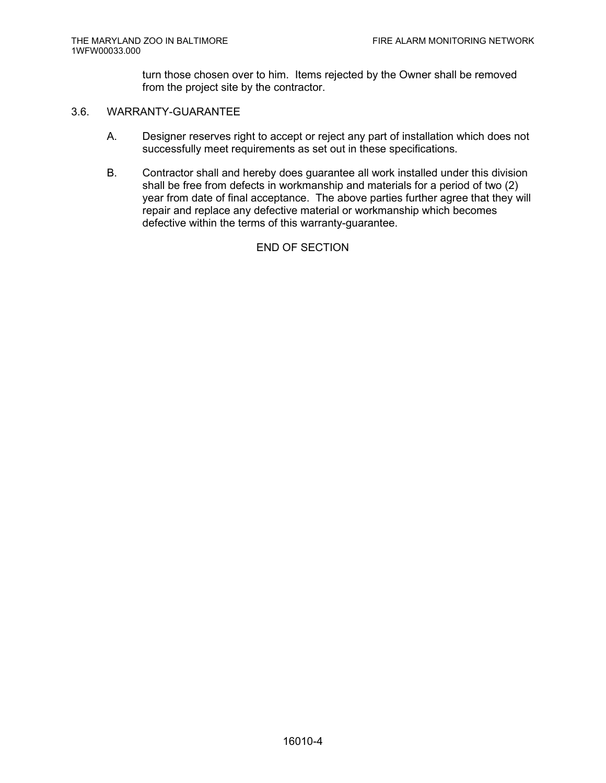turn those chosen over to him. Items rejected by the Owner shall be removed from the project site by the contractor.

## 3.6. WARRANTY-GUARANTEE

- A. Designer reserves right to accept or reject any part of installation which does not successfully meet requirements as set out in these specifications.
- B. Contractor shall and hereby does guarantee all work installed under this division shall be free from defects in workmanship and materials for a period of two (2) year from date of final acceptance. The above parties further agree that they will repair and replace any defective material or workmanship which becomes defective within the terms of this warranty-guarantee.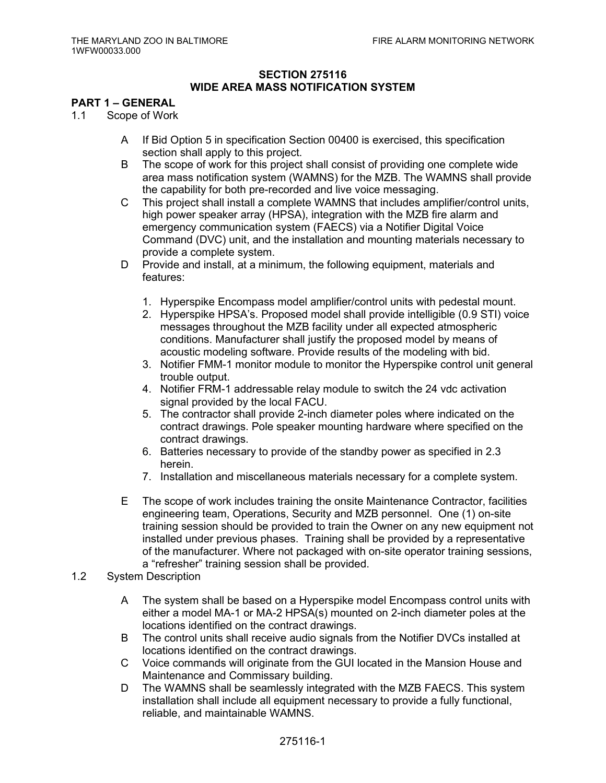## **SECTION 275116 WIDE AREA MASS NOTIFICATION SYSTEM**

## **PART 1 – GENERAL**

- 1.1 Scope of Work
	- A If Bid Option 5 in specification Section 00400 is exercised, this specification section shall apply to this project.
	- B The scope of work for this project shall consist of providing one complete wide area mass notification system (WAMNS) for the MZB. The WAMNS shall provide the capability for both pre-recorded and live voice messaging.
	- C This project shall install a complete WAMNS that includes amplifier/control units, high power speaker array (HPSA), integration with the MZB fire alarm and emergency communication system (FAECS) via a Notifier Digital Voice Command (DVC) unit, and the installation and mounting materials necessary to provide a complete system.
	- D Provide and install, at a minimum, the following equipment, materials and features:
		- 1. Hyperspike Encompass model amplifier/control units with pedestal mount.
		- 2. Hyperspike HPSA's. Proposed model shall provide intelligible (0.9 STI) voice messages throughout the MZB facility under all expected atmospheric conditions. Manufacturer shall justify the proposed model by means of acoustic modeling software. Provide results of the modeling with bid.
		- 3. Notifier FMM-1 monitor module to monitor the Hyperspike control unit general trouble output.
		- 4. Notifier FRM-1 addressable relay module to switch the 24 vdc activation signal provided by the local FACU.
		- 5. The contractor shall provide 2-inch diameter poles where indicated on the contract drawings. Pole speaker mounting hardware where specified on the contract drawings.
		- 6. Batteries necessary to provide of the standby power as specified in 2.3 herein.
		- 7. Installation and miscellaneous materials necessary for a complete system.
	- E The scope of work includes training the onsite Maintenance Contractor, facilities engineering team, Operations, Security and MZB personnel. One (1) on-site training session should be provided to train the Owner on any new equipment not installed under previous phases. Training shall be provided by a representative of the manufacturer. Where not packaged with on-site operator training sessions, a "refresher" training session shall be provided.
- 1.2 System Description
	- A The system shall be based on a Hyperspike model Encompass control units with either a model MA-1 or MA-2 HPSA(s) mounted on 2-inch diameter poles at the locations identified on the contract drawings.
	- B The control units shall receive audio signals from the Notifier DVCs installed at locations identified on the contract drawings.
	- C Voice commands will originate from the GUI located in the Mansion House and Maintenance and Commissary building.
	- D The WAMNS shall be seamlessly integrated with the MZB FAECS. This system installation shall include all equipment necessary to provide a fully functional, reliable, and maintainable WAMNS.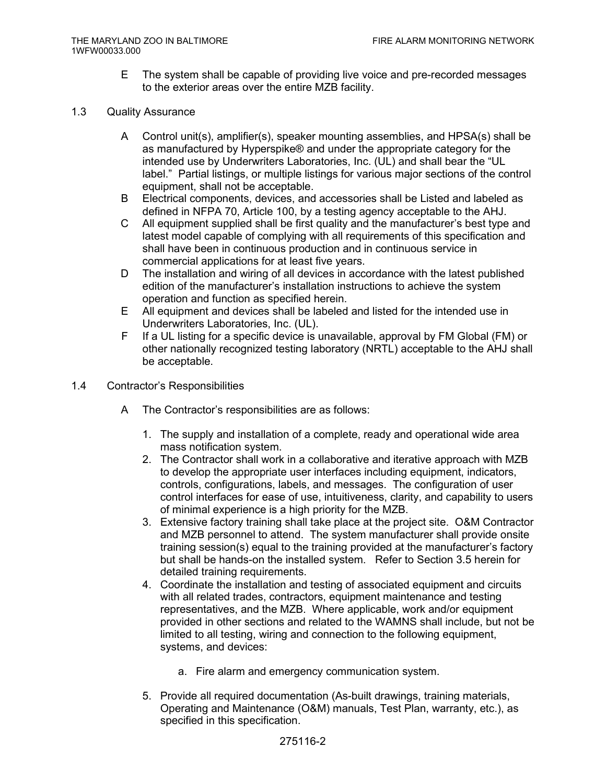E The system shall be capable of providing live voice and pre-recorded messages to the exterior areas over the entire MZB facility.

#### 1.3 Quality Assurance

- A Control unit(s), amplifier(s), speaker mounting assemblies, and HPSA(s) shall be as manufactured by Hyperspike® and under the appropriate category for the intended use by Underwriters Laboratories, Inc. (UL) and shall bear the "UL label." Partial listings, or multiple listings for various major sections of the control equipment, shall not be acceptable.
- B Electrical components, devices, and accessories shall be Listed and labeled as defined in NFPA 70, Article 100, by a testing agency acceptable to the AHJ.
- C All equipment supplied shall be first quality and the manufacturer's best type and latest model capable of complying with all requirements of this specification and shall have been in continuous production and in continuous service in commercial applications for at least five years.
- D The installation and wiring of all devices in accordance with the latest published edition of the manufacturer's installation instructions to achieve the system operation and function as specified herein.
- E All equipment and devices shall be labeled and listed for the intended use in Underwriters Laboratories, Inc. (UL).
- F If a UL listing for a specific device is unavailable, approval by FM Global (FM) or other nationally recognized testing laboratory (NRTL) acceptable to the AHJ shall be acceptable.
- 1.4 Contractor's Responsibilities
	- A The Contractor's responsibilities are as follows:
		- 1. The supply and installation of a complete, ready and operational wide area mass notification system.
		- 2. The Contractor shall work in a collaborative and iterative approach with MZB to develop the appropriate user interfaces including equipment, indicators, controls, configurations, labels, and messages. The configuration of user control interfaces for ease of use, intuitiveness, clarity, and capability to users of minimal experience is a high priority for the MZB.
		- 3. Extensive factory training shall take place at the project site. O&M Contractor and MZB personnel to attend. The system manufacturer shall provide onsite training session(s) equal to the training provided at the manufacturer's factory but shall be hands-on the installed system. Refer to Section 3.5 herein for detailed training requirements.
		- 4. Coordinate the installation and testing of associated equipment and circuits with all related trades, contractors, equipment maintenance and testing representatives, and the MZB. Where applicable, work and/or equipment provided in other sections and related to the WAMNS shall include, but not be limited to all testing, wiring and connection to the following equipment, systems, and devices:
			- a. Fire alarm and emergency communication system.
		- 5. Provide all required documentation (As-built drawings, training materials, Operating and Maintenance (O&M) manuals, Test Plan, warranty, etc.), as specified in this specification.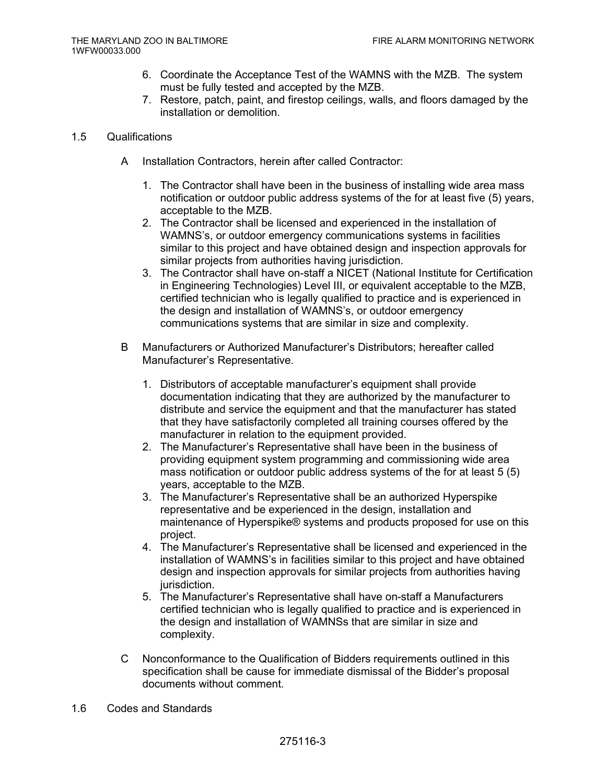- 6. Coordinate the Acceptance Test of the WAMNS with the MZB. The system must be fully tested and accepted by the MZB.
- 7. Restore, patch, paint, and firestop ceilings, walls, and floors damaged by the installation or demolition.
- 1.5 Qualifications
	- A Installation Contractors, herein after called Contractor:
		- 1. The Contractor shall have been in the business of installing wide area mass notification or outdoor public address systems of the for at least five (5) years, acceptable to the MZB.
		- 2. The Contractor shall be licensed and experienced in the installation of WAMNS's, or outdoor emergency communications systems in facilities similar to this project and have obtained design and inspection approvals for similar projects from authorities having jurisdiction.
		- 3. The Contractor shall have on-staff a NICET (National Institute for Certification in Engineering Technologies) Level III, or equivalent acceptable to the MZB, certified technician who is legally qualified to practice and is experienced in the design and installation of WAMNS's, or outdoor emergency communications systems that are similar in size and complexity.
	- B Manufacturers or Authorized Manufacturer's Distributors; hereafter called Manufacturer's Representative.
		- 1. Distributors of acceptable manufacturer's equipment shall provide documentation indicating that they are authorized by the manufacturer to distribute and service the equipment and that the manufacturer has stated that they have satisfactorily completed all training courses offered by the manufacturer in relation to the equipment provided.
		- 2. The Manufacturer's Representative shall have been in the business of providing equipment system programming and commissioning wide area mass notification or outdoor public address systems of the for at least 5 (5) years, acceptable to the MZB.
		- 3. The Manufacturer's Representative shall be an authorized Hyperspike representative and be experienced in the design, installation and maintenance of Hyperspike® systems and products proposed for use on this project.
		- 4. The Manufacturer's Representative shall be licensed and experienced in the installation of WAMNS's in facilities similar to this project and have obtained design and inspection approvals for similar projects from authorities having jurisdiction.
		- 5. The Manufacturer's Representative shall have on-staff a Manufacturers certified technician who is legally qualified to practice and is experienced in the design and installation of WAMNSs that are similar in size and complexity.
	- C Nonconformance to the Qualification of Bidders requirements outlined in this specification shall be cause for immediate dismissal of the Bidder's proposal documents without comment.
- 1.6 Codes and Standards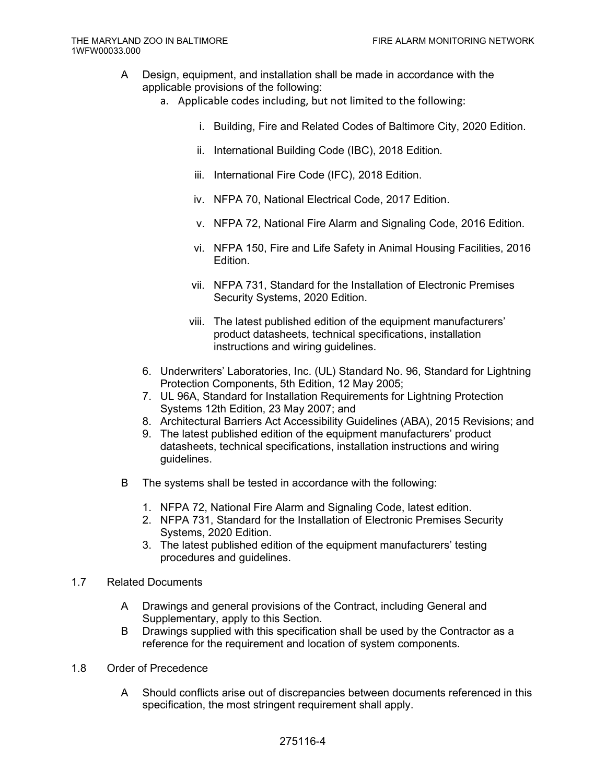- A Design, equipment, and installation shall be made in accordance with the applicable provisions of the following:
	- a. Applicable codes including, but not limited to the following:
		- i. Building, Fire and Related Codes of Baltimore City, 2020 Edition.
		- ii. International Building Code (IBC), 2018 Edition.
		- iii. International Fire Code (IFC), 2018 Edition.
		- iv. NFPA 70, National Electrical Code, 2017 Edition.
		- v. NFPA 72, National Fire Alarm and Signaling Code, 2016 Edition.
		- vi. NFPA 150, Fire and Life Safety in Animal Housing Facilities, 2016 Edition.
		- vii. NFPA 731, Standard for the Installation of Electronic Premises Security Systems, 2020 Edition.
		- viii. The latest published edition of the equipment manufacturers' product datasheets, technical specifications, installation instructions and wiring guidelines.
	- 6. Underwriters' Laboratories, Inc. (UL) Standard No. 96, Standard for Lightning Protection Components, 5th Edition, 12 May 2005;
	- 7. UL 96A, Standard for Installation Requirements for Lightning Protection Systems 12th Edition, 23 May 2007; and
	- 8. Architectural Barriers Act Accessibility Guidelines (ABA), 2015 Revisions; and
	- 9. The latest published edition of the equipment manufacturers' product datasheets, technical specifications, installation instructions and wiring guidelines.
- B The systems shall be tested in accordance with the following:
	- 1. NFPA 72, National Fire Alarm and Signaling Code, latest edition.
	- 2. NFPA 731, Standard for the Installation of Electronic Premises Security Systems, 2020 Edition.
	- 3. The latest published edition of the equipment manufacturers' testing procedures and guidelines.
- 1.7 Related Documents
	- A Drawings and general provisions of the Contract, including General and Supplementary, apply to this Section.
	- B Drawings supplied with this specification shall be used by the Contractor as a reference for the requirement and location of system components.
- 1.8 Order of Precedence
	- A Should conflicts arise out of discrepancies between documents referenced in this specification, the most stringent requirement shall apply.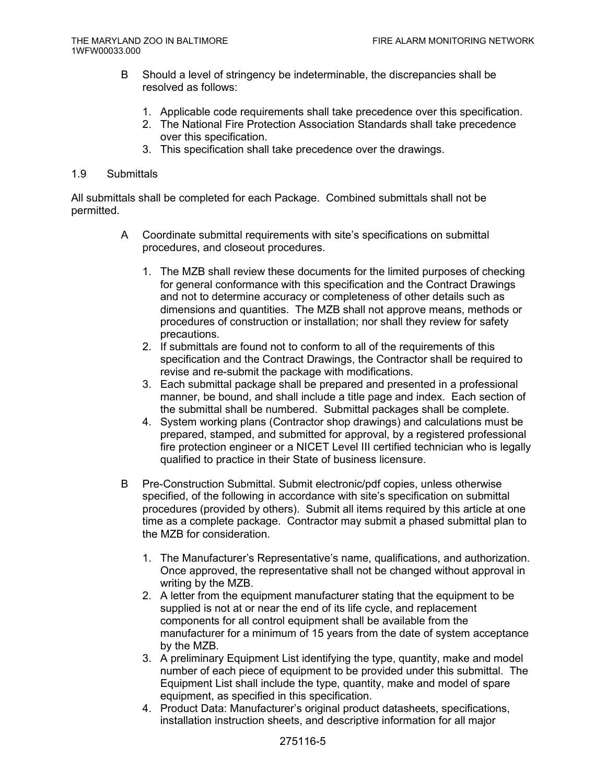- B Should a level of stringency be indeterminable, the discrepancies shall be resolved as follows:
	- 1. Applicable code requirements shall take precedence over this specification.
	- 2. The National Fire Protection Association Standards shall take precedence over this specification.
	- 3. This specification shall take precedence over the drawings.

## 1.9 Submittals

All submittals shall be completed for each Package. Combined submittals shall not be permitted.

- A Coordinate submittal requirements with site's specifications on submittal procedures, and closeout procedures.
	- 1. The MZB shall review these documents for the limited purposes of checking for general conformance with this specification and the Contract Drawings and not to determine accuracy or completeness of other details such as dimensions and quantities. The MZB shall not approve means, methods or procedures of construction or installation; nor shall they review for safety precautions.
	- 2. If submittals are found not to conform to all of the requirements of this specification and the Contract Drawings, the Contractor shall be required to revise and re-submit the package with modifications.
	- 3. Each submittal package shall be prepared and presented in a professional manner, be bound, and shall include a title page and index. Each section of the submittal shall be numbered. Submittal packages shall be complete.
	- 4. System working plans (Contractor shop drawings) and calculations must be prepared, stamped, and submitted for approval, by a registered professional fire protection engineer or a NICET Level III certified technician who is legally qualified to practice in their State of business licensure.
- B Pre-Construction Submittal. Submit electronic/pdf copies, unless otherwise specified, of the following in accordance with site's specification on submittal procedures (provided by others). Submit all items required by this article at one time as a complete package. Contractor may submit a phased submittal plan to the MZB for consideration.
	- 1. The Manufacturer's Representative's name, qualifications, and authorization. Once approved, the representative shall not be changed without approval in writing by the MZB.
	- 2. A letter from the equipment manufacturer stating that the equipment to be supplied is not at or near the end of its life cycle, and replacement components for all control equipment shall be available from the manufacturer for a minimum of 15 years from the date of system acceptance by the MZB.
	- 3. A preliminary Equipment List identifying the type, quantity, make and model number of each piece of equipment to be provided under this submittal. The Equipment List shall include the type, quantity, make and model of spare equipment, as specified in this specification.
	- 4. Product Data: Manufacturer's original product datasheets, specifications, installation instruction sheets, and descriptive information for all major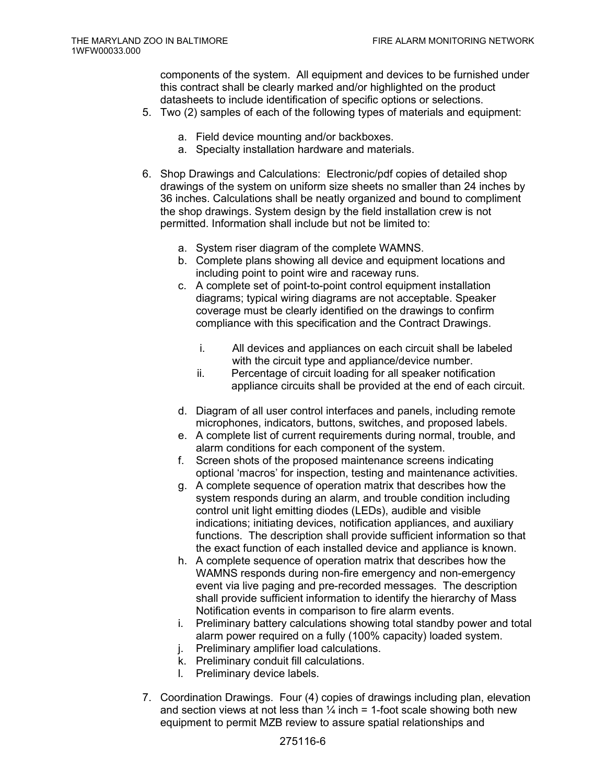components of the system. All equipment and devices to be furnished under this contract shall be clearly marked and/or highlighted on the product datasheets to include identification of specific options or selections.

- 5. Two (2) samples of each of the following types of materials and equipment:
	- a. Field device mounting and/or backboxes.
	- a. Specialty installation hardware and materials.
- 6. Shop Drawings and Calculations: Electronic/pdf copies of detailed shop drawings of the system on uniform size sheets no smaller than 24 inches by 36 inches. Calculations shall be neatly organized and bound to compliment the shop drawings. System design by the field installation crew is not permitted. Information shall include but not be limited to:
	- a. System riser diagram of the complete WAMNS.
	- b. Complete plans showing all device and equipment locations and including point to point wire and raceway runs.
	- c. A complete set of point-to-point control equipment installation diagrams; typical wiring diagrams are not acceptable. Speaker coverage must be clearly identified on the drawings to confirm compliance with this specification and the Contract Drawings.
		- i. All devices and appliances on each circuit shall be labeled with the circuit type and appliance/device number.
		- ii. Percentage of circuit loading for all speaker notification appliance circuits shall be provided at the end of each circuit.
	- d. Diagram of all user control interfaces and panels, including remote microphones, indicators, buttons, switches, and proposed labels.
	- e. A complete list of current requirements during normal, trouble, and alarm conditions for each component of the system.
	- f. Screen shots of the proposed maintenance screens indicating optional 'macros' for inspection, testing and maintenance activities.
	- g. A complete sequence of operation matrix that describes how the system responds during an alarm, and trouble condition including control unit light emitting diodes (LEDs), audible and visible indications; initiating devices, notification appliances, and auxiliary functions. The description shall provide sufficient information so that the exact function of each installed device and appliance is known.
	- h. A complete sequence of operation matrix that describes how the WAMNS responds during non-fire emergency and non-emergency event via live paging and pre-recorded messages. The description shall provide sufficient information to identify the hierarchy of Mass Notification events in comparison to fire alarm events.
	- i. Preliminary battery calculations showing total standby power and total alarm power required on a fully (100% capacity) loaded system.
	- j. Preliminary amplifier load calculations.
	- k. Preliminary conduit fill calculations.
	- l. Preliminary device labels.
- 7. Coordination Drawings. Four (4) copies of drawings including plan, elevation and section views at not less than  $\frac{1}{4}$  inch = 1-foot scale showing both new equipment to permit MZB review to assure spatial relationships and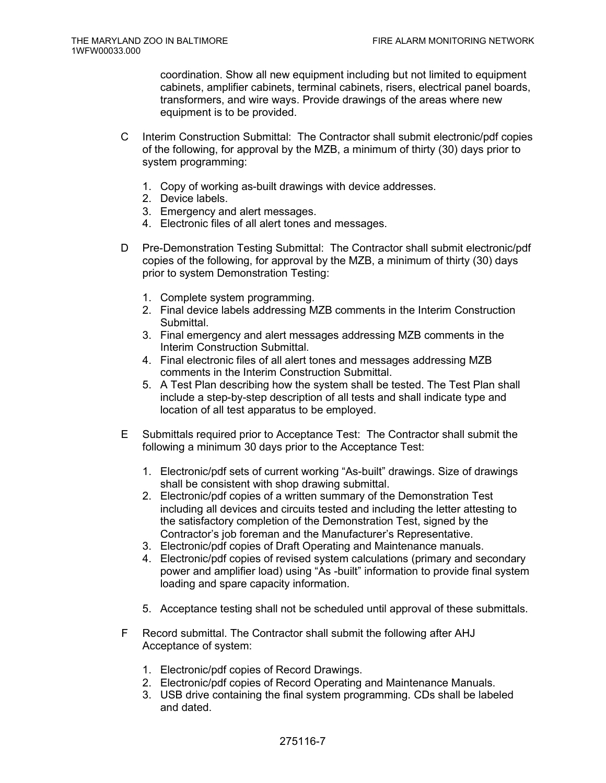coordination. Show all new equipment including but not limited to equipment cabinets, amplifier cabinets, terminal cabinets, risers, electrical panel boards, transformers, and wire ways. Provide drawings of the areas where new equipment is to be provided.

- C Interim Construction Submittal: The Contractor shall submit electronic/pdf copies of the following, for approval by the MZB, a minimum of thirty (30) days prior to system programming:
	- 1. Copy of working as-built drawings with device addresses.
	- 2. Device labels.
	- 3. Emergency and alert messages.
	- 4. Electronic files of all alert tones and messages.
- D Pre-Demonstration Testing Submittal: The Contractor shall submit electronic/pdf copies of the following, for approval by the MZB, a minimum of thirty (30) days prior to system Demonstration Testing:
	- 1. Complete system programming.
	- 2. Final device labels addressing MZB comments in the Interim Construction Submittal.
	- 3. Final emergency and alert messages addressing MZB comments in the Interim Construction Submittal.
	- 4. Final electronic files of all alert tones and messages addressing MZB comments in the Interim Construction Submittal.
	- 5. A Test Plan describing how the system shall be tested. The Test Plan shall include a step-by-step description of all tests and shall indicate type and location of all test apparatus to be employed.
- E Submittals required prior to Acceptance Test: The Contractor shall submit the following a minimum 30 days prior to the Acceptance Test:
	- 1. Electronic/pdf sets of current working "As-built" drawings. Size of drawings shall be consistent with shop drawing submittal.
	- 2. Electronic/pdf copies of a written summary of the Demonstration Test including all devices and circuits tested and including the letter attesting to the satisfactory completion of the Demonstration Test, signed by the Contractor's job foreman and the Manufacturer's Representative.
	- 3. Electronic/pdf copies of Draft Operating and Maintenance manuals.
	- 4. Electronic/pdf copies of revised system calculations (primary and secondary power and amplifier load) using "As -built" information to provide final system loading and spare capacity information.
	- 5. Acceptance testing shall not be scheduled until approval of these submittals.
- F Record submittal. The Contractor shall submit the following after AHJ Acceptance of system:
	- 1. Electronic/pdf copies of Record Drawings.
	- 2. Electronic/pdf copies of Record Operating and Maintenance Manuals.
	- 3. USB drive containing the final system programming. CDs shall be labeled and dated.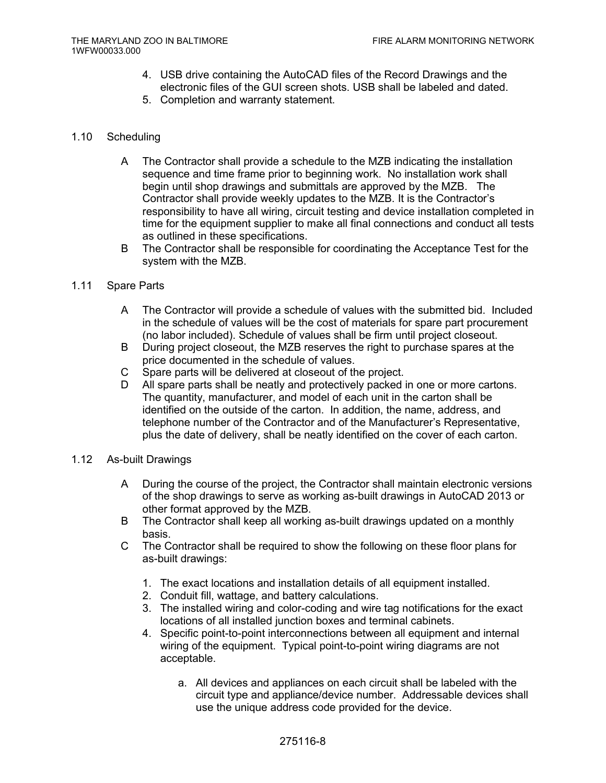- 4. USB drive containing the AutoCAD files of the Record Drawings and the electronic files of the GUI screen shots. USB shall be labeled and dated.
- 5. Completion and warranty statement.

#### 1.10 Scheduling

- A The Contractor shall provide a schedule to the MZB indicating the installation sequence and time frame prior to beginning work. No installation work shall begin until shop drawings and submittals are approved by the MZB. The Contractor shall provide weekly updates to the MZB. It is the Contractor's responsibility to have all wiring, circuit testing and device installation completed in time for the equipment supplier to make all final connections and conduct all tests as outlined in these specifications.
- B The Contractor shall be responsible for coordinating the Acceptance Test for the system with the MZB.

#### 1.11 Spare Parts

- A The Contractor will provide a schedule of values with the submitted bid. Included in the schedule of values will be the cost of materials for spare part procurement (no labor included). Schedule of values shall be firm until project closeout.
- B During project closeout, the MZB reserves the right to purchase spares at the price documented in the schedule of values.
- C Spare parts will be delivered at closeout of the project.
- D All spare parts shall be neatly and protectively packed in one or more cartons. The quantity, manufacturer, and model of each unit in the carton shall be identified on the outside of the carton. In addition, the name, address, and telephone number of the Contractor and of the Manufacturer's Representative, plus the date of delivery, shall be neatly identified on the cover of each carton.
- 1.12 As-built Drawings
	- A During the course of the project, the Contractor shall maintain electronic versions of the shop drawings to serve as working as-built drawings in AutoCAD 2013 or other format approved by the MZB.
	- B The Contractor shall keep all working as-built drawings updated on a monthly basis.
	- C The Contractor shall be required to show the following on these floor plans for as-built drawings:
		- 1. The exact locations and installation details of all equipment installed.
		- 2. Conduit fill, wattage, and battery calculations.
		- 3. The installed wiring and color-coding and wire tag notifications for the exact locations of all installed junction boxes and terminal cabinets.
		- 4. Specific point-to-point interconnections between all equipment and internal wiring of the equipment. Typical point-to-point wiring diagrams are not acceptable.
			- a. All devices and appliances on each circuit shall be labeled with the circuit type and appliance/device number. Addressable devices shall use the unique address code provided for the device.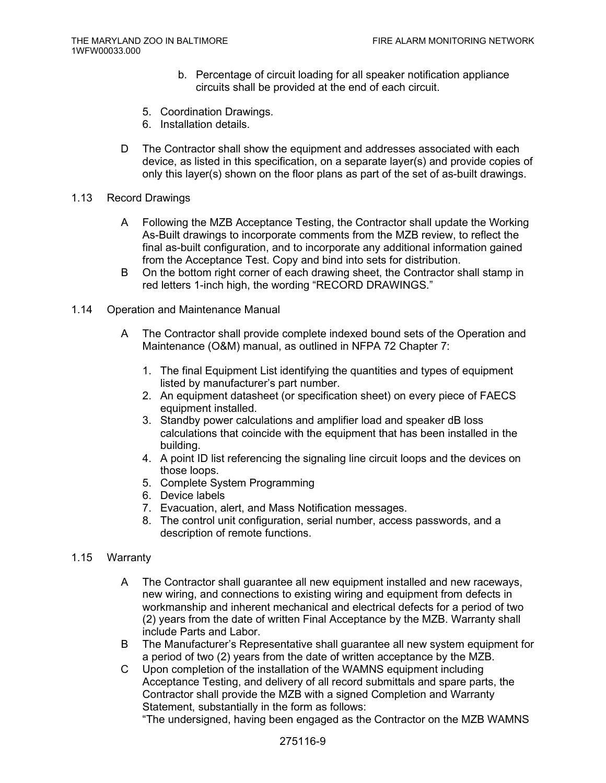- b. Percentage of circuit loading for all speaker notification appliance circuits shall be provided at the end of each circuit.
- 5. Coordination Drawings.
- 6. Installation details.
- D The Contractor shall show the equipment and addresses associated with each device, as listed in this specification, on a separate layer(s) and provide copies of only this layer(s) shown on the floor plans as part of the set of as-built drawings.
- 1.13 Record Drawings
	- A Following the MZB Acceptance Testing, the Contractor shall update the Working As-Built drawings to incorporate comments from the MZB review, to reflect the final as-built configuration, and to incorporate any additional information gained from the Acceptance Test. Copy and bind into sets for distribution.
	- B On the bottom right corner of each drawing sheet, the Contractor shall stamp in red letters 1-inch high, the wording "RECORD DRAWINGS."
- 1.14 Operation and Maintenance Manual
	- A The Contractor shall provide complete indexed bound sets of the Operation and Maintenance (O&M) manual, as outlined in NFPA 72 Chapter 7:
		- 1. The final Equipment List identifying the quantities and types of equipment listed by manufacturer's part number.
		- 2. An equipment datasheet (or specification sheet) on every piece of FAECS equipment installed.
		- 3. Standby power calculations and amplifier load and speaker dB loss calculations that coincide with the equipment that has been installed in the building.
		- 4. A point ID list referencing the signaling line circuit loops and the devices on those loops.
		- 5. Complete System Programming
		- 6. Device labels
		- 7. Evacuation, alert, and Mass Notification messages.
		- 8. The control unit configuration, serial number, access passwords, and a description of remote functions.

## 1.15 Warranty

- A The Contractor shall guarantee all new equipment installed and new raceways, new wiring, and connections to existing wiring and equipment from defects in workmanship and inherent mechanical and electrical defects for a period of two (2) years from the date of written Final Acceptance by the MZB. Warranty shall include Parts and Labor.
- B The Manufacturer's Representative shall guarantee all new system equipment for a period of two (2) years from the date of written acceptance by the MZB.
- C Upon completion of the installation of the WAMNS equipment including Acceptance Testing, and delivery of all record submittals and spare parts, the Contractor shall provide the MZB with a signed Completion and Warranty Statement, substantially in the form as follows:

"The undersigned, having been engaged as the Contractor on the MZB WAMNS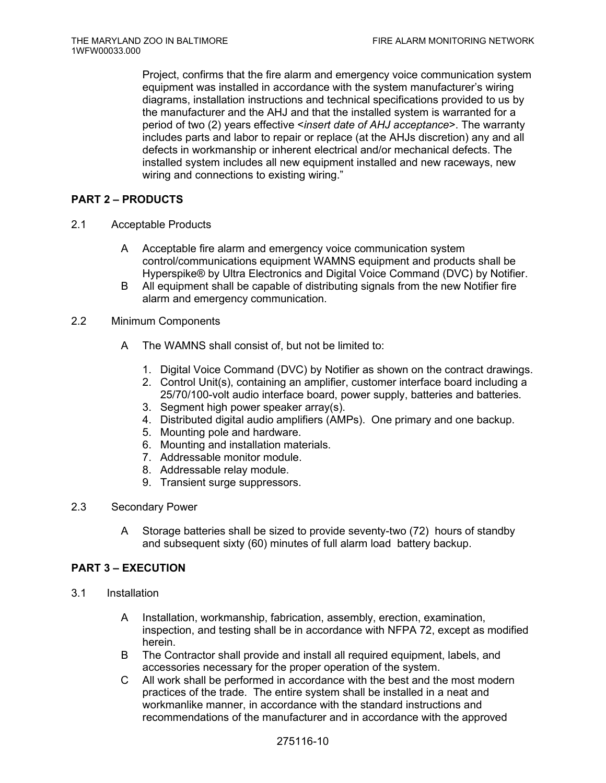Project, confirms that the fire alarm and emergency voice communication system equipment was installed in accordance with the system manufacturer's wiring diagrams, installation instructions and technical specifications provided to us by the manufacturer and the AHJ and that the installed system is warranted for a period of two (2) years effective <*insert date of AHJ acceptance*>. The warranty includes parts and labor to repair or replace (at the AHJs discretion) any and all defects in workmanship or inherent electrical and/or mechanical defects. The installed system includes all new equipment installed and new raceways, new wiring and connections to existing wiring."

# **PART 2 – PRODUCTS**

- 2.1 Acceptable Products
	- A Acceptable fire alarm and emergency voice communication system control/communications equipment WAMNS equipment and products shall be Hyperspike® by Ultra Electronics and Digital Voice Command (DVC) by Notifier.
	- B All equipment shall be capable of distributing signals from the new Notifier fire alarm and emergency communication.
- 2.2 Minimum Components
	- A The WAMNS shall consist of, but not be limited to:
		- 1. Digital Voice Command (DVC) by Notifier as shown on the contract drawings.
		- 2. Control Unit(s), containing an amplifier, customer interface board including a 25/70/100-volt audio interface board, power supply, batteries and batteries.
		- 3. Segment high power speaker array(s).
		- 4. Distributed digital audio amplifiers (AMPs). One primary and one backup.
		- 5. Mounting pole and hardware.
		- 6. Mounting and installation materials.
		- 7. Addressable monitor module.
		- 8. Addressable relay module.
		- 9. Transient surge suppressors.
- 2.3 Secondary Power
	- A Storage batteries shall be sized to provide seventy-two (72) hours of standby and subsequent sixty (60) minutes of full alarm load battery backup.

# **PART 3 – EXECUTION**

- 3.1 Installation
	- A Installation, workmanship, fabrication, assembly, erection, examination, inspection, and testing shall be in accordance with NFPA 72, except as modified herein.
	- B The Contractor shall provide and install all required equipment, labels, and accessories necessary for the proper operation of the system.
	- C All work shall be performed in accordance with the best and the most modern practices of the trade. The entire system shall be installed in a neat and workmanlike manner, in accordance with the standard instructions and recommendations of the manufacturer and in accordance with the approved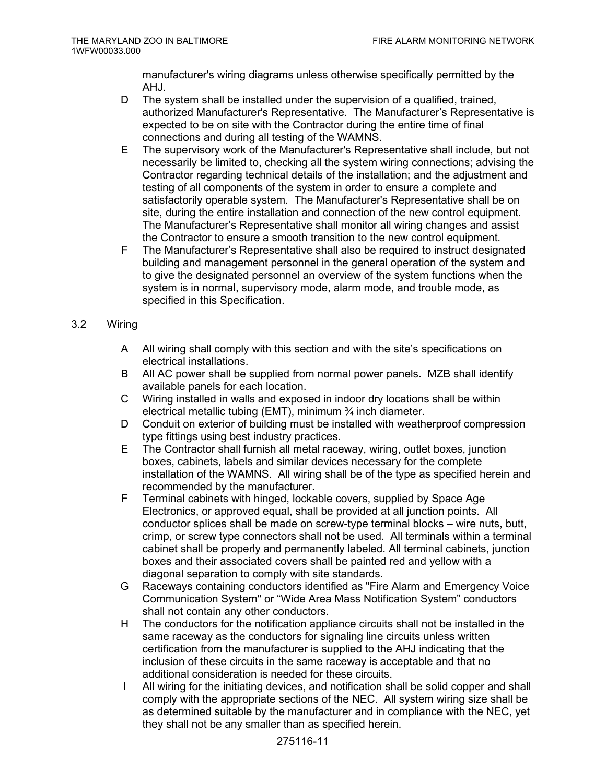manufacturer's wiring diagrams unless otherwise specifically permitted by the AHJ.

- D The system shall be installed under the supervision of a qualified, trained, authorized Manufacturer's Representative. The Manufacturer's Representative is expected to be on site with the Contractor during the entire time of final connections and during all testing of the WAMNS.
- E The supervisory work of the Manufacturer's Representative shall include, but not necessarily be limited to, checking all the system wiring connections; advising the Contractor regarding technical details of the installation; and the adjustment and testing of all components of the system in order to ensure a complete and satisfactorily operable system. The Manufacturer's Representative shall be on site, during the entire installation and connection of the new control equipment. The Manufacturer's Representative shall monitor all wiring changes and assist the Contractor to ensure a smooth transition to the new control equipment.
- F The Manufacturer's Representative shall also be required to instruct designated building and management personnel in the general operation of the system and to give the designated personnel an overview of the system functions when the system is in normal, supervisory mode, alarm mode, and trouble mode, as specified in this Specification.

# 3.2 Wiring

- A All wiring shall comply with this section and with the site's specifications on electrical installations.
- B All AC power shall be supplied from normal power panels. MZB shall identify available panels for each location.
- C Wiring installed in walls and exposed in indoor dry locations shall be within electrical metallic tubing (EMT), minimum ¾ inch diameter.
- D Conduit on exterior of building must be installed with weatherproof compression type fittings using best industry practices.
- E The Contractor shall furnish all metal raceway, wiring, outlet boxes, junction boxes, cabinets, labels and similar devices necessary for the complete installation of the WAMNS. All wiring shall be of the type as specified herein and recommended by the manufacturer.
- F Terminal cabinets with hinged, lockable covers, supplied by Space Age Electronics, or approved equal, shall be provided at all junction points. All conductor splices shall be made on screw-type terminal blocks – wire nuts, butt, crimp, or screw type connectors shall not be used. All terminals within a terminal cabinet shall be properly and permanently labeled. All terminal cabinets, junction boxes and their associated covers shall be painted red and yellow with a diagonal separation to comply with site standards.
- G Raceways containing conductors identified as "Fire Alarm and Emergency Voice Communication System" or "Wide Area Mass Notification System" conductors shall not contain any other conductors.
- H The conductors for the notification appliance circuits shall not be installed in the same raceway as the conductors for signaling line circuits unless written certification from the manufacturer is supplied to the AHJ indicating that the inclusion of these circuits in the same raceway is acceptable and that no additional consideration is needed for these circuits.
- I All wiring for the initiating devices, and notification shall be solid copper and shall comply with the appropriate sections of the NEC. All system wiring size shall be as determined suitable by the manufacturer and in compliance with the NEC, yet they shall not be any smaller than as specified herein.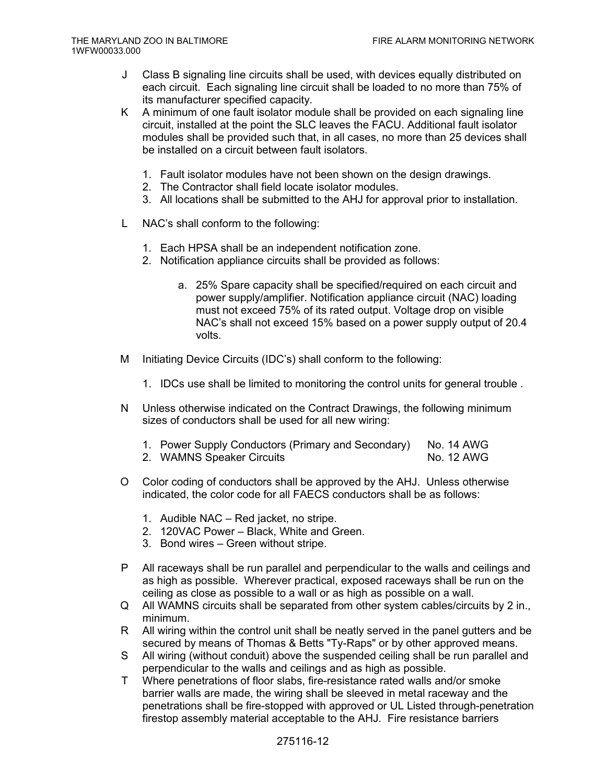- J Class B signaling line circuits shall be used, with devices equally distributed on each circuit. Each signaling line circuit shall be loaded to no more than 75% of its manufacturer specified capacity.
- K A minimum of one fault isolator module shall be provided on each signaling line circuit, installed at the point the SLC leaves the FACU. Additional fault isolator modules shall be provided such that, in all cases, no more than 25 devices shall be installed on a circuit between fault isolators.
	- 1. Fault isolator modules have not been shown on the design drawings.
	- 2. The Contractor shall field locate isolator modules.
	- 3. All locations shall be submitted to the AHJ for approval prior to installation.
- L NAC's shall conform to the following:
	- 1. Each HPSA shall be an independent notification zone.
	- 2. Notification appliance circuits shall be provided as follows:
		- a. 25% Spare capacity shall be specified/required on each circuit and power supply/amplifier. Notification appliance circuit (NAC) loading must not exceed 75% of its rated output. Voltage drop on visible NAC's shall not exceed 15% based on a power supply output of 20.4 volts.
- M Initiating Device Circuits (IDC's) shall conform to the following:
	- 1. IDCs use shall be limited to monitoring the control units for general trouble .
- N Unless otherwise indicated on the Contract Drawings, the following minimum sizes of conductors shall be used for all new wiring:
	- 1. Power Supply Conductors (Primary and Secondary) No. 14 AWG
	- 2. WAMNS Speaker Circuits No. 12 AWG
- O Color coding of conductors shall be approved by the AHJ. Unless otherwise indicated, the color code for all FAECS conductors shall be as follows:
	- 1. Audible NAC Red jacket, no stripe.
	- 2. 120VAC Power Black, White and Green.
	- 3. Bond wires Green without stripe.
- P All raceways shall be run parallel and perpendicular to the walls and ceilings and as high as possible. Wherever practical, exposed raceways shall be run on the ceiling as close as possible to a wall or as high as possible on a wall.
- Q All WAMNS circuits shall be separated from other system cables/circuits by 2 in., minimum.
- R All wiring within the control unit shall be neatly served in the panel gutters and be secured by means of Thomas & Betts "Ty-Raps" or by other approved means.
- S All wiring (without conduit) above the suspended ceiling shall be run parallel and perpendicular to the walls and ceilings and as high as possible.
- T Where penetrations of floor slabs, fire-resistance rated walls and/or smoke barrier walls are made, the wiring shall be sleeved in metal raceway and the penetrations shall be fire-stopped with approved or UL Listed through-penetration firestop assembly material acceptable to the AHJ. Fire resistance barriers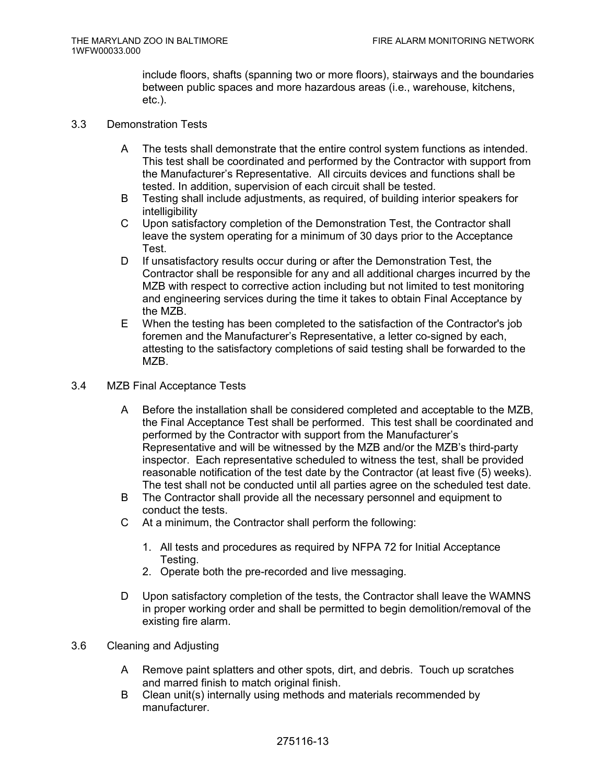include floors, shafts (spanning two or more floors), stairways and the boundaries between public spaces and more hazardous areas (i.e., warehouse, kitchens, etc.).

- 3.3 Demonstration Tests
	- A The tests shall demonstrate that the entire control system functions as intended. This test shall be coordinated and performed by the Contractor with support from the Manufacturer's Representative. All circuits devices and functions shall be tested. In addition, supervision of each circuit shall be tested.
	- B Testing shall include adjustments, as required, of building interior speakers for intelligibility
	- C Upon satisfactory completion of the Demonstration Test, the Contractor shall leave the system operating for a minimum of 30 days prior to the Acceptance Test.
	- D If unsatisfactory results occur during or after the Demonstration Test, the Contractor shall be responsible for any and all additional charges incurred by the MZB with respect to corrective action including but not limited to test monitoring and engineering services during the time it takes to obtain Final Acceptance by the MZB.
	- E When the testing has been completed to the satisfaction of the Contractor's job foremen and the Manufacturer's Representative, a letter co-signed by each, attesting to the satisfactory completions of said testing shall be forwarded to the M<sub>7</sub>B.
- 3.4 MZB Final Acceptance Tests
	- A Before the installation shall be considered completed and acceptable to the MZB, the Final Acceptance Test shall be performed. This test shall be coordinated and performed by the Contractor with support from the Manufacturer's Representative and will be witnessed by the MZB and/or the MZB's third-party inspector. Each representative scheduled to witness the test, shall be provided reasonable notification of the test date by the Contractor (at least five (5) weeks). The test shall not be conducted until all parties agree on the scheduled test date.
	- B The Contractor shall provide all the necessary personnel and equipment to conduct the tests.
	- C At a minimum, the Contractor shall perform the following:
		- 1. All tests and procedures as required by NFPA 72 for Initial Acceptance Testing.
		- 2. Operate both the pre-recorded and live messaging.
	- D Upon satisfactory completion of the tests, the Contractor shall leave the WAMNS in proper working order and shall be permitted to begin demolition/removal of the existing fire alarm.
- 3.6 Cleaning and Adjusting
	- A Remove paint splatters and other spots, dirt, and debris. Touch up scratches and marred finish to match original finish.
	- B Clean unit(s) internally using methods and materials recommended by manufacturer.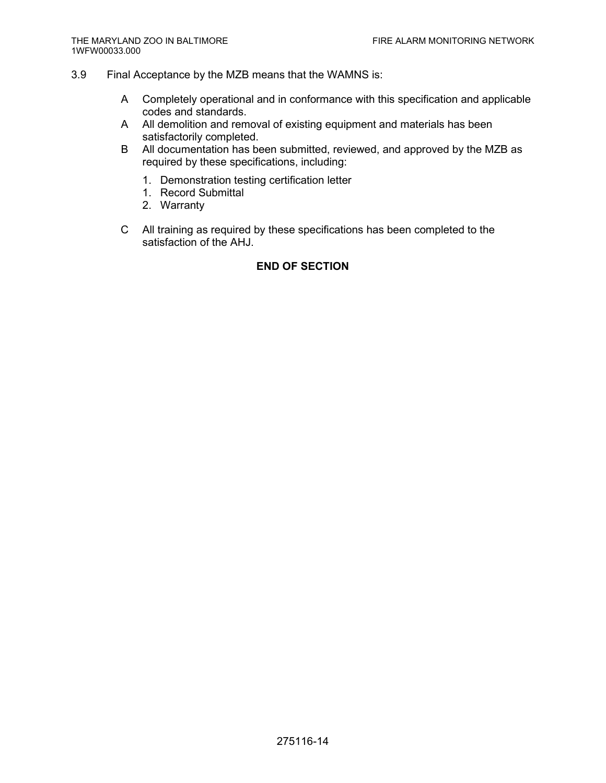- 3.9 Final Acceptance by the MZB means that the WAMNS is:
	- A Completely operational and in conformance with this specification and applicable codes and standards.
	- A All demolition and removal of existing equipment and materials has been satisfactorily completed.
	- B All documentation has been submitted, reviewed, and approved by the MZB as required by these specifications, including:
		- 1. Demonstration testing certification letter
		- 1. Record Submittal
		- 2. Warranty
	- C All training as required by these specifications has been completed to the satisfaction of the AHJ.

# **END OF SECTION**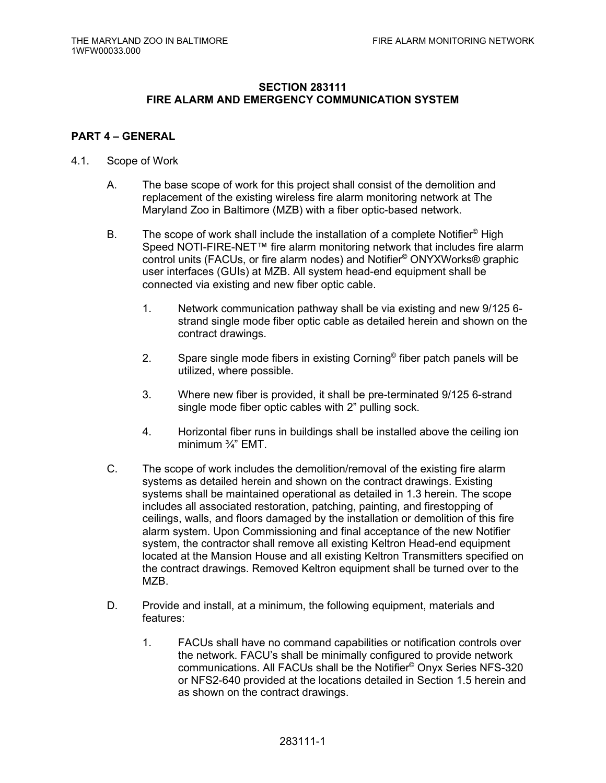# **SECTION 283111 FIRE ALARM AND EMERGENCY COMMUNICATION SYSTEM**

# **PART 4 – GENERAL**

- 4.1. Scope of Work
	- A. The base scope of work for this project shall consist of the demolition and replacement of the existing wireless fire alarm monitoring network at The Maryland Zoo in Baltimore (MZB) with a fiber optic-based network.
	- B. The scope of work shall include the installation of a complete Notifier<sup>®</sup> High Speed NOTI-FIRE-NET™ fire alarm monitoring network that includes fire alarm control units (FACUs, or fire alarm nodes) and Notifier© ONYXWorks® graphic user interfaces (GUIs) at MZB. All system head-end equipment shall be connected via existing and new fiber optic cable.
		- 1. Network communication pathway shall be via existing and new 9/125 6 strand single mode fiber optic cable as detailed herein and shown on the contract drawings.
		- 2. Spare single mode fibers in existing Corning<sup>®</sup> fiber patch panels will be utilized, where possible.
		- 3. Where new fiber is provided, it shall be pre-terminated 9/125 6-strand single mode fiber optic cables with 2" pulling sock.
		- 4. Horizontal fiber runs in buildings shall be installed above the ceiling ion minimum ¾" EMT.
	- C. The scope of work includes the demolition/removal of the existing fire alarm systems as detailed herein and shown on the contract drawings. Existing systems shall be maintained operational as detailed in 1.3 herein. The scope includes all associated restoration, patching, painting, and firestopping of ceilings, walls, and floors damaged by the installation or demolition of this fire alarm system. Upon Commissioning and final acceptance of the new Notifier system, the contractor shall remove all existing Keltron Head-end equipment located at the Mansion House and all existing Keltron Transmitters specified on the contract drawings. Removed Keltron equipment shall be turned over to the MZB.
	- D. Provide and install, at a minimum, the following equipment, materials and features:
		- 1. FACUs shall have no command capabilities or notification controls over the network. FACU's shall be minimally configured to provide network communications. All FACUs shall be the Notifier© Onyx Series NFS-320 or NFS2-640 provided at the locations detailed in Section 1.5 herein and as shown on the contract drawings.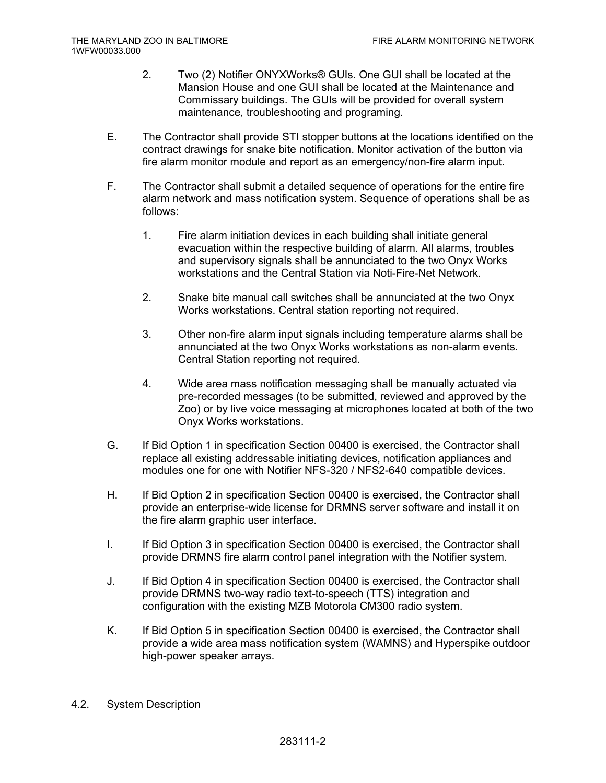- 2. Two (2) Notifier ONYXWorks® GUIs. One GUI shall be located at the Mansion House and one GUI shall be located at the Maintenance and Commissary buildings. The GUIs will be provided for overall system maintenance, troubleshooting and programing.
- E. The Contractor shall provide STI stopper buttons at the locations identified on the contract drawings for snake bite notification. Monitor activation of the button via fire alarm monitor module and report as an emergency/non-fire alarm input.
- F. The Contractor shall submit a detailed sequence of operations for the entire fire alarm network and mass notification system. Sequence of operations shall be as follows:
	- 1. Fire alarm initiation devices in each building shall initiate general evacuation within the respective building of alarm. All alarms, troubles and supervisory signals shall be annunciated to the two Onyx Works workstations and the Central Station via Noti-Fire-Net Network.
	- 2. Snake bite manual call switches shall be annunciated at the two Onyx Works workstations. Central station reporting not required.
	- 3. Other non-fire alarm input signals including temperature alarms shall be annunciated at the two Onyx Works workstations as non-alarm events. Central Station reporting not required.
	- 4. Wide area mass notification messaging shall be manually actuated via pre-recorded messages (to be submitted, reviewed and approved by the Zoo) or by live voice messaging at microphones located at both of the two Onyx Works workstations.
- G. If Bid Option 1 in specification Section 00400 is exercised, the Contractor shall replace all existing addressable initiating devices, notification appliances and modules one for one with Notifier NFS-320 / NFS2-640 compatible devices.
- H. If Bid Option 2 in specification Section 00400 is exercised, the Contractor shall provide an enterprise-wide license for DRMNS server software and install it on the fire alarm graphic user interface.
- I. If Bid Option 3 in specification Section 00400 is exercised, the Contractor shall provide DRMNS fire alarm control panel integration with the Notifier system.
- J. If Bid Option 4 in specification Section 00400 is exercised, the Contractor shall provide DRMNS two-way radio text-to-speech (TTS) integration and configuration with the existing MZB Motorola CM300 radio system.
- K. If Bid Option 5 in specification Section 00400 is exercised, the Contractor shall provide a wide area mass notification system (WAMNS) and Hyperspike outdoor high-power speaker arrays.
- 4.2. System Description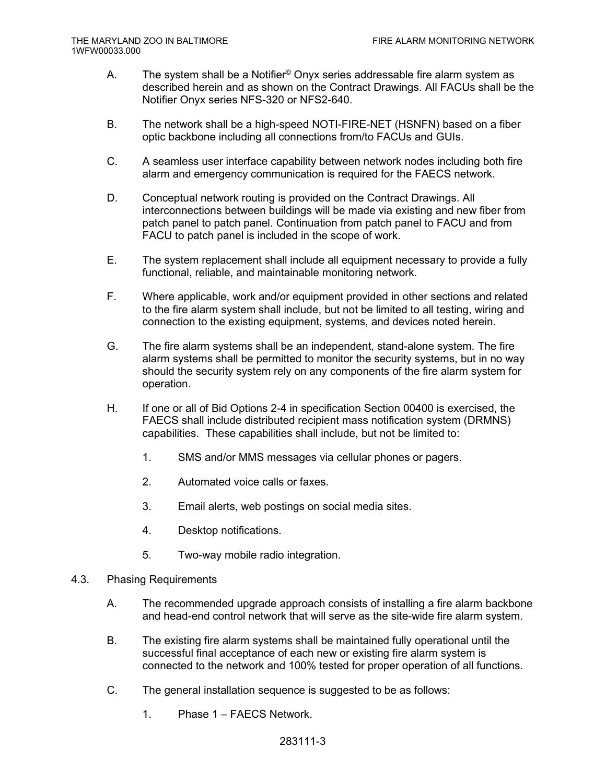- A. The system shall be a Notifier© Onyx series addressable fire alarm system as described herein and as shown on the Contract Drawings. All FACUs shall be the Notifier Onyx series NFS-320 or NFS2-640.
- B. The network shall be a high-speed NOTI-FIRE-NET (HSNFN) based on a fiber optic backbone including all connections from/to FACUs and GUIs.
- C. A seamless user interface capability between network nodes including both fire alarm and emergency communication is required for the FAECS network.
- D. Conceptual network routing is provided on the Contract Drawings. All interconnections between buildings will be made via existing and new fiber from patch panel to patch panel. Continuation from patch panel to FACU and from FACU to patch panel is included in the scope of work.
- E. The system replacement shall include all equipment necessary to provide a fully functional, reliable, and maintainable monitoring network.
- F. Where applicable, work and/or equipment provided in other sections and related to the fire alarm system shall include, but not be limited to all testing, wiring and connection to the existing equipment, systems, and devices noted herein.
- G. The fire alarm systems shall be an independent, stand-alone system. The fire alarm systems shall be permitted to monitor the security systems, but in no way should the security system rely on any components of the fire alarm system for operation.
- H. If one or all of Bid Options 2-4 in specification Section 00400 is exercised, the FAECS shall include distributed recipient mass notification system (DRMNS) capabilities. These capabilities shall include, but not be limited to:
	- 1. SMS and/or MMS messages via cellular phones or pagers.
	- 2. Automated voice calls or faxes.
	- 3. Email alerts, web postings on social media sites.
	- 4. Desktop notifications.
	- 5. Two-way mobile radio integration.
- 4.3. Phasing Requirements
	- A. The recommended upgrade approach consists of installing a fire alarm backbone and head-end control network that will serve as the site-wide fire alarm system.
	- B. The existing fire alarm systems shall be maintained fully operational until the successful final acceptance of each new or existing fire alarm system is connected to the network and 100% tested for proper operation of all functions.
	- C. The general installation sequence is suggested to be as follows:
		- 1. Phase 1 FAECS Network.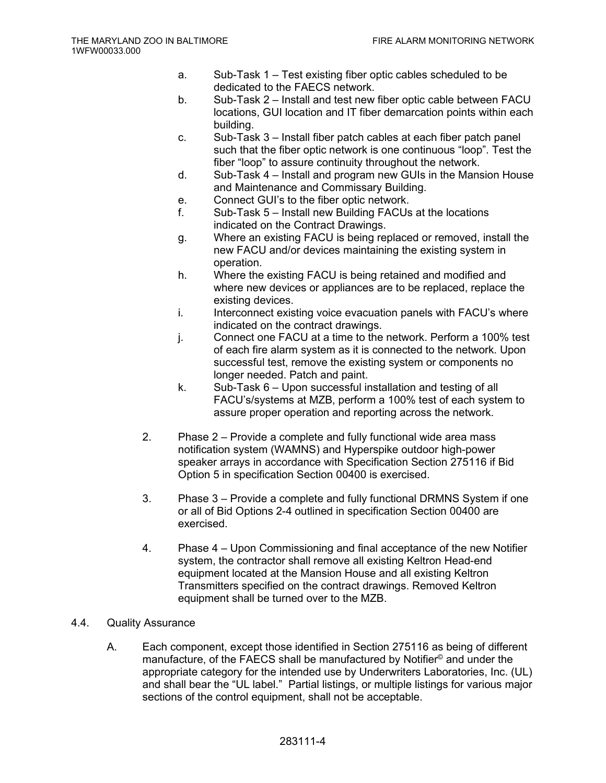- a. Sub-Task 1 Test existing fiber optic cables scheduled to be dedicated to the FAECS network.
- b. Sub-Task 2 Install and test new fiber optic cable between FACU locations, GUI location and IT fiber demarcation points within each building.
- c. Sub-Task 3 Install fiber patch cables at each fiber patch panel such that the fiber optic network is one continuous "loop". Test the fiber "loop" to assure continuity throughout the network.
- d. Sub-Task 4 Install and program new GUIs in the Mansion House and Maintenance and Commissary Building.
- e. Connect GUI's to the fiber optic network.
- f. Sub-Task 5 Install new Building FACUs at the locations indicated on the Contract Drawings.
- g. Where an existing FACU is being replaced or removed, install the new FACU and/or devices maintaining the existing system in operation.
- h. Where the existing FACU is being retained and modified and where new devices or appliances are to be replaced, replace the existing devices.
- i. Interconnect existing voice evacuation panels with FACU's where indicated on the contract drawings.
- j. Connect one FACU at a time to the network. Perform a 100% test of each fire alarm system as it is connected to the network. Upon successful test, remove the existing system or components no longer needed. Patch and paint.
- k. Sub-Task 6 Upon successful installation and testing of all FACU's/systems at MZB, perform a 100% test of each system to assure proper operation and reporting across the network.
- 2. Phase 2 Provide a complete and fully functional wide area mass notification system (WAMNS) and Hyperspike outdoor high-power speaker arrays in accordance with Specification Section 275116 if Bid Option 5 in specification Section 00400 is exercised.
- 3. Phase 3 Provide a complete and fully functional DRMNS System if one or all of Bid Options 2-4 outlined in specification Section 00400 are exercised.
- 4. Phase 4 Upon Commissioning and final acceptance of the new Notifier system, the contractor shall remove all existing Keltron Head-end equipment located at the Mansion House and all existing Keltron Transmitters specified on the contract drawings. Removed Keltron equipment shall be turned over to the MZB.
- 4.4. Quality Assurance
	- A. Each component, except those identified in Section 275116 as being of different manufacture, of the FAECS shall be manufactured by Notifier© and under the appropriate category for the intended use by Underwriters Laboratories, Inc. (UL) and shall bear the "UL label." Partial listings, or multiple listings for various major sections of the control equipment, shall not be acceptable.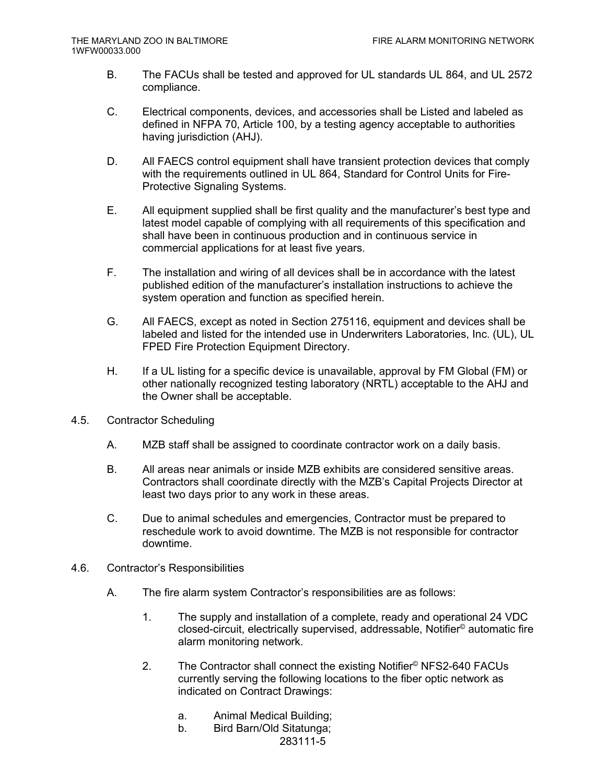- B. The FACUs shall be tested and approved for UL standards UL 864, and UL 2572 compliance.
- C. Electrical components, devices, and accessories shall be Listed and labeled as defined in NFPA 70, Article 100, by a testing agency acceptable to authorities having jurisdiction (AHJ).
- D. All FAECS control equipment shall have transient protection devices that comply with the requirements outlined in UL 864, Standard for Control Units for Fire-Protective Signaling Systems.
- E. All equipment supplied shall be first quality and the manufacturer's best type and latest model capable of complying with all requirements of this specification and shall have been in continuous production and in continuous service in commercial applications for at least five years.
- F. The installation and wiring of all devices shall be in accordance with the latest published edition of the manufacturer's installation instructions to achieve the system operation and function as specified herein.
- G. All FAECS, except as noted in Section 275116, equipment and devices shall be labeled and listed for the intended use in Underwriters Laboratories, Inc. (UL), UL FPED Fire Protection Equipment Directory.
- H. If a UL listing for a specific device is unavailable, approval by FM Global (FM) or other nationally recognized testing laboratory (NRTL) acceptable to the AHJ and the Owner shall be acceptable.
- 4.5. Contractor Scheduling
	- A. MZB staff shall be assigned to coordinate contractor work on a daily basis.
	- B. All areas near animals or inside MZB exhibits are considered sensitive areas. Contractors shall coordinate directly with the MZB's Capital Projects Director at least two days prior to any work in these areas.
	- C. Due to animal schedules and emergencies, Contractor must be prepared to reschedule work to avoid downtime. The MZB is not responsible for contractor downtime.
- 4.6. Contractor's Responsibilities
	- A. The fire alarm system Contractor's responsibilities are as follows:
		- 1. The supply and installation of a complete, ready and operational 24 VDC closed-circuit, electrically supervised, addressable, Notifier© automatic fire alarm monitoring network.
		- 2. The Contractor shall connect the existing Notifier© NFS2-640 FACUs currently serving the following locations to the fiber optic network as indicated on Contract Drawings:
			- a. Animal Medical Building;
			- b. Bird Barn/Old Sitatunga;

283111-5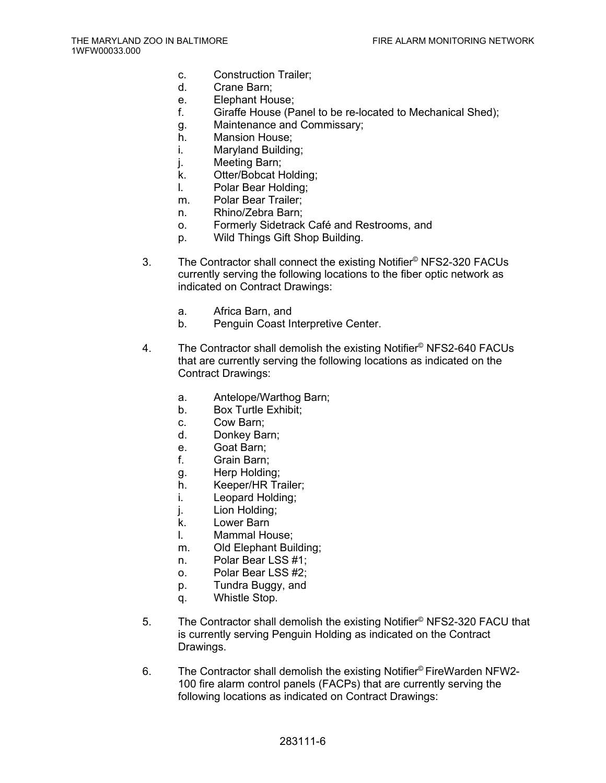- c. Construction Trailer;
- d. Crane Barn;
- e. Elephant House;
- f. Giraffe House (Panel to be re-located to Mechanical Shed);
- g. Maintenance and Commissary;
- h. Mansion House;
- i. Maryland Building;
- j. Meeting Barn;
- k. Otter/Bobcat Holding;
- l. Polar Bear Holding;
- m. Polar Bear Trailer;
- n. Rhino/Zebra Barn;
- o. Formerly Sidetrack Café and Restrooms, and
- p. Wild Things Gift Shop Building.
- 3. The Contractor shall connect the existing Notifier© NFS2-320 FACUs currently serving the following locations to the fiber optic network as indicated on Contract Drawings:
	- a. Africa Barn, and
	- b. Penguin Coast Interpretive Center.
- 4. The Contractor shall demolish the existing Notifier<sup>©</sup> NFS2-640 FACUs that are currently serving the following locations as indicated on the Contract Drawings:
	- a. Antelope/Warthog Barn;
	- b. Box Turtle Exhibit;
	- c. Cow Barn;
	- d. Donkey Barn;
	- e. Goat Barn;
	- f. Grain Barn;
	- g. Herp Holding;
	- h. Keeper/HR Trailer;
	- i. Leopard Holding;
	- j. Lion Holding;
	- k. Lower Barn
	- l. Mammal House;
	- m. Old Elephant Building;
	- n. Polar Bear LSS #1;
	- o. Polar Bear LSS #2;
	- p. Tundra Buggy, and
	- q. Whistle Stop.
- 5. The Contractor shall demolish the existing Notifier<sup>©</sup> NFS2-320 FACU that is currently serving Penguin Holding as indicated on the Contract Drawings.
- 6. The Contractor shall demolish the existing Notifier© FireWarden NFW2- 100 fire alarm control panels (FACPs) that are currently serving the following locations as indicated on Contract Drawings: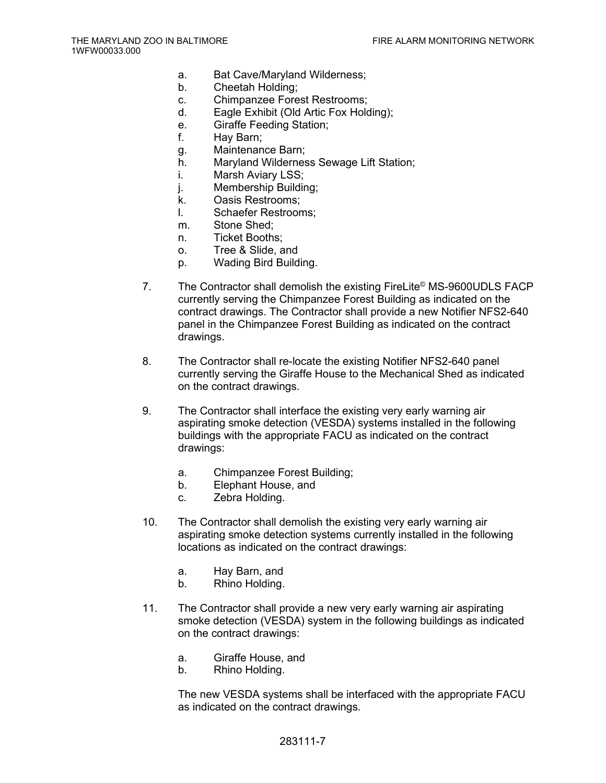- a. Bat Cave/Maryland Wilderness;
- b. Cheetah Holding;
- c. Chimpanzee Forest Restrooms;
- d. Eagle Exhibit (Old Artic Fox Holding);
- e. Giraffe Feeding Station;
- f. Hay Barn;
- g. Maintenance Barn;
- h. Maryland Wilderness Sewage Lift Station;
- i. Marsh Aviary LSS;
- j. Membership Building;
- k. Oasis Restrooms;
- l. Schaefer Restrooms;
- m. Stone Shed;
- n. Ticket Booths;
- o. Tree & Slide, and
- p. Wading Bird Building.
- 7. The Contractor shall demolish the existing FireLite<sup>©</sup> MS-9600UDLS FACP currently serving the Chimpanzee Forest Building as indicated on the contract drawings. The Contractor shall provide a new Notifier NFS2-640 panel in the Chimpanzee Forest Building as indicated on the contract drawings.
- 8. The Contractor shall re-locate the existing Notifier NFS2-640 panel currently serving the Giraffe House to the Mechanical Shed as indicated on the contract drawings.
- 9. The Contractor shall interface the existing very early warning air aspirating smoke detection (VESDA) systems installed in the following buildings with the appropriate FACU as indicated on the contract drawings:
	- a. Chimpanzee Forest Building;
	- b. Elephant House, and
	- c. Zebra Holding.
- 10. The Contractor shall demolish the existing very early warning air aspirating smoke detection systems currently installed in the following locations as indicated on the contract drawings:
	- a. Hay Barn, and
	- b. Rhino Holding.
- 11. The Contractor shall provide a new very early warning air aspirating smoke detection (VESDA) system in the following buildings as indicated on the contract drawings:
	- a. Giraffe House, and
	- b. Rhino Holding.

The new VESDA systems shall be interfaced with the appropriate FACU as indicated on the contract drawings.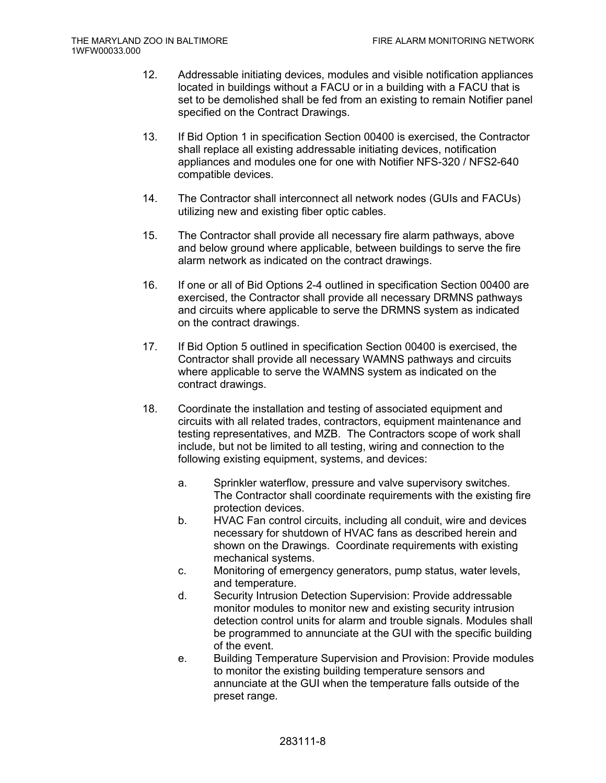- 12. Addressable initiating devices, modules and visible notification appliances located in buildings without a FACU or in a building with a FACU that is set to be demolished shall be fed from an existing to remain Notifier panel specified on the Contract Drawings.
- 13. If Bid Option 1 in specification Section 00400 is exercised, the Contractor shall replace all existing addressable initiating devices, notification appliances and modules one for one with Notifier NFS-320 / NFS2-640 compatible devices.
- 14. The Contractor shall interconnect all network nodes (GUIs and FACUs) utilizing new and existing fiber optic cables.
- 15. The Contractor shall provide all necessary fire alarm pathways, above and below ground where applicable, between buildings to serve the fire alarm network as indicated on the contract drawings.
- 16. If one or all of Bid Options 2-4 outlined in specification Section 00400 are exercised, the Contractor shall provide all necessary DRMNS pathways and circuits where applicable to serve the DRMNS system as indicated on the contract drawings.
- 17. If Bid Option 5 outlined in specification Section 00400 is exercised, the Contractor shall provide all necessary WAMNS pathways and circuits where applicable to serve the WAMNS system as indicated on the contract drawings.
- 18. Coordinate the installation and testing of associated equipment and circuits with all related trades, contractors, equipment maintenance and testing representatives, and MZB. The Contractors scope of work shall include, but not be limited to all testing, wiring and connection to the following existing equipment, systems, and devices:
	- a. Sprinkler waterflow, pressure and valve supervisory switches. The Contractor shall coordinate requirements with the existing fire protection devices.
	- b. HVAC Fan control circuits, including all conduit, wire and devices necessary for shutdown of HVAC fans as described herein and shown on the Drawings. Coordinate requirements with existing mechanical systems.
	- c. Monitoring of emergency generators, pump status, water levels, and temperature.
	- d. Security Intrusion Detection Supervision: Provide addressable monitor modules to monitor new and existing security intrusion detection control units for alarm and trouble signals. Modules shall be programmed to annunciate at the GUI with the specific building of the event.
	- e. Building Temperature Supervision and Provision: Provide modules to monitor the existing building temperature sensors and annunciate at the GUI when the temperature falls outside of the preset range.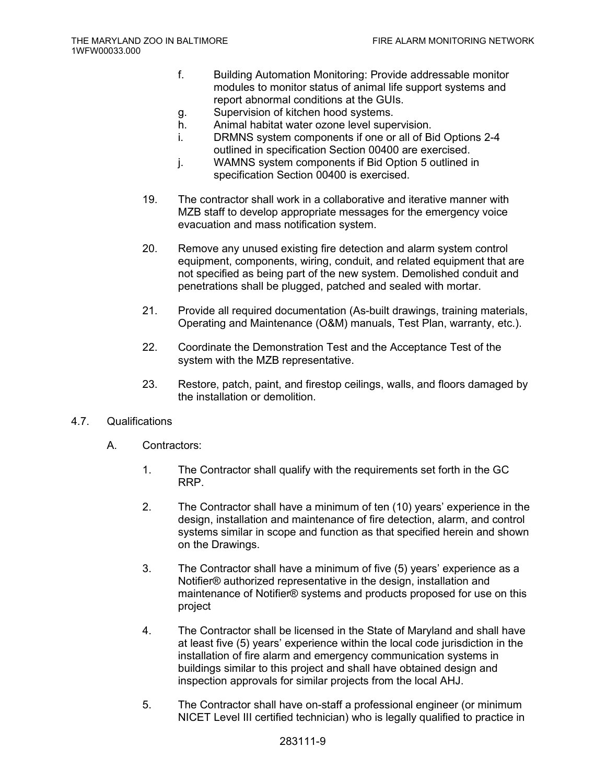- f. Building Automation Monitoring: Provide addressable monitor modules to monitor status of animal life support systems and report abnormal conditions at the GUIs.
- g. Supervision of kitchen hood systems.
- h. Animal habitat water ozone level supervision.
- i. DRMNS system components if one or all of Bid Options 2-4 outlined in specification Section 00400 are exercised.
- j. WAMNS system components if Bid Option 5 outlined in specification Section 00400 is exercised.
- 19. The contractor shall work in a collaborative and iterative manner with MZB staff to develop appropriate messages for the emergency voice evacuation and mass notification system.
- 20. Remove any unused existing fire detection and alarm system control equipment, components, wiring, conduit, and related equipment that are not specified as being part of the new system. Demolished conduit and penetrations shall be plugged, patched and sealed with mortar.
- 21. Provide all required documentation (As-built drawings, training materials, Operating and Maintenance (O&M) manuals, Test Plan, warranty, etc.).
- 22. Coordinate the Demonstration Test and the Acceptance Test of the system with the MZB representative.
- 23. Restore, patch, paint, and firestop ceilings, walls, and floors damaged by the installation or demolition.

## 4.7. Qualifications

- A. Contractors:
	- 1. The Contractor shall qualify with the requirements set forth in the GC RRP.
	- 2. The Contractor shall have a minimum of ten (10) years' experience in the design, installation and maintenance of fire detection, alarm, and control systems similar in scope and function as that specified herein and shown on the Drawings.
	- 3. The Contractor shall have a minimum of five (5) years' experience as a Notifier® authorized representative in the design, installation and maintenance of Notifier® systems and products proposed for use on this project
	- 4. The Contractor shall be licensed in the State of Maryland and shall have at least five (5) years' experience within the local code jurisdiction in the installation of fire alarm and emergency communication systems in buildings similar to this project and shall have obtained design and inspection approvals for similar projects from the local AHJ.
	- 5. The Contractor shall have on-staff a professional engineer (or minimum NICET Level III certified technician) who is legally qualified to practice in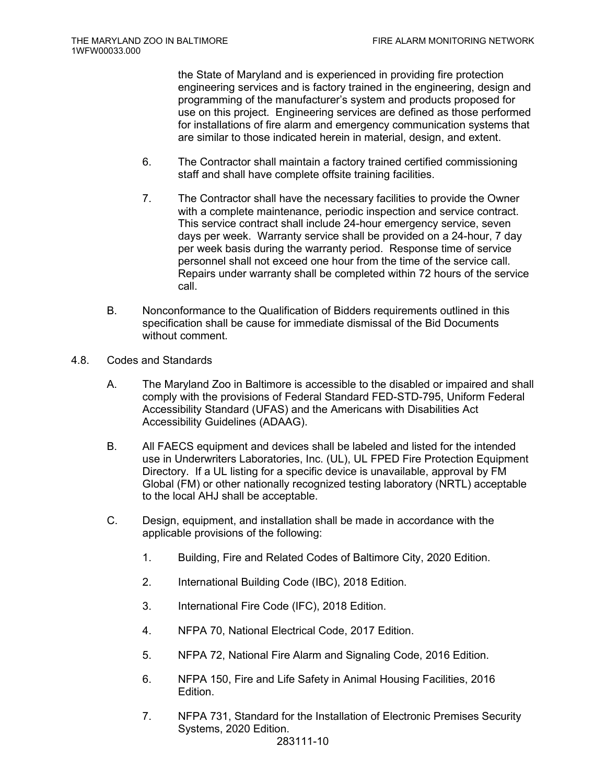the State of Maryland and is experienced in providing fire protection engineering services and is factory trained in the engineering, design and programming of the manufacturer's system and products proposed for use on this project. Engineering services are defined as those performed for installations of fire alarm and emergency communication systems that are similar to those indicated herein in material, design, and extent.

- 6. The Contractor shall maintain a factory trained certified commissioning staff and shall have complete offsite training facilities.
- 7. The Contractor shall have the necessary facilities to provide the Owner with a complete maintenance, periodic inspection and service contract. This service contract shall include 24-hour emergency service, seven days per week. Warranty service shall be provided on a 24-hour, 7 day per week basis during the warranty period. Response time of service personnel shall not exceed one hour from the time of the service call. Repairs under warranty shall be completed within 72 hours of the service call.
- B. Nonconformance to the Qualification of Bidders requirements outlined in this specification shall be cause for immediate dismissal of the Bid Documents without comment.
- 4.8. Codes and Standards
	- A. The Maryland Zoo in Baltimore is accessible to the disabled or impaired and shall comply with the provisions of Federal Standard FED-STD-795, Uniform Federal Accessibility Standard (UFAS) and the Americans with Disabilities Act Accessibility Guidelines (ADAAG).
	- B. All FAECS equipment and devices shall be labeled and listed for the intended use in Underwriters Laboratories, Inc. (UL), UL FPED Fire Protection Equipment Directory. If a UL listing for a specific device is unavailable, approval by FM Global (FM) or other nationally recognized testing laboratory (NRTL) acceptable to the local AHJ shall be acceptable.
	- C. Design, equipment, and installation shall be made in accordance with the applicable provisions of the following:
		- 1. Building, Fire and Related Codes of Baltimore City, 2020 Edition.
		- 2. International Building Code (IBC), 2018 Edition.
		- 3. International Fire Code (IFC), 2018 Edition.
		- 4. NFPA 70, National Electrical Code, 2017 Edition.
		- 5. NFPA 72, National Fire Alarm and Signaling Code, 2016 Edition.
		- 6. NFPA 150, Fire and Life Safety in Animal Housing Facilities, 2016 Edition.
		- 7. NFPA 731, Standard for the Installation of Electronic Premises Security Systems, 2020 Edition.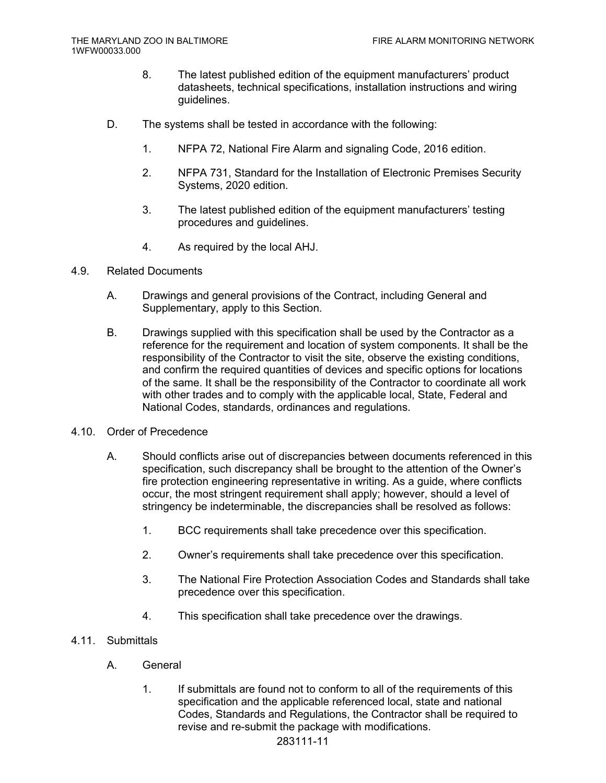- 8. The latest published edition of the equipment manufacturers' product datasheets, technical specifications, installation instructions and wiring guidelines.
- D. The systems shall be tested in accordance with the following:
	- 1. NFPA 72, National Fire Alarm and signaling Code, 2016 edition.
	- 2. NFPA 731, Standard for the Installation of Electronic Premises Security Systems, 2020 edition.
	- 3. The latest published edition of the equipment manufacturers' testing procedures and guidelines.
	- 4. As required by the local AHJ.
- 4.9. Related Documents
	- A. Drawings and general provisions of the Contract, including General and Supplementary, apply to this Section.
	- B. Drawings supplied with this specification shall be used by the Contractor as a reference for the requirement and location of system components. It shall be the responsibility of the Contractor to visit the site, observe the existing conditions, and confirm the required quantities of devices and specific options for locations of the same. It shall be the responsibility of the Contractor to coordinate all work with other trades and to comply with the applicable local, State, Federal and National Codes, standards, ordinances and regulations.
- 4.10. Order of Precedence
	- A. Should conflicts arise out of discrepancies between documents referenced in this specification, such discrepancy shall be brought to the attention of the Owner's fire protection engineering representative in writing. As a guide, where conflicts occur, the most stringent requirement shall apply; however, should a level of stringency be indeterminable, the discrepancies shall be resolved as follows:
		- 1. BCC requirements shall take precedence over this specification.
		- 2. Owner's requirements shall take precedence over this specification.
		- 3. The National Fire Protection Association Codes and Standards shall take precedence over this specification.
		- 4. This specification shall take precedence over the drawings.
- 4.11. Submittals
	- A. General
		- 1. If submittals are found not to conform to all of the requirements of this specification and the applicable referenced local, state and national Codes, Standards and Regulations, the Contractor shall be required to revise and re-submit the package with modifications.

## 283111-11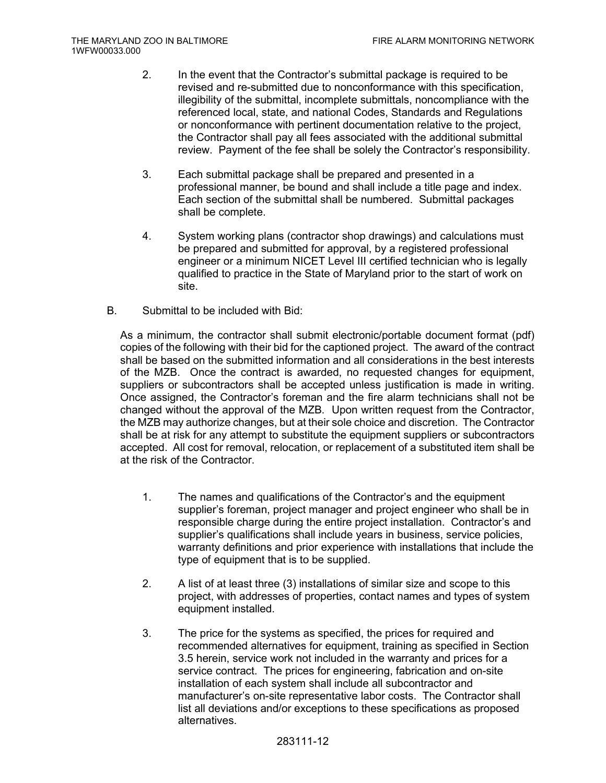- 2. In the event that the Contractor's submittal package is required to be revised and re-submitted due to nonconformance with this specification, illegibility of the submittal, incomplete submittals, noncompliance with the referenced local, state, and national Codes, Standards and Regulations or nonconformance with pertinent documentation relative to the project, the Contractor shall pay all fees associated with the additional submittal review. Payment of the fee shall be solely the Contractor's responsibility.
- 3. Each submittal package shall be prepared and presented in a professional manner, be bound and shall include a title page and index. Each section of the submittal shall be numbered. Submittal packages shall be complete.
- 4. System working plans (contractor shop drawings) and calculations must be prepared and submitted for approval, by a registered professional engineer or a minimum NICET Level III certified technician who is legally qualified to practice in the State of Maryland prior to the start of work on site.
- B. Submittal to be included with Bid:

As a minimum, the contractor shall submit electronic/portable document format (pdf) copies of the following with their bid for the captioned project. The award of the contract shall be based on the submitted information and all considerations in the best interests of the MZB. Once the contract is awarded, no requested changes for equipment, suppliers or subcontractors shall be accepted unless justification is made in writing. Once assigned, the Contractor's foreman and the fire alarm technicians shall not be changed without the approval of the MZB. Upon written request from the Contractor, the MZB may authorize changes, but at their sole choice and discretion. The Contractor shall be at risk for any attempt to substitute the equipment suppliers or subcontractors accepted. All cost for removal, relocation, or replacement of a substituted item shall be at the risk of the Contractor.

- 1. The names and qualifications of the Contractor's and the equipment supplier's foreman, project manager and project engineer who shall be in responsible charge during the entire project installation. Contractor's and supplier's qualifications shall include years in business, service policies, warranty definitions and prior experience with installations that include the type of equipment that is to be supplied.
- 2. A list of at least three (3) installations of similar size and scope to this project, with addresses of properties, contact names and types of system equipment installed.
- 3. The price for the systems as specified, the prices for required and recommended alternatives for equipment, training as specified in Section 3.5 herein, service work not included in the warranty and prices for a service contract. The prices for engineering, fabrication and on-site installation of each system shall include all subcontractor and manufacturer's on-site representative labor costs. The Contractor shall list all deviations and/or exceptions to these specifications as proposed alternatives.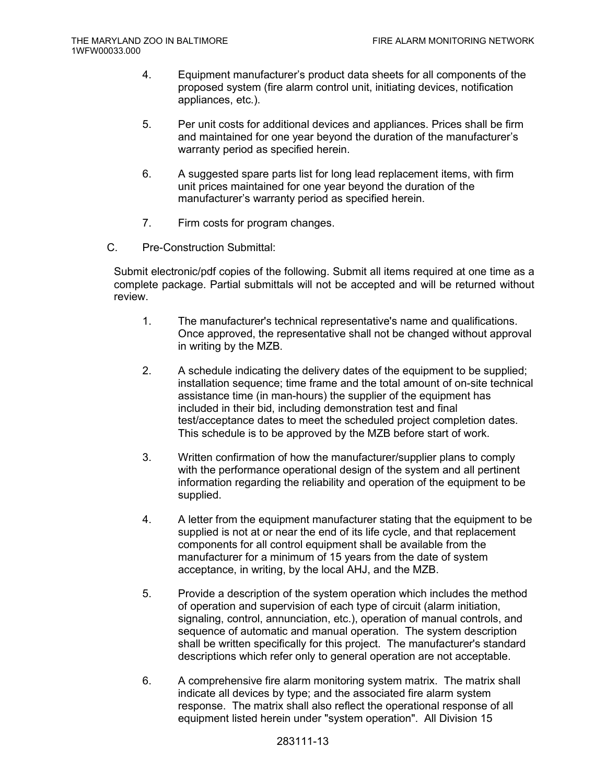- 4. Equipment manufacturer's product data sheets for all components of the proposed system (fire alarm control unit, initiating devices, notification appliances, etc.).
- 5. Per unit costs for additional devices and appliances. Prices shall be firm and maintained for one year beyond the duration of the manufacturer's warranty period as specified herein.
- 6. A suggested spare parts list for long lead replacement items, with firm unit prices maintained for one year beyond the duration of the manufacturer's warranty period as specified herein.
- 7. Firm costs for program changes.
- C. Pre-Construction Submittal:

Submit electronic/pdf copies of the following. Submit all items required at one time as a complete package. Partial submittals will not be accepted and will be returned without review.

- 1. The manufacturer's technical representative's name and qualifications. Once approved, the representative shall not be changed without approval in writing by the MZB.
- 2. A schedule indicating the delivery dates of the equipment to be supplied; installation sequence; time frame and the total amount of on-site technical assistance time (in man-hours) the supplier of the equipment has included in their bid, including demonstration test and final test/acceptance dates to meet the scheduled project completion dates. This schedule is to be approved by the MZB before start of work.
- 3. Written confirmation of how the manufacturer/supplier plans to comply with the performance operational design of the system and all pertinent information regarding the reliability and operation of the equipment to be supplied.
- 4. A letter from the equipment manufacturer stating that the equipment to be supplied is not at or near the end of its life cycle, and that replacement components for all control equipment shall be available from the manufacturer for a minimum of 15 years from the date of system acceptance, in writing, by the local AHJ, and the MZB.
- 5. Provide a description of the system operation which includes the method of operation and supervision of each type of circuit (alarm initiation, signaling, control, annunciation, etc.), operation of manual controls, and sequence of automatic and manual operation. The system description shall be written specifically for this project. The manufacturer's standard descriptions which refer only to general operation are not acceptable.
- 6. A comprehensive fire alarm monitoring system matrix. The matrix shall indicate all devices by type; and the associated fire alarm system response. The matrix shall also reflect the operational response of all equipment listed herein under "system operation". All Division 15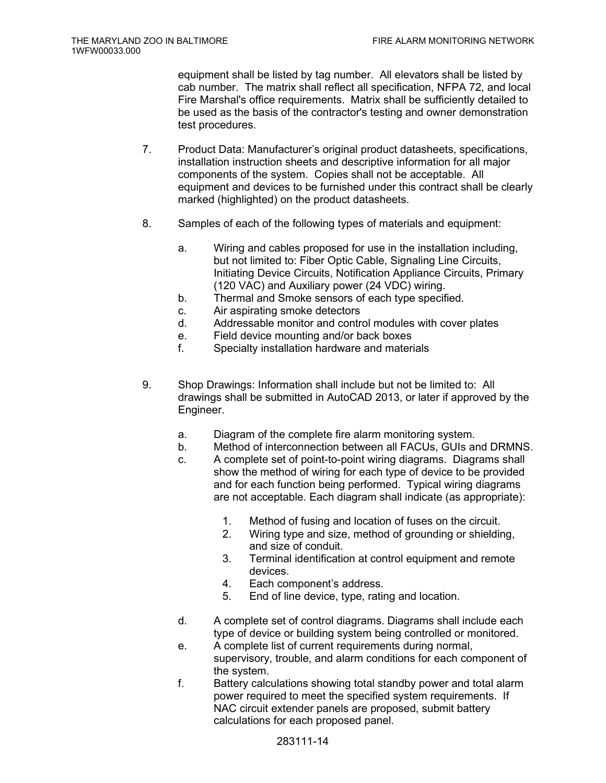equipment shall be listed by tag number. All elevators shall be listed by cab number. The matrix shall reflect all specification, NFPA 72, and local Fire Marshal's office requirements. Matrix shall be sufficiently detailed to be used as the basis of the contractor's testing and owner demonstration test procedures.

- 7. Product Data: Manufacturer's original product datasheets, specifications, installation instruction sheets and descriptive information for all major components of the system. Copies shall not be acceptable. All equipment and devices to be furnished under this contract shall be clearly marked (highlighted) on the product datasheets.
- 8. Samples of each of the following types of materials and equipment:
	- a. Wiring and cables proposed for use in the installation including, but not limited to: Fiber Optic Cable, Signaling Line Circuits, Initiating Device Circuits, Notification Appliance Circuits, Primary (120 VAC) and Auxiliary power (24 VDC) wiring.
	- b. Thermal and Smoke sensors of each type specified.
	- c. Air aspirating smoke detectors
	- d. Addressable monitor and control modules with cover plates
	- e. Field device mounting and/or back boxes
	- f. Specialty installation hardware and materials
- 9. Shop Drawings: Information shall include but not be limited to: All drawings shall be submitted in AutoCAD 2013, or later if approved by the Engineer.
	- a. Diagram of the complete fire alarm monitoring system.
	- b. Method of interconnection between all FACUs, GUIs and DRMNS.
	- c. A complete set of point-to-point wiring diagrams. Diagrams shall show the method of wiring for each type of device to be provided and for each function being performed. Typical wiring diagrams are not acceptable. Each diagram shall indicate (as appropriate):
		- 1. Method of fusing and location of fuses on the circuit.
		- 2. Wiring type and size, method of grounding or shielding, and size of conduit.
		- 3. Terminal identification at control equipment and remote devices.
		- 4. Each component's address.
		- 5. End of line device, type, rating and location.
	- d. A complete set of control diagrams. Diagrams shall include each type of device or building system being controlled or monitored.
	- e. A complete list of current requirements during normal, supervisory, trouble, and alarm conditions for each component of the system.
	- f. Battery calculations showing total standby power and total alarm power required to meet the specified system requirements. If NAC circuit extender panels are proposed, submit battery calculations for each proposed panel.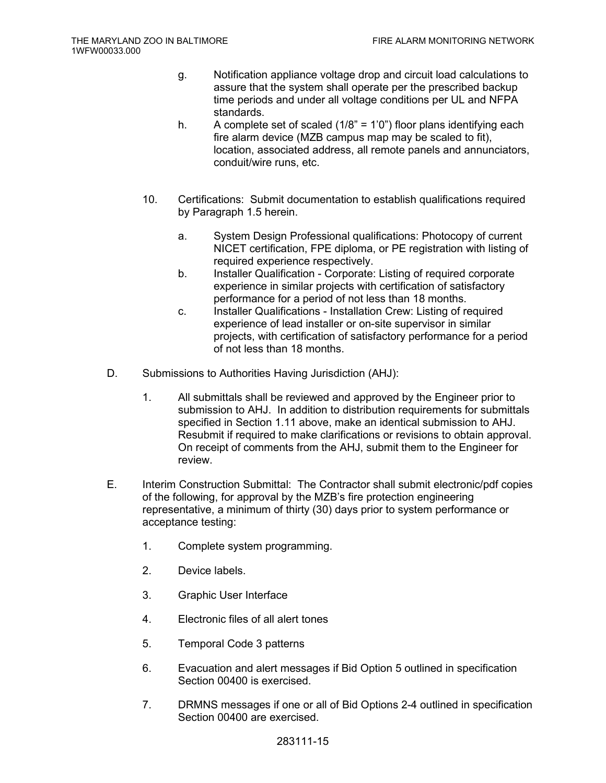- g. Notification appliance voltage drop and circuit load calculations to assure that the system shall operate per the prescribed backup time periods and under all voltage conditions per UL and NFPA standards.
- h. A complete set of scaled  $(1/8)$ <sup>"</sup> = 1<sup>'</sup>0<sup>"</sup>) floor plans identifying each fire alarm device (MZB campus map may be scaled to fit), location, associated address, all remote panels and annunciators, conduit/wire runs, etc.
- 10. Certifications: Submit documentation to establish qualifications required by Paragraph 1.5 herein.
	- a. System Design Professional qualifications: Photocopy of current NICET certification, FPE diploma, or PE registration with listing of required experience respectively.
	- b. Installer Qualification Corporate: Listing of required corporate experience in similar projects with certification of satisfactory performance for a period of not less than 18 months.
	- c. Installer Qualifications Installation Crew: Listing of required experience of lead installer or on-site supervisor in similar projects, with certification of satisfactory performance for a period of not less than 18 months.
- D. Submissions to Authorities Having Jurisdiction (AHJ):
	- 1. All submittals shall be reviewed and approved by the Engineer prior to submission to AHJ. In addition to distribution requirements for submittals specified in Section 1.11 above, make an identical submission to AHJ. Resubmit if required to make clarifications or revisions to obtain approval. On receipt of comments from the AHJ, submit them to the Engineer for review.
- E. Interim Construction Submittal: The Contractor shall submit electronic/pdf copies of the following, for approval by the MZB's fire protection engineering representative, a minimum of thirty (30) days prior to system performance or acceptance testing:
	- 1. Complete system programming.
	- 2. Device labels.
	- 3. Graphic User Interface
	- 4. Electronic files of all alert tones
	- 5. Temporal Code 3 patterns
	- 6. Evacuation and alert messages if Bid Option 5 outlined in specification Section 00400 is exercised.
	- 7. DRMNS messages if one or all of Bid Options 2-4 outlined in specification Section 00400 are exercised.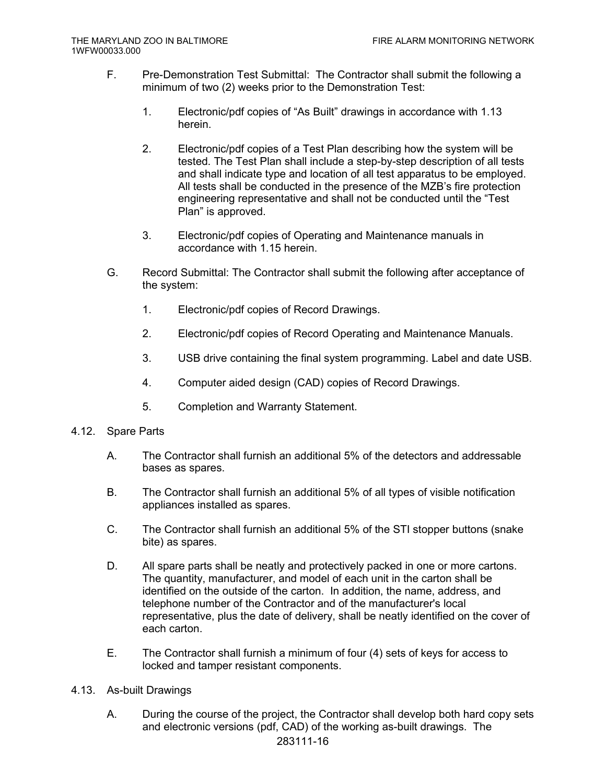- F. Pre-Demonstration Test Submittal: The Contractor shall submit the following a minimum of two (2) weeks prior to the Demonstration Test:
	- 1. Electronic/pdf copies of "As Built" drawings in accordance with 1.13 herein.
	- 2. Electronic/pdf copies of a Test Plan describing how the system will be tested. The Test Plan shall include a step-by-step description of all tests and shall indicate type and location of all test apparatus to be employed. All tests shall be conducted in the presence of the MZB's fire protection engineering representative and shall not be conducted until the "Test Plan" is approved.
	- 3. Electronic/pdf copies of Operating and Maintenance manuals in accordance with 1.15 herein.
- G. Record Submittal: The Contractor shall submit the following after acceptance of the system:
	- 1. Electronic/pdf copies of Record Drawings.
	- 2. Electronic/pdf copies of Record Operating and Maintenance Manuals.
	- 3. USB drive containing the final system programming. Label and date USB.
	- 4. Computer aided design (CAD) copies of Record Drawings.
	- 5. Completion and Warranty Statement.
- 4.12. Spare Parts
	- A. The Contractor shall furnish an additional 5% of the detectors and addressable bases as spares.
	- B. The Contractor shall furnish an additional 5% of all types of visible notification appliances installed as spares.
	- C. The Contractor shall furnish an additional 5% of the STI stopper buttons (snake bite) as spares.
	- D. All spare parts shall be neatly and protectively packed in one or more cartons. The quantity, manufacturer, and model of each unit in the carton shall be identified on the outside of the carton. In addition, the name, address, and telephone number of the Contractor and of the manufacturer's local representative, plus the date of delivery, shall be neatly identified on the cover of each carton.
	- E. The Contractor shall furnish a minimum of four (4) sets of keys for access to locked and tamper resistant components.
- 4.13. As-built Drawings
	- A. During the course of the project, the Contractor shall develop both hard copy sets and electronic versions (pdf, CAD) of the working as-built drawings. The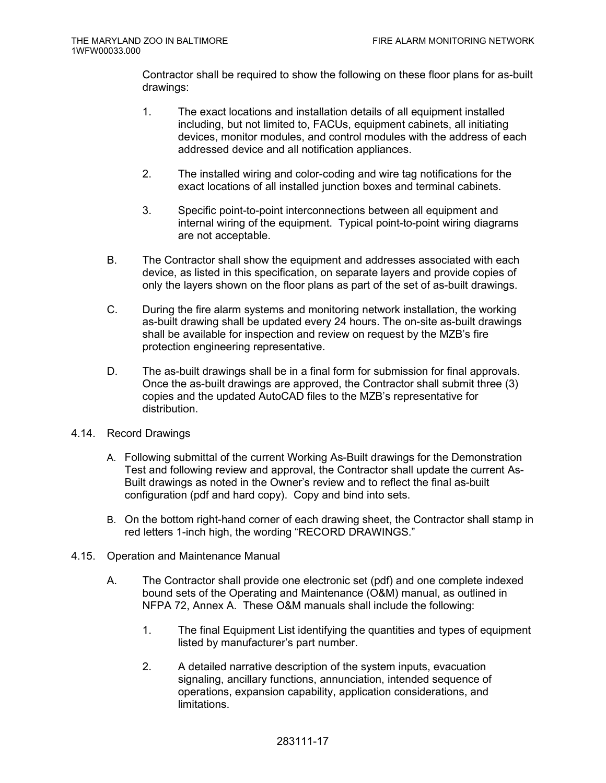Contractor shall be required to show the following on these floor plans for as-built drawings:

- 1. The exact locations and installation details of all equipment installed including, but not limited to, FACUs, equipment cabinets, all initiating devices, monitor modules, and control modules with the address of each addressed device and all notification appliances.
- 2. The installed wiring and color-coding and wire tag notifications for the exact locations of all installed junction boxes and terminal cabinets.
- 3. Specific point-to-point interconnections between all equipment and internal wiring of the equipment. Typical point-to-point wiring diagrams are not acceptable.
- B. The Contractor shall show the equipment and addresses associated with each device, as listed in this specification, on separate layers and provide copies of only the layers shown on the floor plans as part of the set of as-built drawings.
- C. During the fire alarm systems and monitoring network installation, the working as-built drawing shall be updated every 24 hours. The on-site as-built drawings shall be available for inspection and review on request by the MZB's fire protection engineering representative.
- D. The as-built drawings shall be in a final form for submission for final approvals. Once the as-built drawings are approved, the Contractor shall submit three (3) copies and the updated AutoCAD files to the MZB's representative for distribution.
- 4.14. Record Drawings
	- A. Following submittal of the current Working As-Built drawings for the Demonstration Test and following review and approval, the Contractor shall update the current As-Built drawings as noted in the Owner's review and to reflect the final as-built configuration (pdf and hard copy). Copy and bind into sets.
	- B. On the bottom right-hand corner of each drawing sheet, the Contractor shall stamp in red letters 1-inch high, the wording "RECORD DRAWINGS."
- 4.15. Operation and Maintenance Manual
	- A. The Contractor shall provide one electronic set (pdf) and one complete indexed bound sets of the Operating and Maintenance (O&M) manual, as outlined in NFPA 72, Annex A. These O&M manuals shall include the following:
		- 1. The final Equipment List identifying the quantities and types of equipment listed by manufacturer's part number.
		- 2. A detailed narrative description of the system inputs, evacuation signaling, ancillary functions, annunciation, intended sequence of operations, expansion capability, application considerations, and limitations.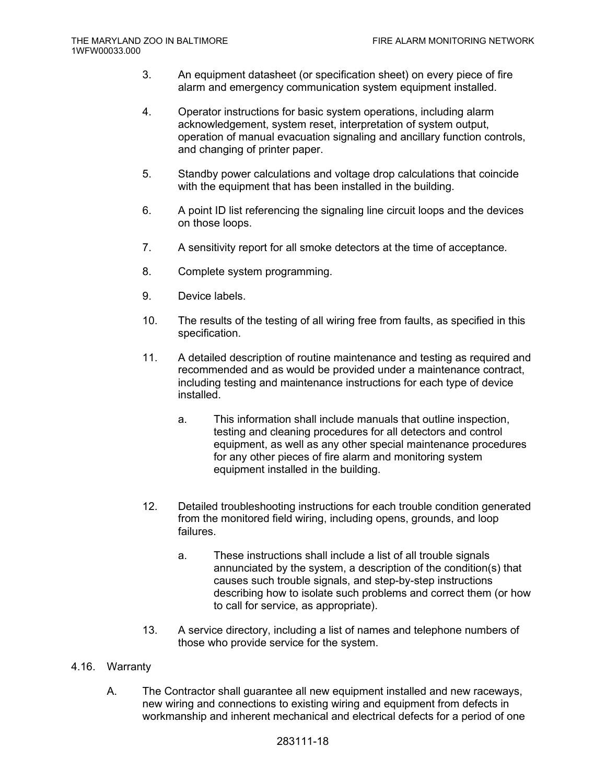- 3. An equipment datasheet (or specification sheet) on every piece of fire alarm and emergency communication system equipment installed.
- 4. Operator instructions for basic system operations, including alarm acknowledgement, system reset, interpretation of system output, operation of manual evacuation signaling and ancillary function controls, and changing of printer paper.
- 5. Standby power calculations and voltage drop calculations that coincide with the equipment that has been installed in the building.
- 6. A point ID list referencing the signaling line circuit loops and the devices on those loops.
- 7. A sensitivity report for all smoke detectors at the time of acceptance.
- 8. Complete system programming.
- 9. Device labels.
- 10. The results of the testing of all wiring free from faults, as specified in this specification.
- 11. A detailed description of routine maintenance and testing as required and recommended and as would be provided under a maintenance contract, including testing and maintenance instructions for each type of device installed.
	- a. This information shall include manuals that outline inspection, testing and cleaning procedures for all detectors and control equipment, as well as any other special maintenance procedures for any other pieces of fire alarm and monitoring system equipment installed in the building.
- 12. Detailed troubleshooting instructions for each trouble condition generated from the monitored field wiring, including opens, grounds, and loop failures.
	- a. These instructions shall include a list of all trouble signals annunciated by the system, a description of the condition(s) that causes such trouble signals, and step-by-step instructions describing how to isolate such problems and correct them (or how to call for service, as appropriate).
- 13. A service directory, including a list of names and telephone numbers of those who provide service for the system.

## 4.16. Warranty

A. The Contractor shall guarantee all new equipment installed and new raceways, new wiring and connections to existing wiring and equipment from defects in workmanship and inherent mechanical and electrical defects for a period of one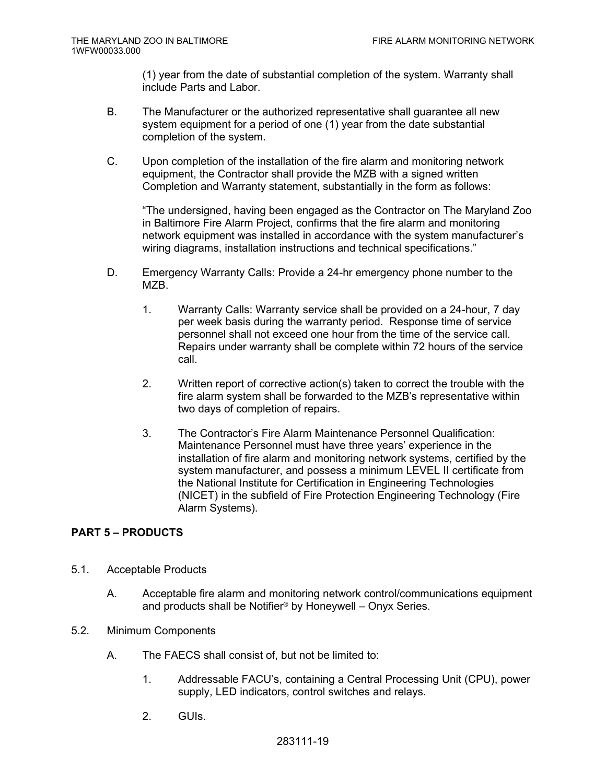(1) year from the date of substantial completion of the system. Warranty shall include Parts and Labor.

- B. The Manufacturer or the authorized representative shall guarantee all new system equipment for a period of one (1) year from the date substantial completion of the system.
- C. Upon completion of the installation of the fire alarm and monitoring network equipment, the Contractor shall provide the MZB with a signed written Completion and Warranty statement, substantially in the form as follows:

"The undersigned, having been engaged as the Contractor on The Maryland Zoo in Baltimore Fire Alarm Project, confirms that the fire alarm and monitoring network equipment was installed in accordance with the system manufacturer's wiring diagrams, installation instructions and technical specifications."

- D. Emergency Warranty Calls: Provide a 24-hr emergency phone number to the M7B.
	- 1. Warranty Calls: Warranty service shall be provided on a 24-hour, 7 day per week basis during the warranty period. Response time of service personnel shall not exceed one hour from the time of the service call. Repairs under warranty shall be complete within 72 hours of the service call.
	- 2. Written report of corrective action(s) taken to correct the trouble with the fire alarm system shall be forwarded to the MZB's representative within two days of completion of repairs.
	- 3. The Contractor's Fire Alarm Maintenance Personnel Qualification: Maintenance Personnel must have three years' experience in the installation of fire alarm and monitoring network systems, certified by the system manufacturer, and possess a minimum LEVEL II certificate from the National Institute for Certification in Engineering Technologies (NICET) in the subfield of Fire Protection Engineering Technology (Fire Alarm Systems).

# **PART 5 – PRODUCTS**

- 5.1. Acceptable Products
	- A. Acceptable fire alarm and monitoring network control/communications equipment and products shall be Notifier® by Honeywell – Onyx Series.
- 5.2. Minimum Components
	- A. The FAECS shall consist of, but not be limited to:
		- 1. Addressable FACU's, containing a Central Processing Unit (CPU), power supply, LED indicators, control switches and relays.
		- 2. GUIs.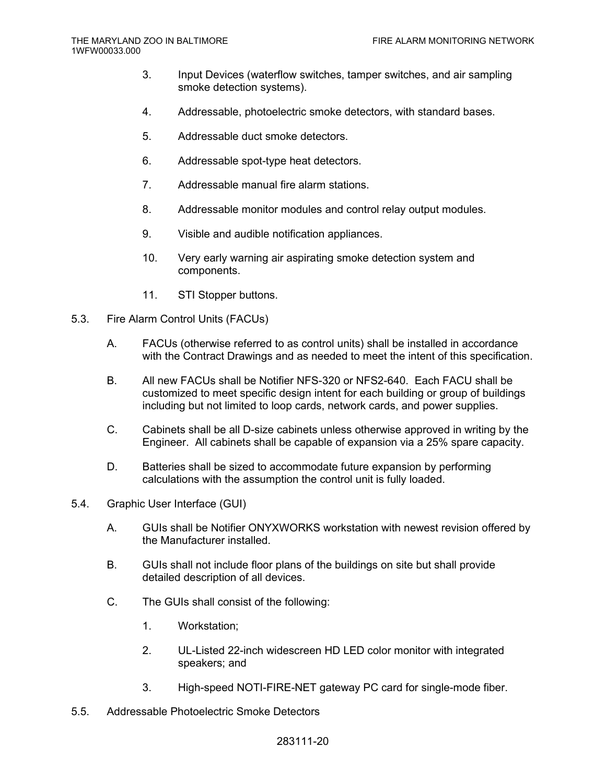- 3. Input Devices (waterflow switches, tamper switches, and air sampling smoke detection systems).
- 4. Addressable, photoelectric smoke detectors, with standard bases.
- 5. Addressable duct smoke detectors.
- 6. Addressable spot-type heat detectors.
- 7. Addressable manual fire alarm stations.
- 8. Addressable monitor modules and control relay output modules.
- 9. Visible and audible notification appliances.
- 10. Very early warning air aspirating smoke detection system and components.
- 11. STI Stopper buttons.
- 5.3. Fire Alarm Control Units (FACUs)
	- A. FACUs (otherwise referred to as control units) shall be installed in accordance with the Contract Drawings and as needed to meet the intent of this specification.
	- B. All new FACUs shall be Notifier NFS-320 or NFS2-640. Each FACU shall be customized to meet specific design intent for each building or group of buildings including but not limited to loop cards, network cards, and power supplies.
	- C. Cabinets shall be all D-size cabinets unless otherwise approved in writing by the Engineer. All cabinets shall be capable of expansion via a 25% spare capacity.
	- D. Batteries shall be sized to accommodate future expansion by performing calculations with the assumption the control unit is fully loaded.
- 5.4. Graphic User Interface (GUI)
	- A. GUIs shall be Notifier ONYXWORKS workstation with newest revision offered by the Manufacturer installed.
	- B. GUIs shall not include floor plans of the buildings on site but shall provide detailed description of all devices.
	- C. The GUIs shall consist of the following:
		- 1. Workstation;
		- 2. UL-Listed 22-inch widescreen HD LED color monitor with integrated speakers; and
		- 3. High-speed NOTI-FIRE-NET gateway PC card for single-mode fiber.
- 5.5. Addressable Photoelectric Smoke Detectors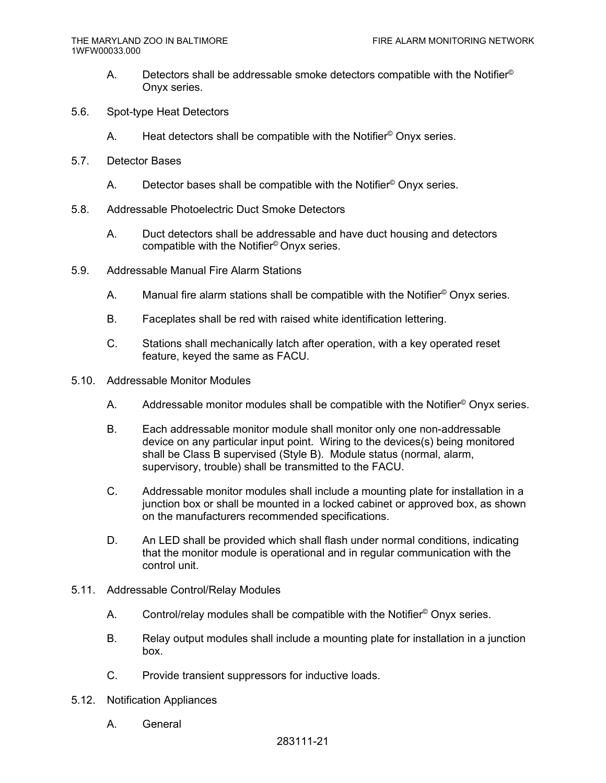- A. Detectors shall be addressable smoke detectors compatible with the Notifier<sup>®</sup> Onyx series.
- 5.6. Spot-type Heat Detectors
	- A. Heat detectors shall be compatible with the Notifier<sup>©</sup> Onyx series.
- 5.7. Detector Bases
	- A. Detector bases shall be compatible with the Notifier<sup>®</sup> Onyx series.
- 5.8. Addressable Photoelectric Duct Smoke Detectors
	- A. Duct detectors shall be addressable and have duct housing and detectors compatible with the Notifier© Onyx series.
- 5.9. Addressable Manual Fire Alarm Stations
	- A. Manual fire alarm stations shall be compatible with the Notifier<sup>©</sup> Onyx series.
	- B. Faceplates shall be red with raised white identification lettering.
	- C. Stations shall mechanically latch after operation, with a key operated reset feature, keyed the same as FACU.
- 5.10. Addressable Monitor Modules
	- A. Addressable monitor modules shall be compatible with the Notifier<sup>©</sup> Onyx series.
	- B. Each addressable monitor module shall monitor only one non-addressable device on any particular input point. Wiring to the devices(s) being monitored shall be Class B supervised (Style B). Module status (normal, alarm, supervisory, trouble) shall be transmitted to the FACU.
	- C. Addressable monitor modules shall include a mounting plate for installation in a junction box or shall be mounted in a locked cabinet or approved box, as shown on the manufacturers recommended specifications.
	- D. An LED shall be provided which shall flash under normal conditions, indicating that the monitor module is operational and in regular communication with the control unit.
- 5.11. Addressable Control/Relay Modules
	- A. Control/relay modules shall be compatible with the Notifier<sup>®</sup> Onyx series.
	- B. Relay output modules shall include a mounting plate for installation in a junction box.
	- C. Provide transient suppressors for inductive loads.
- 5.12. Notification Appliances
	- A. General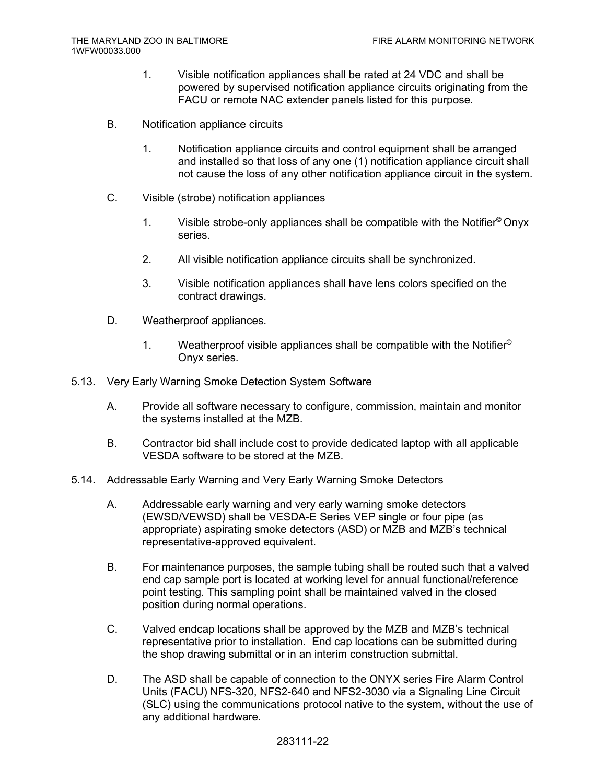- 1. Visible notification appliances shall be rated at 24 VDC and shall be powered by supervised notification appliance circuits originating from the FACU or remote NAC extender panels listed for this purpose.
- B. Notification appliance circuits
	- 1. Notification appliance circuits and control equipment shall be arranged and installed so that loss of any one (1) notification appliance circuit shall not cause the loss of any other notification appliance circuit in the system.
- C. Visible (strobe) notification appliances
	- 1. Visible strobe-only appliances shall be compatible with the Notifier© Onyx series.
	- 2. All visible notification appliance circuits shall be synchronized.
	- 3. Visible notification appliances shall have lens colors specified on the contract drawings.
- D. Weatherproof appliances.
	- 1. Weatherproof visible appliances shall be compatible with the Notifier<sup>®</sup> Onyx series.
- 5.13. Very Early Warning Smoke Detection System Software
	- A. Provide all software necessary to configure, commission, maintain and monitor the systems installed at the MZB.
	- B. Contractor bid shall include cost to provide dedicated laptop with all applicable VESDA software to be stored at the MZB.
- 5.14. Addressable Early Warning and Very Early Warning Smoke Detectors
	- A. Addressable early warning and very early warning smoke detectors (EWSD/VEWSD) shall be VESDA-E Series VEP single or four pipe (as appropriate) aspirating smoke detectors (ASD) or MZB and MZB's technical representative-approved equivalent.
	- B. For maintenance purposes, the sample tubing shall be routed such that a valved end cap sample port is located at working level for annual functional/reference point testing. This sampling point shall be maintained valved in the closed position during normal operations.
	- C. Valved endcap locations shall be approved by the MZB and MZB's technical representative prior to installation. End cap locations can be submitted during the shop drawing submittal or in an interim construction submittal.
	- D. The ASD shall be capable of connection to the ONYX series Fire Alarm Control Units (FACU) NFS-320, NFS2-640 and NFS2-3030 via a Signaling Line Circuit (SLC) using the communications protocol native to the system, without the use of any additional hardware.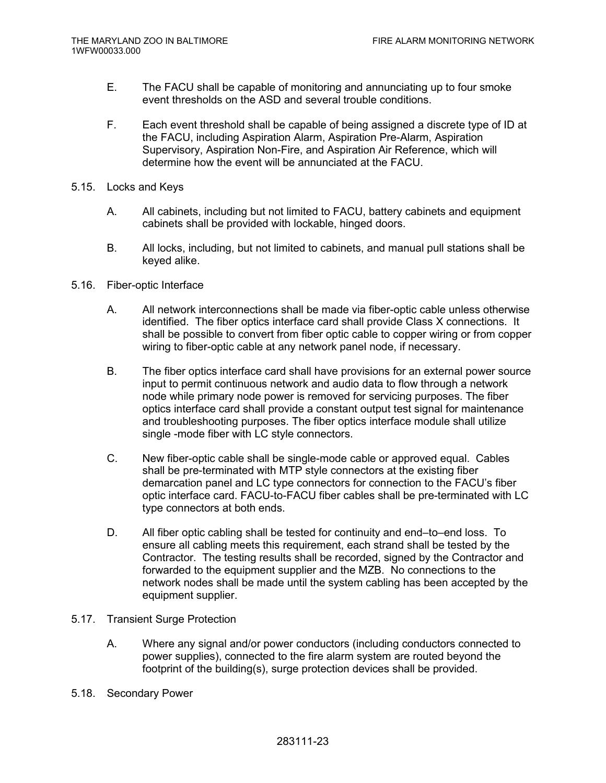- E. The FACU shall be capable of monitoring and annunciating up to four smoke event thresholds on the ASD and several trouble conditions.
- F. Each event threshold shall be capable of being assigned a discrete type of ID at the FACU, including Aspiration Alarm, Aspiration Pre-Alarm, Aspiration Supervisory, Aspiration Non-Fire, and Aspiration Air Reference, which will determine how the event will be annunciated at the FACU.
- 5.15. Locks and Keys
	- A. All cabinets, including but not limited to FACU, battery cabinets and equipment cabinets shall be provided with lockable, hinged doors.
	- B. All locks, including, but not limited to cabinets, and manual pull stations shall be keyed alike.
- 5.16. Fiber-optic Interface
	- A. All network interconnections shall be made via fiber-optic cable unless otherwise identified. The fiber optics interface card shall provide Class X connections. It shall be possible to convert from fiber optic cable to copper wiring or from copper wiring to fiber-optic cable at any network panel node, if necessary.
	- B. The fiber optics interface card shall have provisions for an external power source input to permit continuous network and audio data to flow through a network node while primary node power is removed for servicing purposes. The fiber optics interface card shall provide a constant output test signal for maintenance and troubleshooting purposes. The fiber optics interface module shall utilize single -mode fiber with LC style connectors.
	- C. New fiber-optic cable shall be single-mode cable or approved equal. Cables shall be pre-terminated with MTP style connectors at the existing fiber demarcation panel and LC type connectors for connection to the FACU's fiber optic interface card. FACU-to-FACU fiber cables shall be pre-terminated with LC type connectors at both ends.
	- D. All fiber optic cabling shall be tested for continuity and end–to–end loss. To ensure all cabling meets this requirement, each strand shall be tested by the Contractor. The testing results shall be recorded, signed by the Contractor and forwarded to the equipment supplier and the MZB. No connections to the network nodes shall be made until the system cabling has been accepted by the equipment supplier.
- 5.17. Transient Surge Protection
	- A. Where any signal and/or power conductors (including conductors connected to power supplies), connected to the fire alarm system are routed beyond the footprint of the building(s), surge protection devices shall be provided.
- 5.18. Secondary Power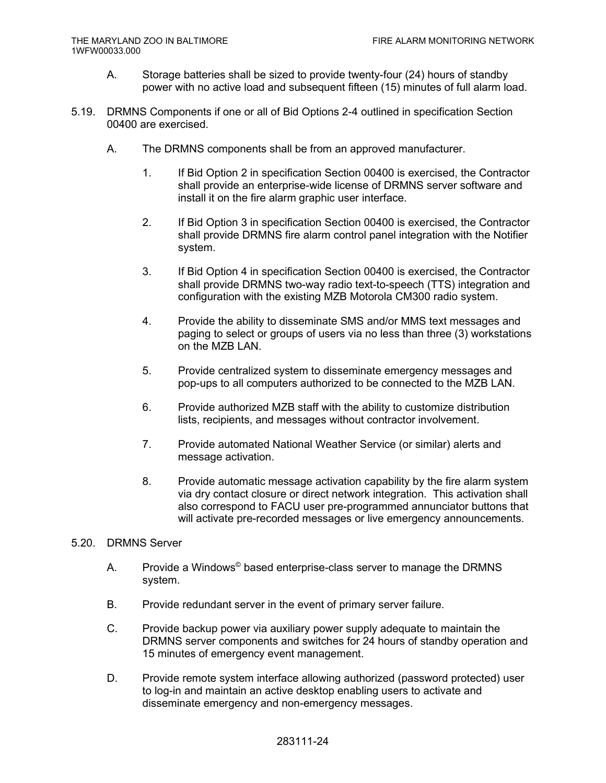- A. Storage batteries shall be sized to provide twenty-four (24) hours of standby power with no active load and subsequent fifteen (15) minutes of full alarm load.
- 5.19. DRMNS Components if one or all of Bid Options 2-4 outlined in specification Section 00400 are exercised.
	- A. The DRMNS components shall be from an approved manufacturer.
		- 1. If Bid Option 2 in specification Section 00400 is exercised, the Contractor shall provide an enterprise-wide license of DRMNS server software and install it on the fire alarm graphic user interface.
		- 2. If Bid Option 3 in specification Section 00400 is exercised, the Contractor shall provide DRMNS fire alarm control panel integration with the Notifier system.
		- 3. If Bid Option 4 in specification Section 00400 is exercised, the Contractor shall provide DRMNS two-way radio text-to-speech (TTS) integration and configuration with the existing MZB Motorola CM300 radio system.
		- 4. Provide the ability to disseminate SMS and/or MMS text messages and paging to select or groups of users via no less than three (3) workstations on the MZB LAN.
		- 5. Provide centralized system to disseminate emergency messages and pop-ups to all computers authorized to be connected to the MZB LAN.
		- 6. Provide authorized MZB staff with the ability to customize distribution lists, recipients, and messages without contractor involvement.
		- 7. Provide automated National Weather Service (or similar) alerts and message activation.
		- 8. Provide automatic message activation capability by the fire alarm system via dry contact closure or direct network integration. This activation shall also correspond to FACU user pre-programmed annunciator buttons that will activate pre-recorded messages or live emergency announcements.

## 5.20. DRMNS Server

- A. Provide a Windows<sup>©</sup> based enterprise-class server to manage the DRMNS system.
- B. Provide redundant server in the event of primary server failure.
- C. Provide backup power via auxiliary power supply adequate to maintain the DRMNS server components and switches for 24 hours of standby operation and 15 minutes of emergency event management.
- D. Provide remote system interface allowing authorized (password protected) user to log-in and maintain an active desktop enabling users to activate and disseminate emergency and non-emergency messages.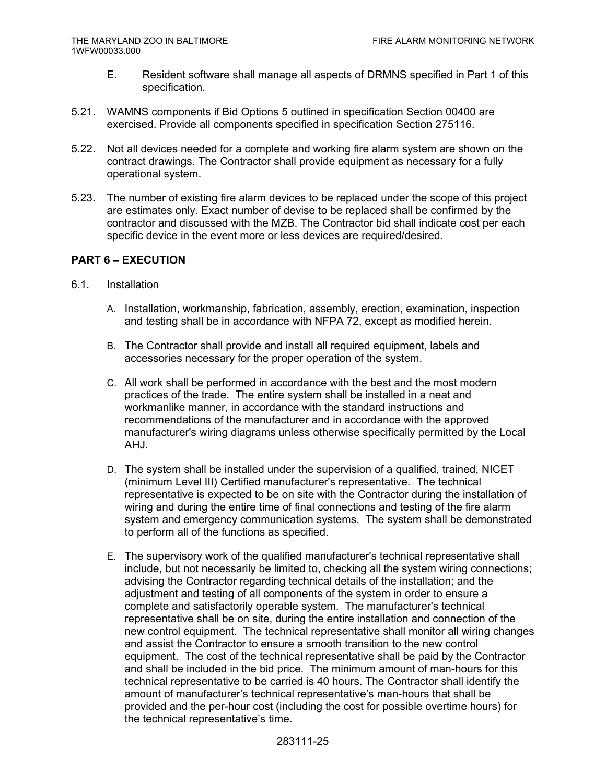- E. Resident software shall manage all aspects of DRMNS specified in Part 1 of this specification.
- 5.21. WAMNS components if Bid Options 5 outlined in specification Section 00400 are exercised. Provide all components specified in specification Section 275116.
- 5.22. Not all devices needed for a complete and working fire alarm system are shown on the contract drawings. The Contractor shall provide equipment as necessary for a fully operational system.
- 5.23. The number of existing fire alarm devices to be replaced under the scope of this project are estimates only. Exact number of devise to be replaced shall be confirmed by the contractor and discussed with the MZB. The Contractor bid shall indicate cost per each specific device in the event more or less devices are required/desired.

## **PART 6 – EXECUTION**

- 6.1. Installation
	- A. Installation, workmanship, fabrication, assembly, erection, examination, inspection and testing shall be in accordance with NFPA 72, except as modified herein.
	- B. The Contractor shall provide and install all required equipment, labels and accessories necessary for the proper operation of the system.
	- C. All work shall be performed in accordance with the best and the most modern practices of the trade. The entire system shall be installed in a neat and workmanlike manner, in accordance with the standard instructions and recommendations of the manufacturer and in accordance with the approved manufacturer's wiring diagrams unless otherwise specifically permitted by the Local AHJ.
	- D. The system shall be installed under the supervision of a qualified, trained, NICET (minimum Level III) Certified manufacturer's representative. The technical representative is expected to be on site with the Contractor during the installation of wiring and during the entire time of final connections and testing of the fire alarm system and emergency communication systems. The system shall be demonstrated to perform all of the functions as specified.
	- E. The supervisory work of the qualified manufacturer's technical representative shall include, but not necessarily be limited to, checking all the system wiring connections; advising the Contractor regarding technical details of the installation; and the adjustment and testing of all components of the system in order to ensure a complete and satisfactorily operable system. The manufacturer's technical representative shall be on site, during the entire installation and connection of the new control equipment. The technical representative shall monitor all wiring changes and assist the Contractor to ensure a smooth transition to the new control equipment. The cost of the technical representative shall be paid by the Contractor and shall be included in the bid price. The minimum amount of man-hours for this technical representative to be carried is 40 hours. The Contractor shall identify the amount of manufacturer's technical representative's man-hours that shall be provided and the per-hour cost (including the cost for possible overtime hours) for the technical representative's time.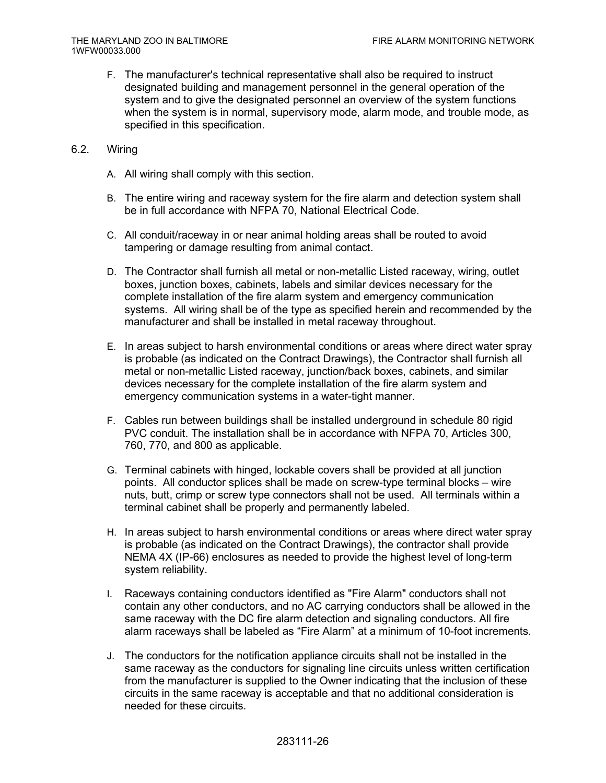- F. The manufacturer's technical representative shall also be required to instruct designated building and management personnel in the general operation of the system and to give the designated personnel an overview of the system functions when the system is in normal, supervisory mode, alarm mode, and trouble mode, as specified in this specification.
- 6.2. Wiring
	- A. All wiring shall comply with this section.
	- B. The entire wiring and raceway system for the fire alarm and detection system shall be in full accordance with NFPA 70, National Electrical Code.
	- C. All conduit/raceway in or near animal holding areas shall be routed to avoid tampering or damage resulting from animal contact.
	- D. The Contractor shall furnish all metal or non-metallic Listed raceway, wiring, outlet boxes, junction boxes, cabinets, labels and similar devices necessary for the complete installation of the fire alarm system and emergency communication systems. All wiring shall be of the type as specified herein and recommended by the manufacturer and shall be installed in metal raceway throughout.
	- E. In areas subject to harsh environmental conditions or areas where direct water spray is probable (as indicated on the Contract Drawings), the Contractor shall furnish all metal or non-metallic Listed raceway, junction/back boxes, cabinets, and similar devices necessary for the complete installation of the fire alarm system and emergency communication systems in a water-tight manner.
	- F. Cables run between buildings shall be installed underground in schedule 80 rigid PVC conduit. The installation shall be in accordance with NFPA 70, Articles 300, 760, 770, and 800 as applicable.
	- G. Terminal cabinets with hinged, lockable covers shall be provided at all junction points. All conductor splices shall be made on screw-type terminal blocks – wire nuts, butt, crimp or screw type connectors shall not be used. All terminals within a terminal cabinet shall be properly and permanently labeled.
	- H. In areas subject to harsh environmental conditions or areas where direct water spray is probable (as indicated on the Contract Drawings), the contractor shall provide NEMA 4X (IP-66) enclosures as needed to provide the highest level of long-term system reliability.
	- I. Raceways containing conductors identified as "Fire Alarm" conductors shall not contain any other conductors, and no AC carrying conductors shall be allowed in the same raceway with the DC fire alarm detection and signaling conductors. All fire alarm raceways shall be labeled as "Fire Alarm" at a minimum of 10-foot increments.
	- J. The conductors for the notification appliance circuits shall not be installed in the same raceway as the conductors for signaling line circuits unless written certification from the manufacturer is supplied to the Owner indicating that the inclusion of these circuits in the same raceway is acceptable and that no additional consideration is needed for these circuits.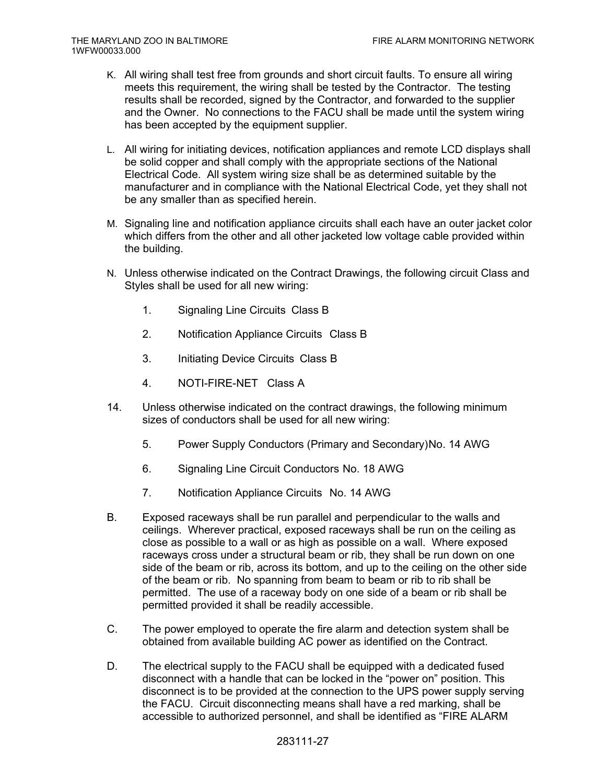- K. All wiring shall test free from grounds and short circuit faults. To ensure all wiring meets this requirement, the wiring shall be tested by the Contractor. The testing results shall be recorded, signed by the Contractor, and forwarded to the supplier and the Owner. No connections to the FACU shall be made until the system wiring has been accepted by the equipment supplier.
- L. All wiring for initiating devices, notification appliances and remote LCD displays shall be solid copper and shall comply with the appropriate sections of the National Electrical Code. All system wiring size shall be as determined suitable by the manufacturer and in compliance with the National Electrical Code, yet they shall not be any smaller than as specified herein.
- M. Signaling line and notification appliance circuits shall each have an outer jacket color which differs from the other and all other jacketed low voltage cable provided within the building.
- N. Unless otherwise indicated on the Contract Drawings, the following circuit Class and Styles shall be used for all new wiring:
	- 1. Signaling Line Circuits Class B
	- 2. Notification Appliance Circuits Class B
	- 3. Initiating Device Circuits Class B
	- 4. NOTI-FIRE-NET Class A
- 14. Unless otherwise indicated on the contract drawings, the following minimum sizes of conductors shall be used for all new wiring:
	- 5. Power Supply Conductors (Primary and Secondary) No. 14 AWG
	- 6. Signaling Line Circuit Conductors No. 18 AWG
	- 7. Notification Appliance Circuits No. 14 AWG
- B. Exposed raceways shall be run parallel and perpendicular to the walls and ceilings. Wherever practical, exposed raceways shall be run on the ceiling as close as possible to a wall or as high as possible on a wall. Where exposed raceways cross under a structural beam or rib, they shall be run down on one side of the beam or rib, across its bottom, and up to the ceiling on the other side of the beam or rib. No spanning from beam to beam or rib to rib shall be permitted. The use of a raceway body on one side of a beam or rib shall be permitted provided it shall be readily accessible.
- C. The power employed to operate the fire alarm and detection system shall be obtained from available building AC power as identified on the Contract.
- D. The electrical supply to the FACU shall be equipped with a dedicated fused disconnect with a handle that can be locked in the "power on" position. This disconnect is to be provided at the connection to the UPS power supply serving the FACU. Circuit disconnecting means shall have a red marking, shall be accessible to authorized personnel, and shall be identified as "FIRE ALARM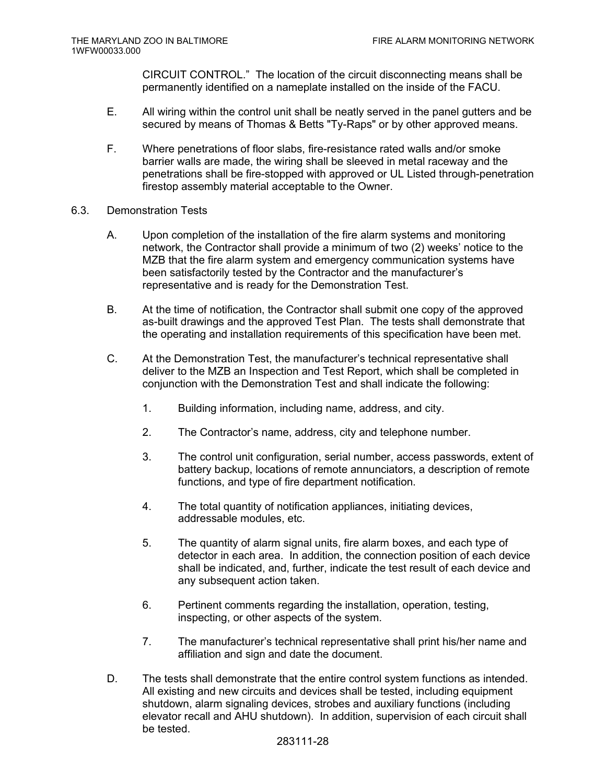CIRCUIT CONTROL." The location of the circuit disconnecting means shall be permanently identified on a nameplate installed on the inside of the FACU.

- E. All wiring within the control unit shall be neatly served in the panel gutters and be secured by means of Thomas & Betts "Ty-Raps" or by other approved means.
- F. Where penetrations of floor slabs, fire-resistance rated walls and/or smoke barrier walls are made, the wiring shall be sleeved in metal raceway and the penetrations shall be fire-stopped with approved or UL Listed through-penetration firestop assembly material acceptable to the Owner.
- 6.3. Demonstration Tests
	- A. Upon completion of the installation of the fire alarm systems and monitoring network, the Contractor shall provide a minimum of two (2) weeks' notice to the MZB that the fire alarm system and emergency communication systems have been satisfactorily tested by the Contractor and the manufacturer's representative and is ready for the Demonstration Test.
	- B. At the time of notification, the Contractor shall submit one copy of the approved as-built drawings and the approved Test Plan. The tests shall demonstrate that the operating and installation requirements of this specification have been met.
	- C. At the Demonstration Test, the manufacturer's technical representative shall deliver to the MZB an Inspection and Test Report, which shall be completed in conjunction with the Demonstration Test and shall indicate the following:
		- 1. Building information, including name, address, and city.
		- 2. The Contractor's name, address, city and telephone number.
		- 3. The control unit configuration, serial number, access passwords, extent of battery backup, locations of remote annunciators, a description of remote functions, and type of fire department notification.
		- 4. The total quantity of notification appliances, initiating devices, addressable modules, etc.
		- 5. The quantity of alarm signal units, fire alarm boxes, and each type of detector in each area. In addition, the connection position of each device shall be indicated, and, further, indicate the test result of each device and any subsequent action taken.
		- 6. Pertinent comments regarding the installation, operation, testing, inspecting, or other aspects of the system.
		- 7. The manufacturer's technical representative shall print his/her name and affiliation and sign and date the document.
	- D. The tests shall demonstrate that the entire control system functions as intended. All existing and new circuits and devices shall be tested, including equipment shutdown, alarm signaling devices, strobes and auxiliary functions (including elevator recall and AHU shutdown). In addition, supervision of each circuit shall be tested.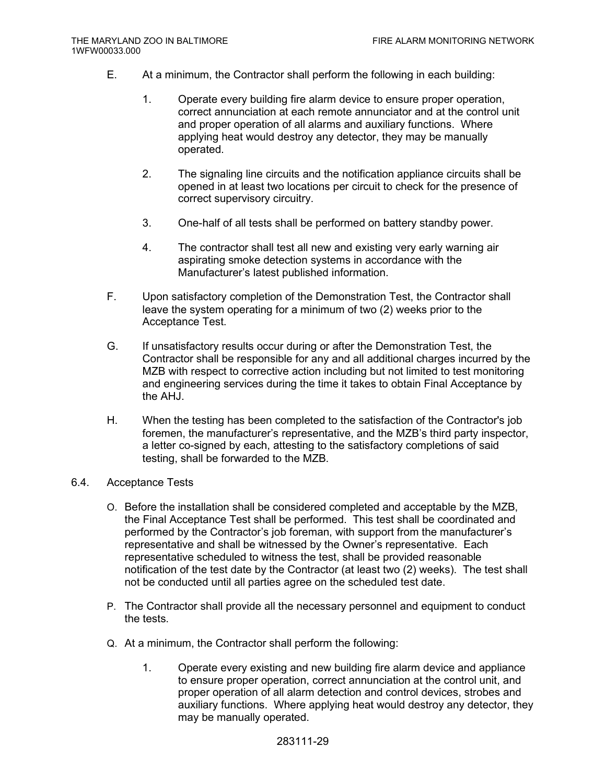- E. At a minimum, the Contractor shall perform the following in each building:
	- 1. Operate every building fire alarm device to ensure proper operation, correct annunciation at each remote annunciator and at the control unit and proper operation of all alarms and auxiliary functions. Where applying heat would destroy any detector, they may be manually operated.
	- 2. The signaling line circuits and the notification appliance circuits shall be opened in at least two locations per circuit to check for the presence of correct supervisory circuitry.
	- 3. One-half of all tests shall be performed on battery standby power.
	- 4. The contractor shall test all new and existing very early warning air aspirating smoke detection systems in accordance with the Manufacturer's latest published information.
- F. Upon satisfactory completion of the Demonstration Test, the Contractor shall leave the system operating for a minimum of two (2) weeks prior to the Acceptance Test.
- G. If unsatisfactory results occur during or after the Demonstration Test, the Contractor shall be responsible for any and all additional charges incurred by the MZB with respect to corrective action including but not limited to test monitoring and engineering services during the time it takes to obtain Final Acceptance by the AHJ.
- H. When the testing has been completed to the satisfaction of the Contractor's job foremen, the manufacturer's representative, and the MZB's third party inspector, a letter co-signed by each, attesting to the satisfactory completions of said testing, shall be forwarded to the MZB.
- 6.4. Acceptance Tests
	- O. Before the installation shall be considered completed and acceptable by the MZB, the Final Acceptance Test shall be performed. This test shall be coordinated and performed by the Contractor's job foreman, with support from the manufacturer's representative and shall be witnessed by the Owner's representative. Each representative scheduled to witness the test, shall be provided reasonable notification of the test date by the Contractor (at least two (2) weeks). The test shall not be conducted until all parties agree on the scheduled test date.
	- P. The Contractor shall provide all the necessary personnel and equipment to conduct the tests.
	- Q. At a minimum, the Contractor shall perform the following:
		- 1. Operate every existing and new building fire alarm device and appliance to ensure proper operation, correct annunciation at the control unit, and proper operation of all alarm detection and control devices, strobes and auxiliary functions. Where applying heat would destroy any detector, they may be manually operated.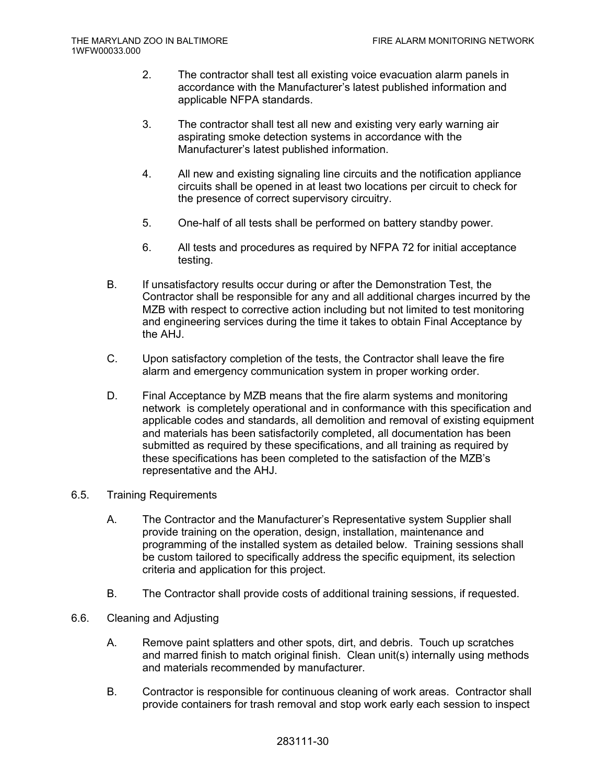- 2. The contractor shall test all existing voice evacuation alarm panels in accordance with the Manufacturer's latest published information and applicable NFPA standards.
- 3. The contractor shall test all new and existing very early warning air aspirating smoke detection systems in accordance with the Manufacturer's latest published information.
- 4. All new and existing signaling line circuits and the notification appliance circuits shall be opened in at least two locations per circuit to check for the presence of correct supervisory circuitry.
- 5. One-half of all tests shall be performed on battery standby power.
- 6. All tests and procedures as required by NFPA 72 for initial acceptance testing.
- B. If unsatisfactory results occur during or after the Demonstration Test, the Contractor shall be responsible for any and all additional charges incurred by the MZB with respect to corrective action including but not limited to test monitoring and engineering services during the time it takes to obtain Final Acceptance by the AHJ.
- C. Upon satisfactory completion of the tests, the Contractor shall leave the fire alarm and emergency communication system in proper working order.
- D. Final Acceptance by MZB means that the fire alarm systems and monitoring network is completely operational and in conformance with this specification and applicable codes and standards, all demolition and removal of existing equipment and materials has been satisfactorily completed, all documentation has been submitted as required by these specifications, and all training as required by these specifications has been completed to the satisfaction of the MZB's representative and the AHJ.
- 6.5. Training Requirements
	- A. The Contractor and the Manufacturer's Representative system Supplier shall provide training on the operation, design, installation, maintenance and programming of the installed system as detailed below. Training sessions shall be custom tailored to specifically address the specific equipment, its selection criteria and application for this project.
	- B. The Contractor shall provide costs of additional training sessions, if requested.
- 6.6. Cleaning and Adjusting
	- A. Remove paint splatters and other spots, dirt, and debris. Touch up scratches and marred finish to match original finish. Clean unit(s) internally using methods and materials recommended by manufacturer.
	- B. Contractor is responsible for continuous cleaning of work areas. Contractor shall provide containers for trash removal and stop work early each session to inspect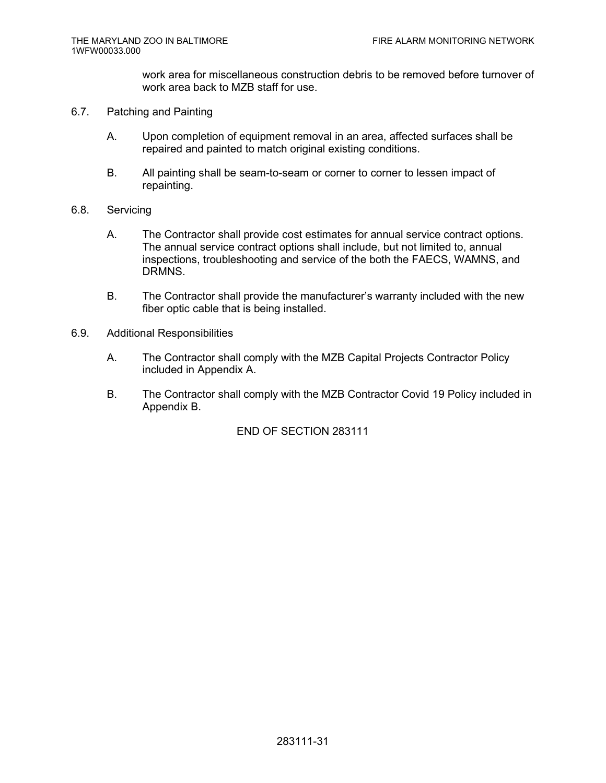work area for miscellaneous construction debris to be removed before turnover of work area back to MZB staff for use.

- 6.7. Patching and Painting
	- A. Upon completion of equipment removal in an area, affected surfaces shall be repaired and painted to match original existing conditions.
	- B. All painting shall be seam-to-seam or corner to corner to lessen impact of repainting.
- 6.8. Servicing
	- A. The Contractor shall provide cost estimates for annual service contract options. The annual service contract options shall include, but not limited to, annual inspections, troubleshooting and service of the both the FAECS, WAMNS, and DRMNS.
	- B. The Contractor shall provide the manufacturer's warranty included with the new fiber optic cable that is being installed.
- 6.9. Additional Responsibilities
	- A. The Contractor shall comply with the MZB Capital Projects Contractor Policy included in Appendix A.
	- B. The Contractor shall comply with the MZB Contractor Covid 19 Policy included in Appendix B.

END OF SECTION 283111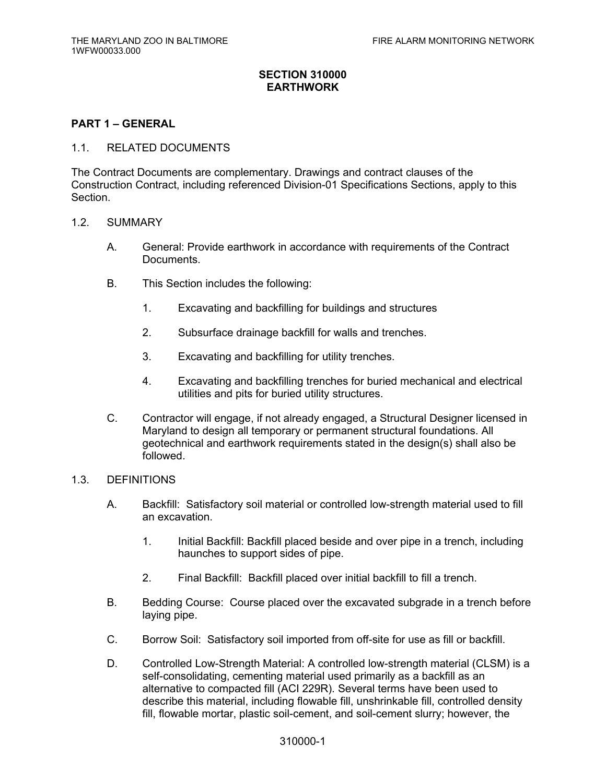## **SECTION 310000 EARTHWORK**

## **PART 1 – GENERAL**

#### 1.1. RELATED DOCUMENTS

The Contract Documents are complementary. Drawings and contract clauses of the Construction Contract, including referenced Division-01 Specifications Sections, apply to this Section.

#### 1.2. SUMMARY

- A. General: Provide earthwork in accordance with requirements of the Contract Documents.
- B. This Section includes the following:
	- 1. Excavating and backfilling for buildings and structures
	- 2. Subsurface drainage backfill for walls and trenches.
	- 3. Excavating and backfilling for utility trenches.
	- 4. Excavating and backfilling trenches for buried mechanical and electrical utilities and pits for buried utility structures.
- C. Contractor will engage, if not already engaged, a Structural Designer licensed in Maryland to design all temporary or permanent structural foundations. All geotechnical and earthwork requirements stated in the design(s) shall also be followed.

## 1.3. DEFINITIONS

- A. Backfill: Satisfactory soil material or controlled low-strength material used to fill an excavation.
	- 1. Initial Backfill: Backfill placed beside and over pipe in a trench, including haunches to support sides of pipe.
	- 2. Final Backfill: Backfill placed over initial backfill to fill a trench.
- B. Bedding Course: Course placed over the excavated subgrade in a trench before laying pipe.
- C. Borrow Soil: Satisfactory soil imported from off-site for use as fill or backfill.
- D. Controlled Low-Strength Material: A controlled low-strength material (CLSM) is a self-consolidating, cementing material used primarily as a backfill as an alternative to compacted fill (ACI 229R). Several terms have been used to describe this material, including flowable fill, unshrinkable fill, controlled density fill, flowable mortar, plastic soil-cement, and soil-cement slurry; however, the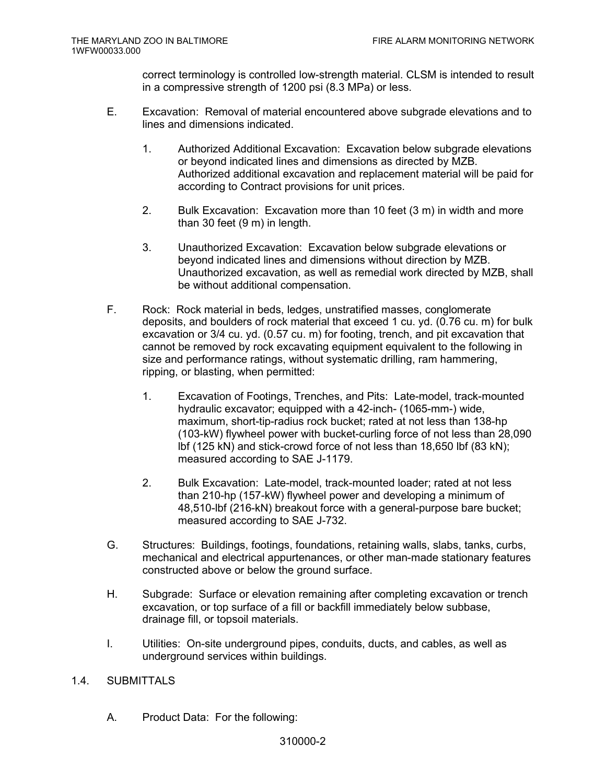correct terminology is controlled low-strength material. CLSM is intended to result in a compressive strength of 1200 psi (8.3 MPa) or less.

- E. Excavation: Removal of material encountered above subgrade elevations and to lines and dimensions indicated.
	- 1. Authorized Additional Excavation: Excavation below subgrade elevations or beyond indicated lines and dimensions as directed by MZB. Authorized additional excavation and replacement material will be paid for according to Contract provisions for unit prices.
	- 2. Bulk Excavation: Excavation more than 10 feet (3 m) in width and more than 30 feet (9 m) in length.
	- 3. Unauthorized Excavation: Excavation below subgrade elevations or beyond indicated lines and dimensions without direction by MZB. Unauthorized excavation, as well as remedial work directed by MZB, shall be without additional compensation.
- F. Rock: Rock material in beds, ledges, unstratified masses, conglomerate deposits, and boulders of rock material that exceed 1 cu. yd. (0.76 cu. m) for bulk excavation or 3/4 cu. yd. (0.57 cu. m) for footing, trench, and pit excavation that cannot be removed by rock excavating equipment equivalent to the following in size and performance ratings, without systematic drilling, ram hammering, ripping, or blasting, when permitted:
	- 1. Excavation of Footings, Trenches, and Pits: Late-model, track-mounted hydraulic excavator; equipped with a 42-inch- (1065-mm-) wide, maximum, short-tip-radius rock bucket; rated at not less than 138-hp (103-kW) flywheel power with bucket-curling force of not less than 28,090 lbf (125 kN) and stick-crowd force of not less than 18,650 lbf (83 kN); measured according to SAE J-1179.
	- 2. Bulk Excavation: Late-model, track-mounted loader; rated at not less than 210-hp (157-kW) flywheel power and developing a minimum of 48,510-lbf (216-kN) breakout force with a general-purpose bare bucket; measured according to SAE J-732.
- G. Structures: Buildings, footings, foundations, retaining walls, slabs, tanks, curbs, mechanical and electrical appurtenances, or other man-made stationary features constructed above or below the ground surface.
- H. Subgrade: Surface or elevation remaining after completing excavation or trench excavation, or top surface of a fill or backfill immediately below subbase, drainage fill, or topsoil materials.
- I. Utilities: On-site underground pipes, conduits, ducts, and cables, as well as underground services within buildings.

## 1.4. SUBMITTALS

A. Product Data: For the following: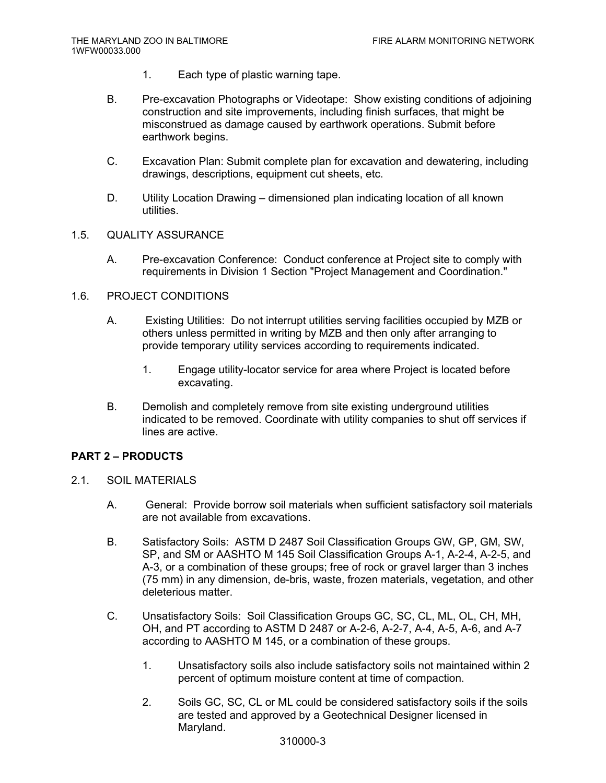- 1. Each type of plastic warning tape.
- B. Pre-excavation Photographs or Videotape: Show existing conditions of adjoining construction and site improvements, including finish surfaces, that might be misconstrued as damage caused by earthwork operations. Submit before earthwork begins.
- C. Excavation Plan: Submit complete plan for excavation and dewatering, including drawings, descriptions, equipment cut sheets, etc.
- D. Utility Location Drawing dimensioned plan indicating location of all known utilities.

## 1.5. QUALITY ASSURANCE

A. Pre-excavation Conference: Conduct conference at Project site to comply with requirements in Division 1 Section "Project Management and Coordination."

## 1.6. PROJECT CONDITIONS

- A. Existing Utilities: Do not interrupt utilities serving facilities occupied by MZB or others unless permitted in writing by MZB and then only after arranging to provide temporary utility services according to requirements indicated.
	- 1. Engage utility-locator service for area where Project is located before excavating.
- B. Demolish and completely remove from site existing underground utilities indicated to be removed. Coordinate with utility companies to shut off services if lines are active.

# **PART 2 – PRODUCTS**

- 2.1. SOIL MATERIALS
	- A. General: Provide borrow soil materials when sufficient satisfactory soil materials are not available from excavations.
	- B. Satisfactory Soils: ASTM D 2487 Soil Classification Groups GW, GP, GM, SW, SP, and SM or AASHTO M 145 Soil Classification Groups A-1, A-2-4, A-2-5, and A-3, or a combination of these groups; free of rock or gravel larger than 3 inches (75 mm) in any dimension, de-bris, waste, frozen materials, vegetation, and other deleterious matter.
	- C. Unsatisfactory Soils: Soil Classification Groups GC, SC, CL, ML, OL, CH, MH, OH, and PT according to ASTM D 2487 or A-2-6, A-2-7, A-4, A-5, A-6, and A-7 according to AASHTO M 145, or a combination of these groups.
		- 1. Unsatisfactory soils also include satisfactory soils not maintained within 2 percent of optimum moisture content at time of compaction.
		- 2. Soils GC, SC, CL or ML could be considered satisfactory soils if the soils are tested and approved by a Geotechnical Designer licensed in Maryland.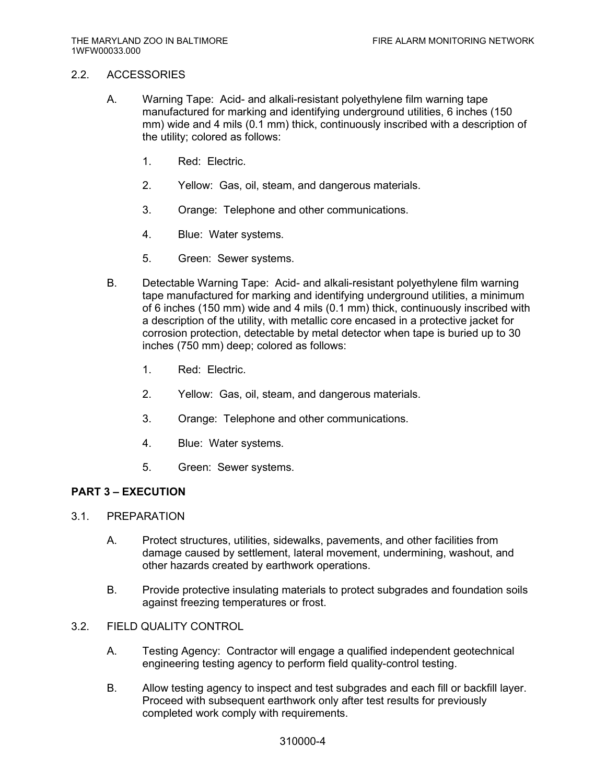#### 2.2. ACCESSORIES

- A. Warning Tape: Acid- and alkali-resistant polyethylene film warning tape manufactured for marking and identifying underground utilities, 6 inches (150 mm) wide and 4 mils (0.1 mm) thick, continuously inscribed with a description of the utility; colored as follows:
	- 1. Red: Electric.
	- 2. Yellow: Gas, oil, steam, and dangerous materials.
	- 3. Orange: Telephone and other communications.
	- 4. Blue: Water systems.
	- 5. Green: Sewer systems.
- B. Detectable Warning Tape: Acid- and alkali-resistant polyethylene film warning tape manufactured for marking and identifying underground utilities, a minimum of 6 inches (150 mm) wide and 4 mils (0.1 mm) thick, continuously inscribed with a description of the utility, with metallic core encased in a protective jacket for corrosion protection, detectable by metal detector when tape is buried up to 30 inches (750 mm) deep; colored as follows:
	- 1. Red: Electric.
	- 2. Yellow: Gas, oil, steam, and dangerous materials.
	- 3. Orange: Telephone and other communications.
	- 4. Blue: Water systems.
	- 5. Green: Sewer systems.

# **PART 3 – EXECUTION**

- 3.1. PREPARATION
	- A. Protect structures, utilities, sidewalks, pavements, and other facilities from damage caused by settlement, lateral movement, undermining, washout, and other hazards created by earthwork operations.
	- B. Provide protective insulating materials to protect subgrades and foundation soils against freezing temperatures or frost.
- 3.2. FIELD QUALITY CONTROL
	- A. Testing Agency: Contractor will engage a qualified independent geotechnical engineering testing agency to perform field quality-control testing.
	- B. Allow testing agency to inspect and test subgrades and each fill or backfill layer. Proceed with subsequent earthwork only after test results for previously completed work comply with requirements.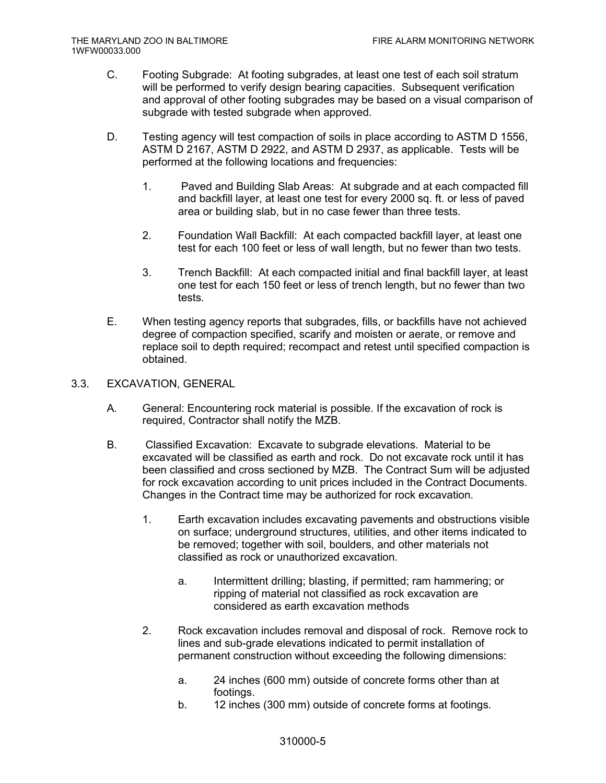- C. Footing Subgrade: At footing subgrades, at least one test of each soil stratum will be performed to verify design bearing capacities. Subsequent verification and approval of other footing subgrades may be based on a visual comparison of subgrade with tested subgrade when approved.
- D. Testing agency will test compaction of soils in place according to ASTM D 1556, ASTM D 2167, ASTM D 2922, and ASTM D 2937, as applicable. Tests will be performed at the following locations and frequencies:
	- 1. Paved and Building Slab Areas: At subgrade and at each compacted fill and backfill layer, at least one test for every 2000 sq. ft. or less of paved area or building slab, but in no case fewer than three tests.
	- 2. Foundation Wall Backfill: At each compacted backfill layer, at least one test for each 100 feet or less of wall length, but no fewer than two tests.
	- 3. Trench Backfill: At each compacted initial and final backfill layer, at least one test for each 150 feet or less of trench length, but no fewer than two tests.
- E. When testing agency reports that subgrades, fills, or backfills have not achieved degree of compaction specified, scarify and moisten or aerate, or remove and replace soil to depth required; recompact and retest until specified compaction is obtained.

#### 3.3. EXCAVATION, GENERAL

- A. General: Encountering rock material is possible. If the excavation of rock is required, Contractor shall notify the MZB.
- B. Classified Excavation: Excavate to subgrade elevations. Material to be excavated will be classified as earth and rock. Do not excavate rock until it has been classified and cross sectioned by MZB. The Contract Sum will be adjusted for rock excavation according to unit prices included in the Contract Documents. Changes in the Contract time may be authorized for rock excavation.
	- 1. Earth excavation includes excavating pavements and obstructions visible on surface; underground structures, utilities, and other items indicated to be removed; together with soil, boulders, and other materials not classified as rock or unauthorized excavation.
		- a. Intermittent drilling; blasting, if permitted; ram hammering; or ripping of material not classified as rock excavation are considered as earth excavation methods
	- 2. Rock excavation includes removal and disposal of rock. Remove rock to lines and sub-grade elevations indicated to permit installation of permanent construction without exceeding the following dimensions:
		- a. 24 inches (600 mm) outside of concrete forms other than at footings.
		- b. 12 inches (300 mm) outside of concrete forms at footings.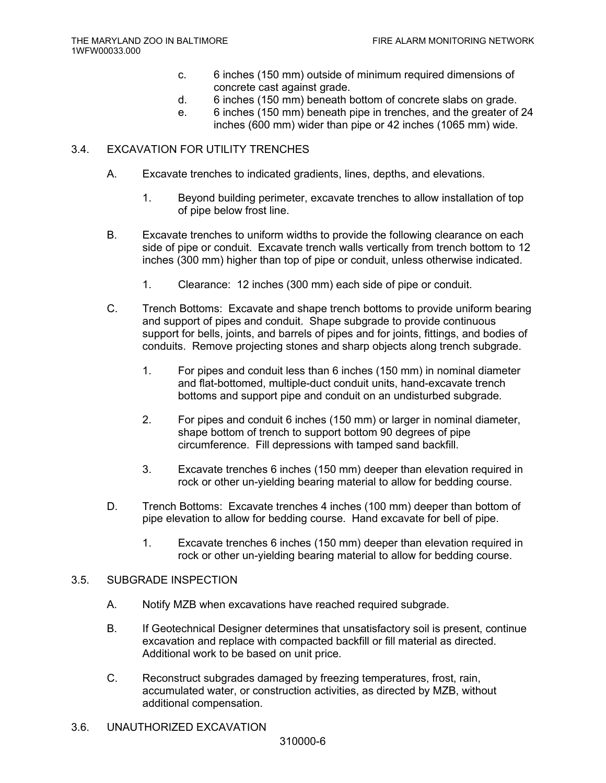- c. 6 inches (150 mm) outside of minimum required dimensions of concrete cast against grade.
- d. 6 inches (150 mm) beneath bottom of concrete slabs on grade.
- e. 6 inches (150 mm) beneath pipe in trenches, and the greater of 24 inches (600 mm) wider than pipe or 42 inches (1065 mm) wide.

## 3.4. EXCAVATION FOR UTILITY TRENCHES

- A. Excavate trenches to indicated gradients, lines, depths, and elevations.
	- 1. Beyond building perimeter, excavate trenches to allow installation of top of pipe below frost line.
- B. Excavate trenches to uniform widths to provide the following clearance on each side of pipe or conduit. Excavate trench walls vertically from trench bottom to 12 inches (300 mm) higher than top of pipe or conduit, unless otherwise indicated.
	- 1. Clearance: 12 inches (300 mm) each side of pipe or conduit.
- C. Trench Bottoms: Excavate and shape trench bottoms to provide uniform bearing and support of pipes and conduit. Shape subgrade to provide continuous support for bells, joints, and barrels of pipes and for joints, fittings, and bodies of conduits. Remove projecting stones and sharp objects along trench subgrade.
	- 1. For pipes and conduit less than 6 inches (150 mm) in nominal diameter and flat-bottomed, multiple-duct conduit units, hand-excavate trench bottoms and support pipe and conduit on an undisturbed subgrade.
	- 2. For pipes and conduit 6 inches (150 mm) or larger in nominal diameter, shape bottom of trench to support bottom 90 degrees of pipe circumference. Fill depressions with tamped sand backfill.
	- 3. Excavate trenches 6 inches (150 mm) deeper than elevation required in rock or other un-yielding bearing material to allow for bedding course.
- D. Trench Bottoms: Excavate trenches 4 inches (100 mm) deeper than bottom of pipe elevation to allow for bedding course. Hand excavate for bell of pipe.
	- 1. Excavate trenches 6 inches (150 mm) deeper than elevation required in rock or other un-yielding bearing material to allow for bedding course.

#### 3.5. SUBGRADE INSPECTION

- A. Notify MZB when excavations have reached required subgrade.
- B. If Geotechnical Designer determines that unsatisfactory soil is present, continue excavation and replace with compacted backfill or fill material as directed. Additional work to be based on unit price.
- C. Reconstruct subgrades damaged by freezing temperatures, frost, rain, accumulated water, or construction activities, as directed by MZB, without additional compensation.
- 3.6. UNAUTHORIZED EXCAVATION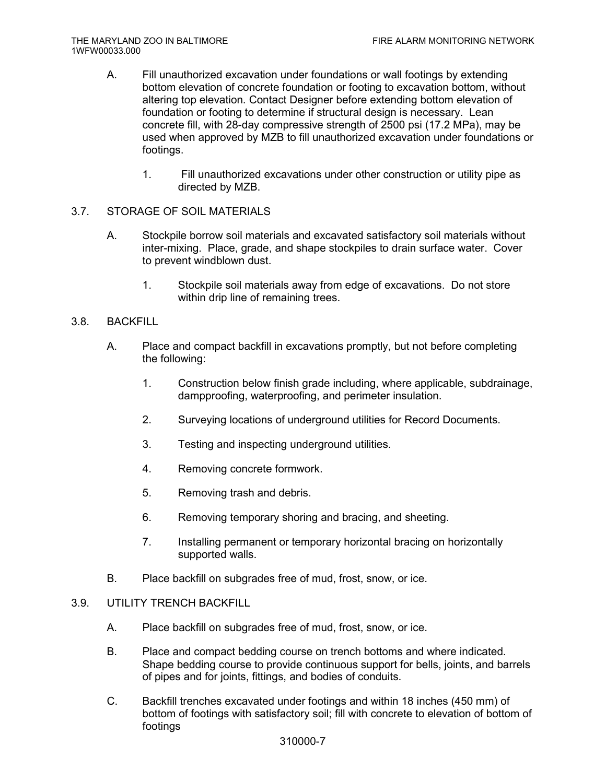- A. Fill unauthorized excavation under foundations or wall footings by extending bottom elevation of concrete foundation or footing to excavation bottom, without altering top elevation. Contact Designer before extending bottom elevation of foundation or footing to determine if structural design is necessary. Lean concrete fill, with 28-day compressive strength of 2500 psi (17.2 MPa), may be used when approved by MZB to fill unauthorized excavation under foundations or footings.
	- 1. Fill unauthorized excavations under other construction or utility pipe as directed by MZB.

# 3.7. STORAGE OF SOIL MATERIALS

- A. Stockpile borrow soil materials and excavated satisfactory soil materials without inter-mixing. Place, grade, and shape stockpiles to drain surface water. Cover to prevent windblown dust.
	- 1. Stockpile soil materials away from edge of excavations. Do not store within drip line of remaining trees.

## 3.8. BACKFILL

- A. Place and compact backfill in excavations promptly, but not before completing the following:
	- 1. Construction below finish grade including, where applicable, subdrainage, dampproofing, waterproofing, and perimeter insulation.
	- 2. Surveying locations of underground utilities for Record Documents.
	- 3. Testing and inspecting underground utilities.
	- 4. Removing concrete formwork.
	- 5. Removing trash and debris.
	- 6. Removing temporary shoring and bracing, and sheeting.
	- 7. Installing permanent or temporary horizontal bracing on horizontally supported walls.
- B. Place backfill on subgrades free of mud, frost, snow, or ice.

## 3.9. UTILITY TRENCH BACKFILL

- A. Place backfill on subgrades free of mud, frost, snow, or ice.
- B. Place and compact bedding course on trench bottoms and where indicated. Shape bedding course to provide continuous support for bells, joints, and barrels of pipes and for joints, fittings, and bodies of conduits.
- C. Backfill trenches excavated under footings and within 18 inches (450 mm) of bottom of footings with satisfactory soil; fill with concrete to elevation of bottom of footings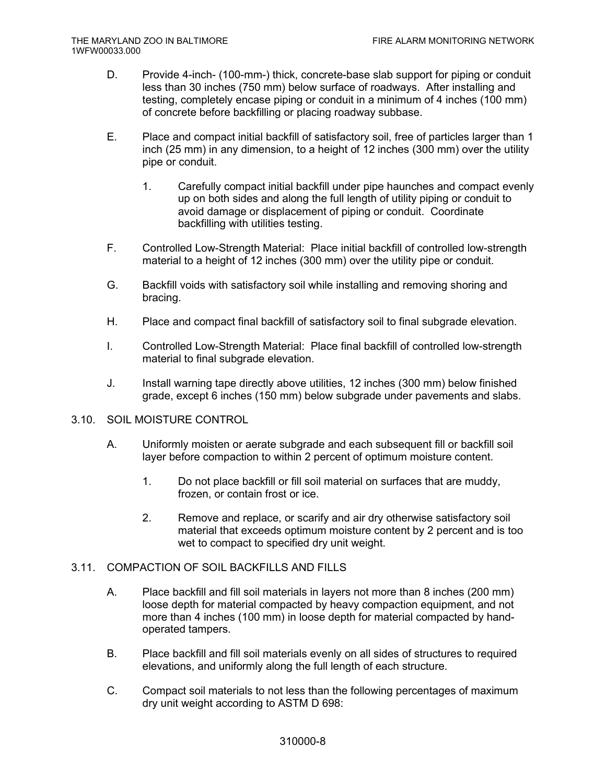- D. Provide 4-inch- (100-mm-) thick, concrete-base slab support for piping or conduit less than 30 inches (750 mm) below surface of roadways. After installing and testing, completely encase piping or conduit in a minimum of 4 inches (100 mm) of concrete before backfilling or placing roadway subbase.
- E. Place and compact initial backfill of satisfactory soil, free of particles larger than 1 inch (25 mm) in any dimension, to a height of 12 inches (300 mm) over the utility pipe or conduit.
	- 1. Carefully compact initial backfill under pipe haunches and compact evenly up on both sides and along the full length of utility piping or conduit to avoid damage or displacement of piping or conduit. Coordinate backfilling with utilities testing.
- F. Controlled Low-Strength Material: Place initial backfill of controlled low-strength material to a height of 12 inches (300 mm) over the utility pipe or conduit.
- G. Backfill voids with satisfactory soil while installing and removing shoring and bracing.
- H. Place and compact final backfill of satisfactory soil to final subgrade elevation.
- I. Controlled Low-Strength Material: Place final backfill of controlled low-strength material to final subgrade elevation.
- J. Install warning tape directly above utilities, 12 inches (300 mm) below finished grade, except 6 inches (150 mm) below subgrade under pavements and slabs.

## 3.10. SOIL MOISTURE CONTROL

- A. Uniformly moisten or aerate subgrade and each subsequent fill or backfill soil layer before compaction to within 2 percent of optimum moisture content.
	- 1. Do not place backfill or fill soil material on surfaces that are muddy, frozen, or contain frost or ice.
	- 2. Remove and replace, or scarify and air dry otherwise satisfactory soil material that exceeds optimum moisture content by 2 percent and is too wet to compact to specified dry unit weight.

# 3.11. COMPACTION OF SOIL BACKFILLS AND FILLS

- A. Place backfill and fill soil materials in layers not more than 8 inches (200 mm) loose depth for material compacted by heavy compaction equipment, and not more than 4 inches (100 mm) in loose depth for material compacted by handoperated tampers.
- B. Place backfill and fill soil materials evenly on all sides of structures to required elevations, and uniformly along the full length of each structure.
- C. Compact soil materials to not less than the following percentages of maximum dry unit weight according to ASTM D 698: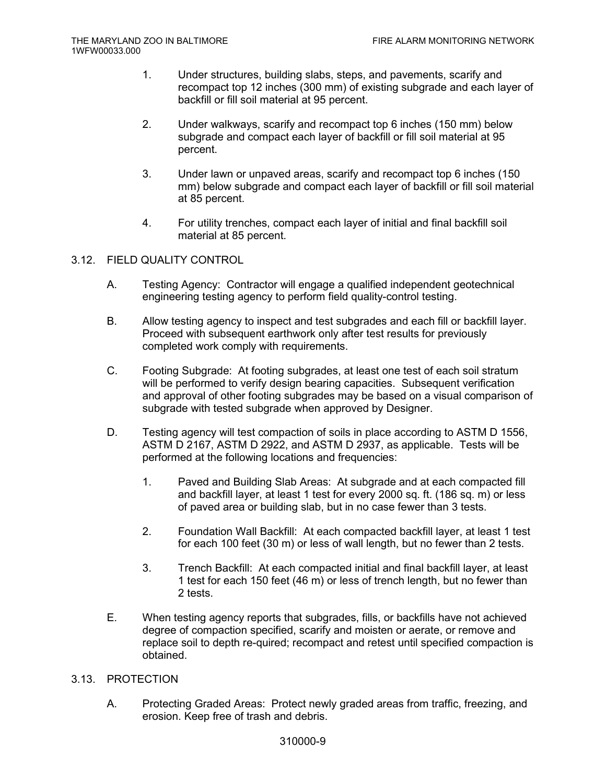- 1. Under structures, building slabs, steps, and pavements, scarify and recompact top 12 inches (300 mm) of existing subgrade and each layer of backfill or fill soil material at 95 percent.
- 2. Under walkways, scarify and recompact top 6 inches (150 mm) below subgrade and compact each layer of backfill or fill soil material at 95 percent.
- 3. Under lawn or unpaved areas, scarify and recompact top 6 inches (150 mm) below subgrade and compact each layer of backfill or fill soil material at 85 percent.
- 4. For utility trenches, compact each layer of initial and final backfill soil material at 85 percent.

## 3.12. FIELD QUALITY CONTROL

- A. Testing Agency: Contractor will engage a qualified independent geotechnical engineering testing agency to perform field quality-control testing.
- B. Allow testing agency to inspect and test subgrades and each fill or backfill layer. Proceed with subsequent earthwork only after test results for previously completed work comply with requirements.
- C. Footing Subgrade: At footing subgrades, at least one test of each soil stratum will be performed to verify design bearing capacities. Subsequent verification and approval of other footing subgrades may be based on a visual comparison of subgrade with tested subgrade when approved by Designer.
- D. Testing agency will test compaction of soils in place according to ASTM D 1556, ASTM D 2167, ASTM D 2922, and ASTM D 2937, as applicable. Tests will be performed at the following locations and frequencies:
	- 1. Paved and Building Slab Areas: At subgrade and at each compacted fill and backfill layer, at least 1 test for every 2000 sq. ft. (186 sq. m) or less of paved area or building slab, but in no case fewer than 3 tests.
	- 2. Foundation Wall Backfill: At each compacted backfill layer, at least 1 test for each 100 feet (30 m) or less of wall length, but no fewer than 2 tests.
	- 3. Trench Backfill: At each compacted initial and final backfill layer, at least 1 test for each 150 feet (46 m) or less of trench length, but no fewer than 2 tests.
- E. When testing agency reports that subgrades, fills, or backfills have not achieved degree of compaction specified, scarify and moisten or aerate, or remove and replace soil to depth re-quired; recompact and retest until specified compaction is obtained.

## 3.13. PROTECTION

A. Protecting Graded Areas: Protect newly graded areas from traffic, freezing, and erosion. Keep free of trash and debris.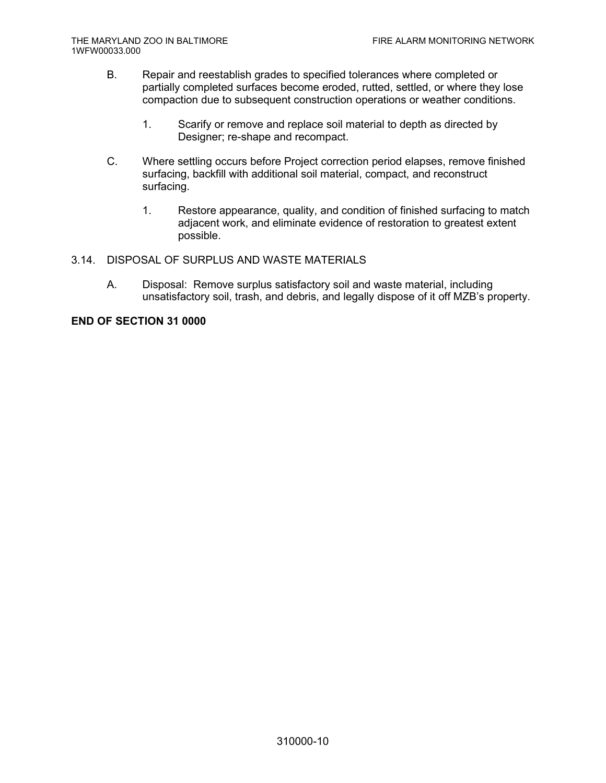- B. Repair and reestablish grades to specified tolerances where completed or partially completed surfaces become eroded, rutted, settled, or where they lose compaction due to subsequent construction operations or weather conditions.
	- 1. Scarify or remove and replace soil material to depth as directed by Designer; re-shape and recompact.
- C. Where settling occurs before Project correction period elapses, remove finished surfacing, backfill with additional soil material, compact, and reconstruct surfacing.
	- 1. Restore appearance, quality, and condition of finished surfacing to match adjacent work, and eliminate evidence of restoration to greatest extent possible.
- 3.14. DISPOSAL OF SURPLUS AND WASTE MATERIALS
	- A. Disposal: Remove surplus satisfactory soil and waste material, including unsatisfactory soil, trash, and debris, and legally dispose of it off MZB's property.

**END OF SECTION 31 0000**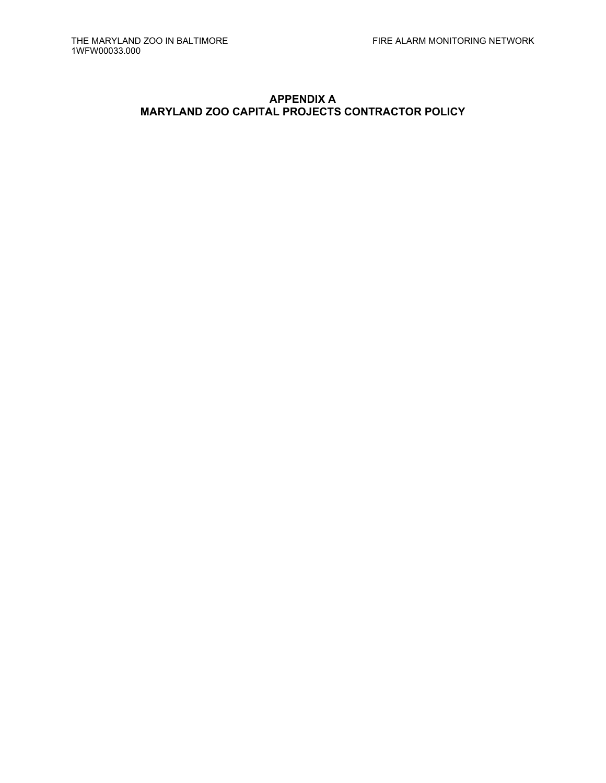# **APPENDIX A MARYLAND ZOO CAPITAL PROJECTS CONTRACTOR POLICY**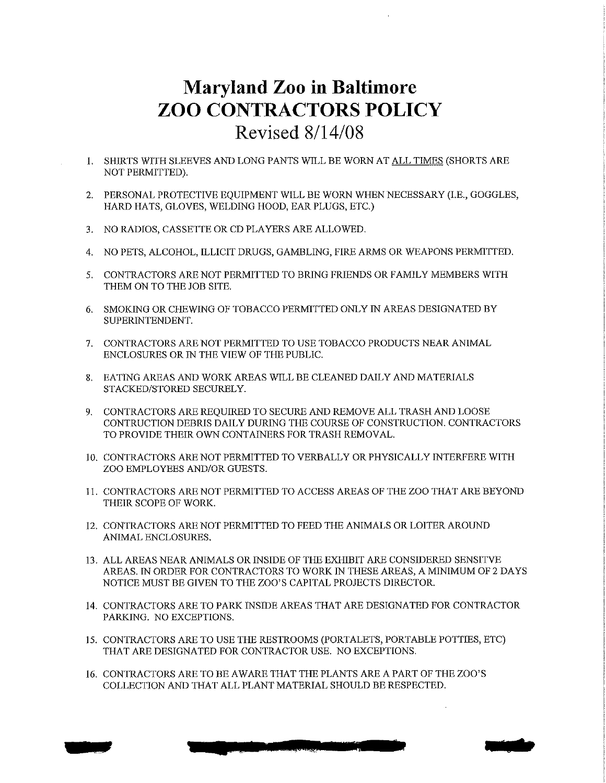# **Maryland Zoo in Baltimore ZOO CONTRACTORS POLICY** Revised 8/14/08

- 1. SHIRTS WITH SLEEVES AND LONG PANTS WILL BE WORN AT ALL TIMES (SHORTS ARE NOT PERMITTED).
- 2. PERSONAL PROTECTIVE EQUIPMENT WILL BE WORN WHEN NECESSARY (I.E., GOGGLES, HARD HATS, GLOVES, WELDING HOOD, EAR PLUGS, ETC.)
- 3. NO RADIOS, CASSETTE OR CD PLAYERS ARE ALLOWED.
- 4. NO PETS, ALCOHOL, ILLICIT DRUGS, GAMBLING, FIRE ARMS OR WEAPONS PERMITTED.
- 5. CONTRACTORS ARE NOT PERMITTED TO BRING FRIENDS OR FAMILY MEMBERS WITH THEM ON TO THE JOB SITE.
- 6. SMOKING OR CHEWING OF TOBACCO PERMITTED ONLY IN AREAS DESIGNATED BY SUPERINTENDENT.
- 7. CONTRACTORS ARE NOT PERMITTED TO USE TOBACCO PRODUCTS NEAR ANIMAL ENCLOSURES OR IN THE VIEW OF THE PUBLIC.
- 8. EATING AREAS AND WORK AREAS WILL BE CLEANED DAILY AND MATERIALS STACKED/STORED SECURELY.
- 9. CONTRACTORS ARE REQUIRED TO SECURE AND REMOVE ALL TRASH AND LOOSE CONTRUCTION DEBRIS DAILY DURING THE COURSE OF CONSTRUCTION. CONTRACTORS TO PROVIDE THEIR OWN CONTAINERS FOR TRASH REMOVAL.
- 10. CONTRACTORS ARE NOT PERMITTED TO VERBALLY OR PHYSICALLY INTERFERE WITH ZOO EMPLOYEES AND/OR GUESTS.
- 11. CONTRACTORS ARE NOT PERMITTED TO ACCESS AREAS OF THE ZOO THAT ARE BEYOND THEIR SCOPE OF WORK.
- 12. CONTRACTORS ARE NOT PERMITTED TO FEED THE ANIMALS OR LOITER AROUND ANIMAL ENCLOSURES.
- 13. ALL AREAS NEAR ANIMALS OR INSIDE OF THE EXHIBIT ARE CONSIDERED SENSITVE AREAS. IN ORDER FOR CONTRACTORS TO WORK IN THESE AREAS, A MINIMUM OF 2 DAYS NOTICE MUST BE GIVEN TO THE ZOO'S CAPITAL PROJECTS DIRECTOR.
- 14. CONTRACTORS ARE TO PARK INSIDE AREAS THAT ARE DESIGNATED FOR CONTRACTOR PARKING. NO EXCEPTIONS.
- 15. CONTRACTORS ARE TO USE THE RESTROOMS (PORTALETS, PORTABLE POTTIES, ETC) THAT ARE DESIGNATED FOR CONTRACTOR USE. NO EXCEPTIONS.
- 16. CONTRACTORS ARE TO BE AWARE THAT THE PLANTS ARE A PART OF THE ZOO'S COLLECTION AND THAT ALL PLANT MATERIAL SHOULD BE RESPECTED.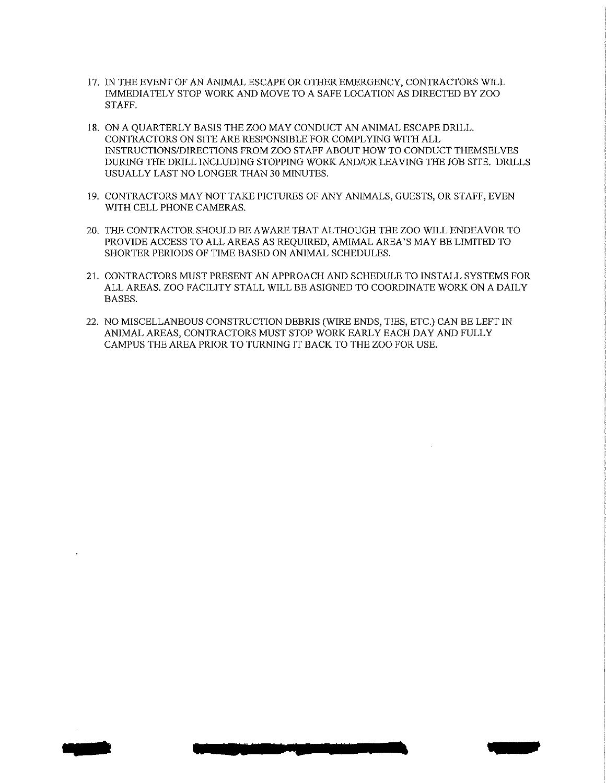- 17. IN THE EVENT OF AN ANIMAL ESCAPE OR OTHER EMERGENCY, CONTRACTORS WILL IMMEDIATELY STOP WORK AND MOVE TO A SAFE LOCATION AS DIRECTED BY ZOO STAFF.
- 18. ON A QUARTERLY BASIS THE ZOO MAY CONDUCT AN ANIMAL ESCAPE DRILL. CONTRACTORS ON SITE ARE RESPONSIBLE FOR COMPLYING WITH ALL INSTRUCTIONS/DIRECTIONS FROM ZOO STAFF ABOUT HOW TO CONDUCT THEMSELVES DURING THE DRILL INCLUDING STOPPING WORK AND/OR LEAVING THE JOB SITE. DRILLS USUALLY LAST NO LONGER THAN 30 MINUTES.
- 19. CONTRACTORS MAY NOT TAKE PICTURES OF ANY ANIMALS, GUESTS, OR STAFF, EVEN WITH CELL PHONE CAMERAS.
- 20. THE CONTRACTOR SHOULD BE AWARE THAT ALTHOUGH THE ZOO WILL ENDEAVOR TO PROVIDE ACCESS TO ALL AREAS AS REQUIRED, AMIMAL AREA'S MAY BE LIMITED TO SHORTER PERIODS OF TIME BASED ON ANIMAL SCHEDULES.
- 21. CONTRACTORS MUST PRESENT AN APPROACH AND SCHEDULE TO INSTALL SYSTEMS FOR ALL AREAS, ZOO FACILITY STALL WILL BE ASIGNED TO COORDINATE WORK ON A DAILY BASES.
- 22. NO MISCELLANEOUS CONSTRUCTION DEBRIS (WIRE ENDS, TIES, ETC.) CAN BE LEFT IN ANIMAL AREAS, CONTRACTORS MUST STOP WORK EARLY EACH DAY AND FULLY CAMPUS THE AREA PRIOR TO TURNING IT BACK TO THE ZOO FOR USE.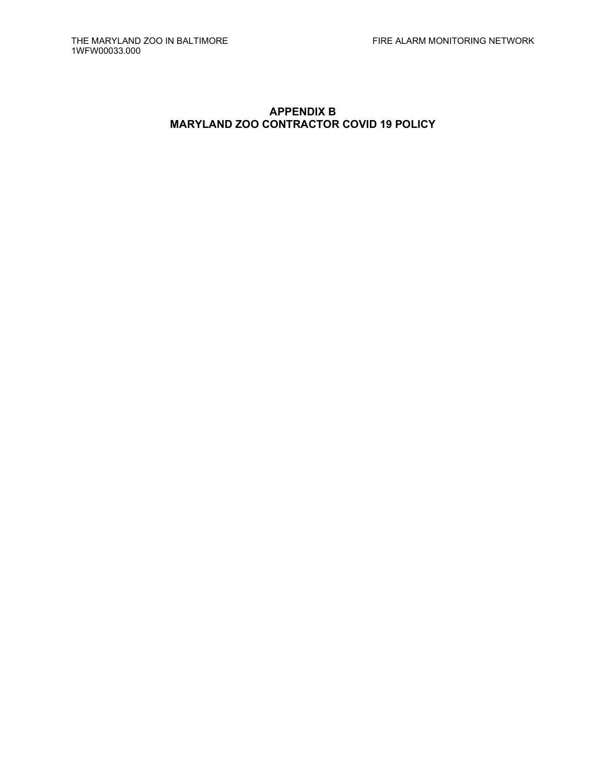# **APPENDIX B MARYLAND ZOO CONTRACTOR COVID 19 POLICY**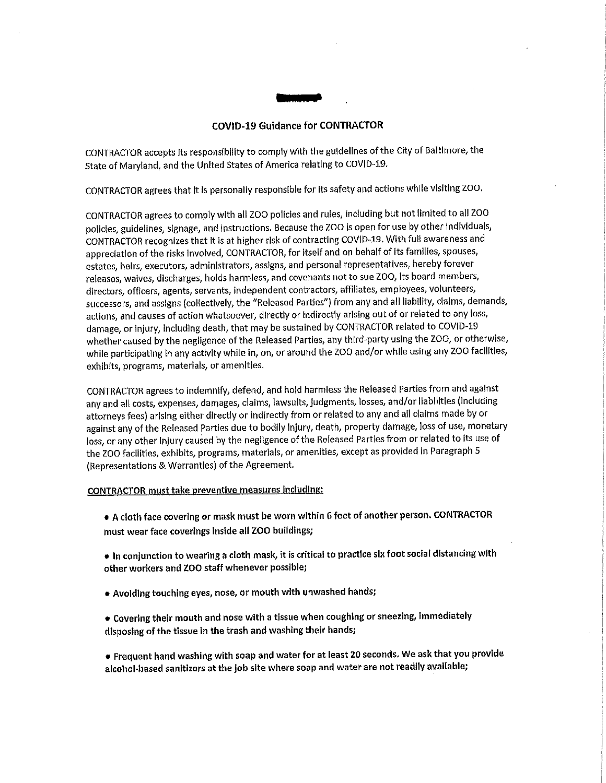#### **COVID-19 Guidance for CONTRACTOR**

CONTRACTOR accepts its responsibility to comply with the guidelines of the City of Baltimore, the State of Maryland, and the United States of America relating to COVID-19.

CONTRACTOR agrees that it is personally responsible for its safety and actions while visiting ZOO.

CONTRACTOR agrees to comply with all ZOO policies and rules, including but not limited to all ZOO policles, guidelines, signage, and instructions. Because the ZOO is open for use by other individuals, CONTRACTOR recognizes that it is at higher risk of contracting COVID-19. With full awareness and appreciation of the risks involved, CONTRACTOR, for itself and on behalf of its families, spouses, estates, heirs, executors, administrators, assigns, and personal representatives, hereby forever releases, walves, discharges, holds harmless, and covenants not to sue ZOO, Its board members, directors, officers, agents, servants, independent contractors, affiliates, employees, volunteers, successors, and assigns (collectively, the "Released Parties") from any and all liability, claims, demands, actions, and causes of action whatsoever, directly or indirectly arising out of or related to any loss, damage, or injury, including death, that may be sustained by CONTRACTOR related to COVID-19 whether caused by the negligence of the Released Parties, any third-party using the ZOO, or otherwise, while participating in any activity while in, on, or around the ZOO and/or while using any ZOO facilities, exhibits, programs, materials, or amenities.

CONTRACTOR agrees to indemnify, defend, and hold harmless the Released Parties from and against any and all costs, expenses, damages, claims, lawsuits, judgments, losses, and/or liabilities (including attorneys fees) arising either directly or indirectly from or related to any and all claims made by or against any of the Released Parties due to bodily injury, death, property damage, loss of use, monetary loss, or any other injury caused by the negligence of the Released Parties from or related to its use of the ZOO facilities, exhibits, programs, materials, or amenities, except as provided in Paragraph 5 (Representations & Warranties) of the Agreement.

#### **CONTRACTOR must take preventive measures including:**

- A cloth face covering or mask must be worn within 6 feet of another person. CONTRACTOR must wear face coverings inside all ZOO buildings;
- In conjunction to wearing a cloth mask, it is critical to practice six foot social distancing with other workers and ZOO staff whenever possible;
- Avoiding touching eyes, nose, or mouth with unwashed hands;
- Covering their mouth and nose with a tissue when coughing or sneezing, immediately disposing of the tissue in the trash and washing their hands;
- Frequent hand washing with soap and water for at least 20 seconds. We ask that you provide alcohol-based sanitizers at the job site where soap and water are not readily available;